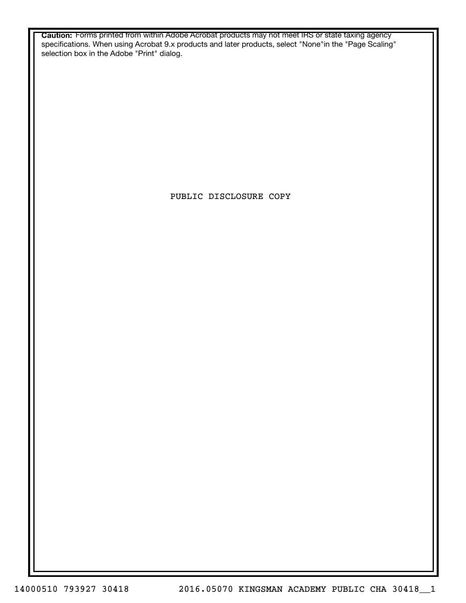**Caution:** Forms printed from within Adobe Acrobat products may not meet IRS or state taxing agency specifications. When using Acrobat 9.x products and later products, select "None"in the "Page Scaling" selection box in the Adobe "Print" dialog.

PUBLIC DISCLOSURE COPY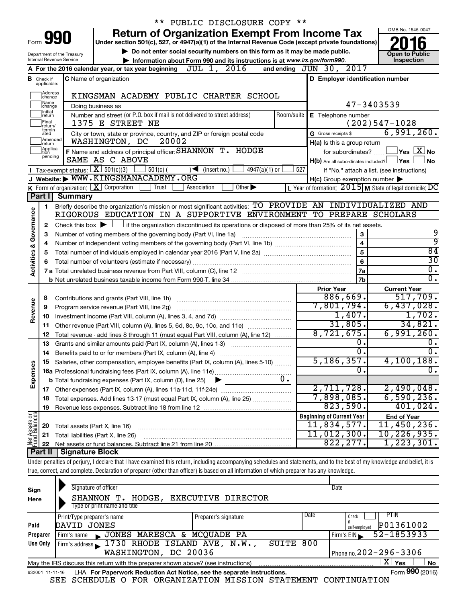|                         |                               |                                | ** PUBLIC DISCLOSURE COPY **                                                                                                                                               |                                                                                                                  |                                    |
|-------------------------|-------------------------------|--------------------------------|----------------------------------------------------------------------------------------------------------------------------------------------------------------------------|------------------------------------------------------------------------------------------------------------------|------------------------------------|
|                         |                               |                                | <b>Return of Organization Exempt From Income Tax</b>                                                                                                                       |                                                                                                                  | OMB No. 1545-0047                  |
|                         |                               | Form 990                       | Under section 501(c), 527, or 4947(a)(1) of the Internal Revenue Code (except private foundations)                                                                         |                                                                                                                  |                                    |
|                         |                               | Department of the Treasury     | Do not enter social security numbers on this form as it may be made public.                                                                                                |                                                                                                                  | <b>Open to Public</b>              |
|                         |                               | Internal Revenue Service       | Information about Form 990 and its instructions is at www.irs.gov/form990.                                                                                                 |                                                                                                                  | Inspection                         |
|                         |                               |                                | JUL 1, 2016<br>A For the 2016 calendar year, or tax year beginning                                                                                                         | and ending JUN 30, 2017                                                                                          |                                    |
|                         | <b>B</b> Check if applicable: |                                | <b>C</b> Name of organization                                                                                                                                              | D Employer identification number                                                                                 |                                    |
|                         | Address<br>change             |                                | KINGSMAN ACADEMY PUBLIC CHARTER SCHOOL                                                                                                                                     |                                                                                                                  |                                    |
|                         | Name<br>change]               |                                | Doing business as                                                                                                                                                          | 47-3403539                                                                                                       |                                    |
|                         | Initial<br>return             |                                | Number and street (or P.O. box if mail is not delivered to street address)<br>Room/suite                                                                                   | E Telephone number                                                                                               |                                    |
|                         | Final<br>return/<br>termin-   |                                | 1375 E STREET NE                                                                                                                                                           |                                                                                                                  | $(202)547 - 1028$                  |
|                         | ated<br>Amended               |                                | City or town, state or province, country, and ZIP or foreign postal code                                                                                                   | G Gross receipts \$                                                                                              | 6,991,260.                         |
|                         | Ireturn<br>Applica-           |                                | 20002<br>WASHINGTON, DC                                                                                                                                                    | H(a) Is this a group return                                                                                      |                                    |
|                         | ltion<br>pending              |                                | F Name and address of principal officer: SHANNON T. HODGE                                                                                                                  | for subordinates?                                                                                                | $\sqrt{}$ Yes $\sqrt{ \times }$ No |
|                         |                               |                                | SAME AS C ABOVE<br>Tax-exempt status: $X \over 301(c)(3)$                                                                                                                  | $H(b)$ Are all subordinates included? $\Box$ Yes                                                                 | No                                 |
|                         |                               |                                | $\rfloor$ 501(c) (<br>$\sqrt{\bullet}$ (insert no.)<br>$4947(a)(1)$ or<br>J Website: WWW.KINGSMANACADEMY.ORG                                                               | 527<br>If "No," attach a list. (see instructions)                                                                |                                    |
|                         |                               |                                | <b>K</b> Form of organization: $\boxed{\textbf{X}}$ Corporation<br>Other $\blacktriangleright$<br>Trust<br>Association                                                     | $H(c)$ Group exemption number $\blacktriangleright$<br>L Year of formation: $2015$ M State of legal domicile: DC |                                    |
|                         | Part I                        | <b>Summary</b>                 |                                                                                                                                                                            |                                                                                                                  |                                    |
|                         | 1                             |                                | Briefly describe the organization's mission or most significant activities: TO PROVIDE AN INDIVIDUALIZED AND                                                               |                                                                                                                  |                                    |
| Governance              |                               |                                | RIGOROUS EDUCATION IN A SUPPORTIVE ENVIRONMENT TO PREPARE SCHOLARS                                                                                                         |                                                                                                                  |                                    |
|                         | 2                             |                                | Check this box $\blacktriangleright$ $\Box$ if the organization discontinued its operations or disposed of more than 25% of its net assets.                                |                                                                                                                  |                                    |
|                         | 3                             |                                | Number of voting members of the governing body (Part VI, line 1a)                                                                                                          | 3                                                                                                                | 9                                  |
|                         | 4                             |                                |                                                                                                                                                                            | $\overline{\mathbf{4}}$                                                                                          | ब्र                                |
| <b>Activities &amp;</b> | 5                             |                                |                                                                                                                                                                            | 5                                                                                                                | $\overline{84}$                    |
|                         | 6                             |                                |                                                                                                                                                                            | 6                                                                                                                | $\overline{30}$                    |
|                         |                               |                                |                                                                                                                                                                            | 7a                                                                                                               | $\overline{0}$ .                   |
|                         |                               |                                |                                                                                                                                                                            | <b>7b</b>                                                                                                        | $\overline{0}$ .                   |
|                         |                               |                                |                                                                                                                                                                            | <b>Prior Year</b>                                                                                                | <b>Current Year</b>                |
|                         | 8                             |                                |                                                                                                                                                                            | 886,669.                                                                                                         | 517,709.                           |
|                         | 9                             |                                | Program service revenue (Part VIII, line 2g)                                                                                                                               | 7,801,794.                                                                                                       | 6,437,028.                         |
| Revenue                 | 10                            |                                |                                                                                                                                                                            | 1,407.                                                                                                           | 1,702.                             |
|                         | 11                            |                                | Other revenue (Part VIII, column (A), lines 5, 6d, 8c, 9c, 10c, and 11e)                                                                                                   | 31,805.                                                                                                          | 34,821.                            |
|                         | 12                            |                                | Total revenue - add lines 8 through 11 (must equal Part VIII, column (A), line 12)                                                                                         | 8,721,675.                                                                                                       | 6,991,260.                         |
|                         | 13                            |                                | Grants and similar amounts paid (Part IX, column (A), lines 1-3)                                                                                                           | 0.                                                                                                               | $\overline{0}$ .                   |
|                         | 14                            |                                |                                                                                                                                                                            | $\overline{0}$ .                                                                                                 | $\overline{0}$ .                   |
|                         |                               |                                | Salaries, other compensation, employee benefits (Part IX, column (A), lines 5-10)                                                                                          | 5,186,357.<br>$\overline{0}$ .                                                                                   | 4,100,188.                         |
| Expenses                |                               |                                |                                                                                                                                                                            |                                                                                                                  | σ.                                 |
|                         |                               |                                | 0.<br><b>b</b> Total fundraising expenses (Part IX, column (D), line 25)                                                                                                   | 2,711,728.                                                                                                       | 2,490,048.                         |
|                         |                               |                                |                                                                                                                                                                            | 7,898,085.                                                                                                       | 6,590,236.                         |
|                         | 18                            |                                | Total expenses. Add lines 13-17 (must equal Part IX, column (A), line 25)                                                                                                  | 823,590.                                                                                                         | 401,024.                           |
|                         | 19                            |                                |                                                                                                                                                                            | <b>Beginning of Current Year</b>                                                                                 | <b>End of Year</b>                 |
| Net Assets or           | 20                            | Total assets (Part X, line 16) |                                                                                                                                                                            | 11,834,577.                                                                                                      | 11,450,236.                        |
|                         | 21                            |                                | Total liabilities (Part X, line 26)                                                                                                                                        | 11,012,300.                                                                                                      | 10, 226, 935.                      |
|                         | 22                            |                                |                                                                                                                                                                            | 822, 277.                                                                                                        | 1, 223, 301.                       |
|                         | Part II                       | <b>Signature Block</b>         |                                                                                                                                                                            |                                                                                                                  |                                    |
|                         |                               |                                | Under penalties of perjury, I declare that I have examined this return, including accompanying schedules and statements, and to the best of my knowledge and belief, it is |                                                                                                                  |                                    |
|                         |                               |                                | true, correct, and complete. Declaration of preparer (other than officer) is based on all information of which preparer has any knowledge.                                 |                                                                                                                  |                                    |
|                         |                               |                                |                                                                                                                                                                            |                                                                                                                  |                                    |

| Sign<br>Here    | Signature of officer<br>Date<br>EXECUTIVE DIRECTOR<br>SHANNON T.<br>HODGE,<br>Type or print name and title |                      |      |                              |  |  |  |  |  |  |  |
|-----------------|------------------------------------------------------------------------------------------------------------|----------------------|------|------------------------------|--|--|--|--|--|--|--|
|                 | Print/Type preparer's name                                                                                 | Preparer's signature | Date | <b>PTIN</b><br>Check         |  |  |  |  |  |  |  |
| Paid            | DAVID JONES                                                                                                |                      |      | P01361002<br>self-emploved   |  |  |  |  |  |  |  |
| Preparer        | JONES MARESCA & MCQUADE PA<br>Firm's name<br>$\blacksquare$                                                |                      |      | 52-1853933<br>Firm's EIN     |  |  |  |  |  |  |  |
| Use Only        | Firm's address 1730 RHODE ISLAND AVE, N.W.,                                                                | SUITE 800            |      |                              |  |  |  |  |  |  |  |
|                 | WASHINGTON, DC 20036                                                                                       |                      |      | Phone no. $202 - 296 - 3306$ |  |  |  |  |  |  |  |
|                 | May the IRS discuss this return with the preparer shown above? (see instructions)                          |                      |      | X'<br>Yes<br><b>No</b>       |  |  |  |  |  |  |  |
| 632001 11-11-16 | LHA For Paperwork Reduction Act Notice, see the separate instructions.                                     |                      |      | Form 990 (2016)              |  |  |  |  |  |  |  |

SEE SCHEDULE O FOR ORGANIZATION MISSION STATEMENT CONTINUATION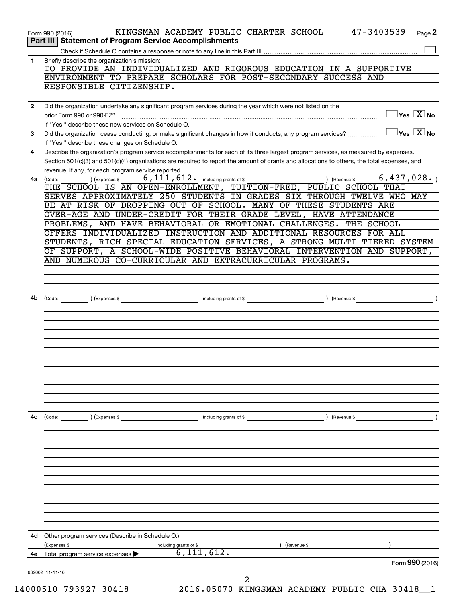|              | KINGSMAN ACADEMY PUBLIC CHARTER SCHOOL<br>Page 2<br>Form 990 (2016)<br>Part III   Statement of Program Service Accomplishments                                    |
|--------------|-------------------------------------------------------------------------------------------------------------------------------------------------------------------|
|              |                                                                                                                                                                   |
| 1            | Briefly describe the organization's mission:                                                                                                                      |
|              | TO PROVIDE AN INDIVIDUALIZED AND RIGOROUS EDUCATION IN A SUPPORTIVE                                                                                               |
|              | ENVIRONMENT TO PREPARE SCHOLARS FOR POST-SECONDARY SUCCESS AND                                                                                                    |
|              | RESPONSIBLE CITIZENSHIP.                                                                                                                                          |
| $\mathbf{2}$ | Did the organization undertake any significant program services during the year which were not listed on the                                                      |
|              | $Yes \quad X$ No                                                                                                                                                  |
|              | If "Yes." describe these new services on Schedule O.                                                                                                              |
| 3            | $\mathsf{Yes} \mathbin{\overline{X}} \mathsf{No}$<br>Did the organization cease conducting, or make significant changes in how it conducts, any program services? |
|              | If "Yes," describe these changes on Schedule O.                                                                                                                   |
| 4            | Describe the organization's program service accomplishments for each of its three largest program services, as measured by expenses.                              |
|              | Section 501(c)(3) and 501(c)(4) organizations are required to report the amount of grants and allocations to others, the total expenses, and                      |
|              | revenue, if any, for each program service reported.<br>$6,111,612$ $\cdot$ including grants of \$<br>6,437,028.                                                   |
| 4a           | ) (Revenue \$<br>(Expenses \$<br>(Code:<br>THE SCHOOL IS AN OPEN-ENROLLMENT, TUITION-FREE, PUBLIC SCHOOL THAT                                                     |
|              | SERVES APPROXIMATELY 250 STUDENTS IN GRADES SIX THROUGH TWELVE WHO MAY                                                                                            |
|              | BE AT RISK OF DROPPING OUT OF SCHOOL. MANY OF THESE STUDENTS ARE                                                                                                  |
|              | OVER-AGE AND UNDER-CREDIT FOR THEIR GRADE LEVEL, HAVE ATTENDANCE                                                                                                  |
|              | PROBLEMS, AND HAVE BEHAVIORAL OR EMOTIONAL CHALLENGES. THE SCHOOL                                                                                                 |
|              | OFFERS INDIVIDUALIZED INSTRUCTION AND ADDITIONAL RESOURCES FOR ALL                                                                                                |
|              | STUDENTS, RICH SPECIAL EDUCATION SERVICES, A STRONG MULTI-TIERED SYSTEM                                                                                           |
|              | OF SUPPORT, A SCHOOL-WIDE POSITIVE BEHAVIORAL INTERVENTION AND SUPPORT,                                                                                           |
|              | AND NUMEROUS CO-CURRICULAR AND EXTRACURRICULAR PROGRAMS.                                                                                                          |
|              |                                                                                                                                                                   |
|              |                                                                                                                                                                   |
| 4b           | including grants of \$<br>(Revenue \$<br>(Code: ) (Expenses \$                                                                                                    |
|              |                                                                                                                                                                   |
|              |                                                                                                                                                                   |
|              |                                                                                                                                                                   |
|              |                                                                                                                                                                   |
|              |                                                                                                                                                                   |
|              |                                                                                                                                                                   |
|              |                                                                                                                                                                   |
|              |                                                                                                                                                                   |
|              |                                                                                                                                                                   |
|              |                                                                                                                                                                   |
|              |                                                                                                                                                                   |
| 4с           | ) (Revenue \$<br>(Code:<br>) (Expenses \$<br>including grants of \$                                                                                               |
|              |                                                                                                                                                                   |
|              |                                                                                                                                                                   |
|              |                                                                                                                                                                   |
|              |                                                                                                                                                                   |
|              |                                                                                                                                                                   |
|              |                                                                                                                                                                   |
|              |                                                                                                                                                                   |
|              |                                                                                                                                                                   |
|              |                                                                                                                                                                   |
|              |                                                                                                                                                                   |
| 4d           | Other program services (Describe in Schedule O.)                                                                                                                  |
|              | (Expenses \$<br>(Revenue \$<br>including grants of \$                                                                                                             |
|              | 6, 111, 612.<br>4e Total program service expenses<br>Form 990 (2016)                                                                                              |
|              | 632002 11-11-16                                                                                                                                                   |
|              | 2                                                                                                                                                                 |
|              | 14000510 793927 30418<br>2016.05070 KINGSMAN ACADEMY PUBLIC CHA 30418_1                                                                                           |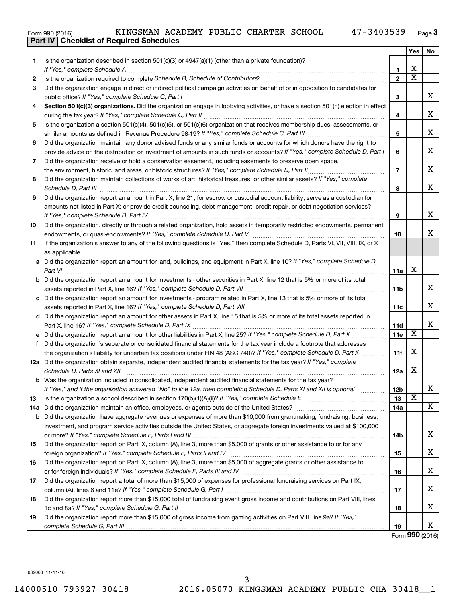| Form 990 (2016) |  |  |
|-----------------|--|--|

|     | <b>Part IV   Checklist of Required Schedules</b>                                                                                                                                                                                    |                 |                         |                         |
|-----|-------------------------------------------------------------------------------------------------------------------------------------------------------------------------------------------------------------------------------------|-----------------|-------------------------|-------------------------|
|     |                                                                                                                                                                                                                                     |                 | Yes                     | No                      |
| 1.  | Is the organization described in section 501(c)(3) or 4947(a)(1) (other than a private foundation)?                                                                                                                                 |                 |                         |                         |
|     |                                                                                                                                                                                                                                     | 1               | X                       |                         |
| 2   | Is the organization required to complete Schedule B, Schedule of Contributors? [11] the organization required to complete Schedule B, Schedule of Contributors?                                                                     | $\mathbf{2}$    | $\overline{\mathbf{X}}$ |                         |
| З   | Did the organization engage in direct or indirect political campaign activities on behalf of or in opposition to candidates for                                                                                                     |                 |                         |                         |
|     |                                                                                                                                                                                                                                     | 3               |                         | x                       |
| 4   | Section 501(c)(3) organizations. Did the organization engage in lobbying activities, or have a section 501(h) election in effect                                                                                                    |                 |                         |                         |
|     |                                                                                                                                                                                                                                     | 4               |                         | X                       |
| 5   | Is the organization a section 501(c)(4), 501(c)(5), or 501(c)(6) organization that receives membership dues, assessments, or                                                                                                        |                 |                         |                         |
|     |                                                                                                                                                                                                                                     | 5               |                         | х                       |
| 6   | Did the organization maintain any donor advised funds or any similar funds or accounts for which donors have the right to                                                                                                           |                 |                         |                         |
|     | provide advice on the distribution or investment of amounts in such funds or accounts? If "Yes," complete Schedule D, Part I                                                                                                        | 6               |                         | х                       |
|     |                                                                                                                                                                                                                                     |                 |                         |                         |
| 7   | Did the organization receive or hold a conservation easement, including easements to preserve open space,                                                                                                                           |                 |                         | х                       |
|     |                                                                                                                                                                                                                                     | $\overline{7}$  |                         |                         |
| 8   | Did the organization maintain collections of works of art, historical treasures, or other similar assets? If "Yes," complete                                                                                                        |                 |                         | X                       |
|     | Schedule D, Part III <b>Marting Community</b> Construction of the Construction of the Construction of the Construction of the Construction of the Construction of the Construction of the Construction of the Construction of the C | 8               |                         |                         |
| 9   | Did the organization report an amount in Part X, line 21, for escrow or custodial account liability, serve as a custodian for                                                                                                       |                 |                         |                         |
|     | amounts not listed in Part X; or provide credit counseling, debt management, credit repair, or debt negotiation services?                                                                                                           |                 |                         |                         |
|     | If "Yes," complete Schedule D, Part IV                                                                                                                                                                                              | 9               |                         | х                       |
| 10  | Did the organization, directly or through a related organization, hold assets in temporarily restricted endowments, permanent                                                                                                       |                 |                         |                         |
|     |                                                                                                                                                                                                                                     | 10              |                         | х                       |
| 11  | If the organization's answer to any of the following questions is "Yes," then complete Schedule D, Parts VI, VII, VIII, IX, or X                                                                                                    |                 |                         |                         |
|     | as applicable.                                                                                                                                                                                                                      |                 |                         |                         |
|     | a Did the organization report an amount for land, buildings, and equipment in Part X, line 10? If "Yes," complete Schedule D,                                                                                                       |                 |                         |                         |
|     | Part VI                                                                                                                                                                                                                             | 11a             | х                       |                         |
|     | <b>b</b> Did the organization report an amount for investments - other securities in Part X, line 12 that is 5% or more of its total                                                                                                |                 |                         |                         |
|     | assets reported in Part X, line 16? If "Yes," complete Schedule D, Part VII [[[[[[[[[[[[[[[[[[[[[[[[[[[[[[[[[                                                                                                                       | 11b             |                         | х                       |
|     | c Did the organization report an amount for investments - program related in Part X, line 13 that is 5% or more of its total                                                                                                        |                 |                         |                         |
|     |                                                                                                                                                                                                                                     | 11c             |                         | X                       |
|     | d Did the organization report an amount for other assets in Part X, line 15 that is 5% or more of its total assets reported in                                                                                                      |                 |                         |                         |
|     |                                                                                                                                                                                                                                     | 11d             |                         | х                       |
|     |                                                                                                                                                                                                                                     | 11e             | Х                       |                         |
|     | f Did the organization's separate or consolidated financial statements for the tax year include a footnote that addresses                                                                                                           |                 |                         |                         |
|     | the organization's liability for uncertain tax positions under FIN 48 (ASC 740)? If "Yes," complete Schedule D, Part X                                                                                                              | 11f             | х                       |                         |
|     | 12a Did the organization obtain separate, independent audited financial statements for the tax year? If "Yes," complete                                                                                                             |                 |                         |                         |
|     | Schedule D, Parts XI and XII                                                                                                                                                                                                        | 12a             | х                       |                         |
|     | <b>b</b> Was the organization included in consolidated, independent audited financial statements for the tax year?                                                                                                                  |                 |                         |                         |
|     | If "Yes," and if the organization answered "No" to line 12a, then completing Schedule D, Parts XI and XII is optional <i>manum</i>                                                                                                  | 12 <sub>b</sub> |                         | х                       |
| 13  |                                                                                                                                                                                                                                     | 13              | X                       |                         |
| 14a |                                                                                                                                                                                                                                     | 14a             |                         | $\overline{\mathbf{x}}$ |
|     | <b>b</b> Did the organization have aggregate revenues or expenses of more than \$10,000 from grantmaking, fundraising, business,                                                                                                    |                 |                         |                         |
|     | investment, and program service activities outside the United States, or aggregate foreign investments valued at \$100,000                                                                                                          |                 |                         |                         |
|     |                                                                                                                                                                                                                                     | 14b             |                         | х                       |
| 15  | Did the organization report on Part IX, column (A), line 3, more than \$5,000 of grants or other assistance to or for any                                                                                                           |                 |                         |                         |
|     |                                                                                                                                                                                                                                     | 15              |                         | х                       |
| 16  | Did the organization report on Part IX, column (A), line 3, more than \$5,000 of aggregate grants or other assistance to                                                                                                            |                 |                         |                         |
|     |                                                                                                                                                                                                                                     | 16              |                         | х                       |
| 17  | Did the organization report a total of more than \$15,000 of expenses for professional fundraising services on Part IX,                                                                                                             |                 |                         |                         |
|     |                                                                                                                                                                                                                                     | 17              |                         | х                       |
| 18  | Did the organization report more than \$15,000 total of fundraising event gross income and contributions on Part VIII, lines                                                                                                        |                 |                         |                         |
|     |                                                                                                                                                                                                                                     | 18              |                         | х                       |
| 19  | Did the organization report more than \$15,000 of gross income from gaming activities on Part VIII, line 9a? If "Yes,"                                                                                                              |                 |                         |                         |
|     |                                                                                                                                                                                                                                     | 19              |                         | х                       |
|     |                                                                                                                                                                                                                                     |                 |                         |                         |

Form (2016) **990**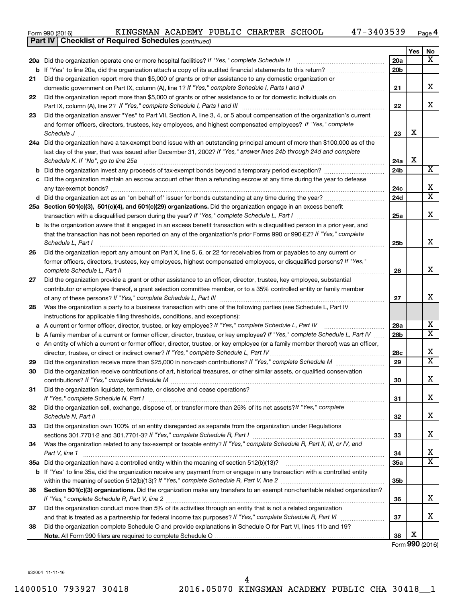| Form 990 (2016) |  |  | KINGSMAN ACADEMY PUBLIC CHARTER SCHOOL |  |  |  |  | 47-3403539 | Page |  |
|-----------------|--|--|----------------------------------------|--|--|--|--|------------|------|--|
|-----------------|--|--|----------------------------------------|--|--|--|--|------------|------|--|

|    | <b>Part IV   Checklist of Required Schedules (continued)</b>                                                                                                                                                                        |                 |     |                              |
|----|-------------------------------------------------------------------------------------------------------------------------------------------------------------------------------------------------------------------------------------|-----------------|-----|------------------------------|
|    |                                                                                                                                                                                                                                     |                 | Yes | No                           |
|    | 20a Did the organization operate one or more hospital facilities? If "Yes," complete Schedule H                                                                                                                                     | 20a             |     | $\overline{\mathbf{X}}$      |
|    |                                                                                                                                                                                                                                     | 20 <sub>b</sub> |     |                              |
| 21 | Did the organization report more than \$5,000 of grants or other assistance to any domestic organization or                                                                                                                         |                 |     |                              |
|    |                                                                                                                                                                                                                                     | 21              |     | x                            |
| 22 | Did the organization report more than \$5,000 of grants or other assistance to or for domestic individuals on                                                                                                                       |                 |     |                              |
|    |                                                                                                                                                                                                                                     | 22              |     | x                            |
| 23 | Did the organization answer "Yes" to Part VII, Section A, line 3, 4, or 5 about compensation of the organization's current                                                                                                          |                 |     |                              |
|    | and former officers, directors, trustees, key employees, and highest compensated employees? If "Yes," complete                                                                                                                      |                 |     |                              |
|    | Schedule J <b>Executive Constructs</b> of the Construction of the Construction of the Construction of the Construction of the Construction of the Construction of the Construction of the Construction of the Construction of the C | 23              | х   |                              |
|    | 24a Did the organization have a tax-exempt bond issue with an outstanding principal amount of more than \$100,000 as of the                                                                                                         |                 |     |                              |
|    | last day of the year, that was issued after December 31, 2002? If "Yes," answer lines 24b through 24d and complete                                                                                                                  |                 |     |                              |
|    | Schedule K. If "No", go to line 25a                                                                                                                                                                                                 | 24a             | X   |                              |
| b  |                                                                                                                                                                                                                                     | 24 <sub>b</sub> |     | $\overline{\text{X}}$        |
|    | Did the organization maintain an escrow account other than a refunding escrow at any time during the year to defease                                                                                                                |                 |     |                              |
|    |                                                                                                                                                                                                                                     | 24c             |     | х                            |
|    | d Did the organization act as an "on behalf of" issuer for bonds outstanding at any time during the year?                                                                                                                           | 24d             |     | $\overline{\textbf{x}}$      |
|    | 25a Section 501(c)(3), 501(c)(4), and 501(c)(29) organizations. Did the organization engage in an excess benefit                                                                                                                    |                 |     |                              |
|    | transaction with a disqualified person during the year? If "Yes," complete Schedule L, Part I manual manual manual manual manual manual manual manual manual manual manual manual manual manual manual manual manual manual ma      | 25a             |     | X                            |
|    | b Is the organization aware that it engaged in an excess benefit transaction with a disqualified person in a prior year, and                                                                                                        |                 |     |                              |
|    | that the transaction has not been reported on any of the organization's prior Forms 990 or 990-EZ? If "Yes," complete                                                                                                               |                 |     |                              |
|    | Schedule L, Part I                                                                                                                                                                                                                  | 25b             |     | x                            |
| 26 | Did the organization report any amount on Part X, line 5, 6, or 22 for receivables from or payables to any current or                                                                                                               |                 |     |                              |
|    | former officers, directors, trustees, key employees, highest compensated employees, or disqualified persons? If "Yes,"                                                                                                              |                 |     |                              |
|    | complete Schedule L, Part II                                                                                                                                                                                                        | 26              |     | x                            |
| 27 | Did the organization provide a grant or other assistance to an officer, director, trustee, key employee, substantial                                                                                                                |                 |     |                              |
|    | contributor or employee thereof, a grant selection committee member, or to a 35% controlled entity or family member                                                                                                                 |                 |     |                              |
|    |                                                                                                                                                                                                                                     | 27              |     | x                            |
| 28 | Was the organization a party to a business transaction with one of the following parties (see Schedule L, Part IV                                                                                                                   |                 |     |                              |
|    | instructions for applicable filing thresholds, conditions, and exceptions):                                                                                                                                                         |                 |     |                              |
| а  | A current or former officer, director, trustee, or key employee? If "Yes," complete Schedule L, Part IV                                                                                                                             | 28a             |     | x                            |
| b  | A family member of a current or former officer, director, trustee, or key employee? If "Yes," complete Schedule L, Part IV                                                                                                          | 28 <sub>b</sub> |     | $\overline{\text{X}}$        |
|    | c An entity of which a current or former officer, director, trustee, or key employee (or a family member thereof) was an officer,                                                                                                   |                 |     |                              |
|    | director, trustee, or direct or indirect owner? If "Yes," complete Schedule L, Part IV                                                                                                                                              | 28c             |     | x<br>$\overline{\mathtt{x}}$ |
| 29 |                                                                                                                                                                                                                                     | 29              |     |                              |
| 30 | Did the organization receive contributions of art, historical treasures, or other similar assets, or qualified conservation                                                                                                         |                 |     | Y                            |
|    |                                                                                                                                                                                                                                     | 30              |     | 4                            |
| 31 | Did the organization liquidate, terminate, or dissolve and cease operations?                                                                                                                                                        | 31              |     | x                            |
| 32 | Did the organization sell, exchange, dispose of, or transfer more than 25% of its net assets?/f "Yes," complete                                                                                                                     |                 |     |                              |
|    |                                                                                                                                                                                                                                     | 32              |     | x                            |
| 33 | Did the organization own 100% of an entity disregarded as separate from the organization under Regulations                                                                                                                          |                 |     |                              |
|    |                                                                                                                                                                                                                                     | 33              |     | x                            |
| 34 | Was the organization related to any tax-exempt or taxable entity? If "Yes," complete Schedule R, Part II, III, or IV, and                                                                                                           |                 |     |                              |
|    | Part V, line 1                                                                                                                                                                                                                      | 34              |     | x                            |
|    |                                                                                                                                                                                                                                     | 35a             |     | $\overline{\mathtt{x}}$      |
|    | b If "Yes" to line 35a, did the organization receive any payment from or engage in any transaction with a controlled entity                                                                                                         |                 |     |                              |
|    |                                                                                                                                                                                                                                     | 35 <sub>b</sub> |     |                              |
| 36 | Section 501(c)(3) organizations. Did the organization make any transfers to an exempt non-charitable related organization?                                                                                                          |                 |     |                              |
|    |                                                                                                                                                                                                                                     | 36              |     | x                            |
| 37 | Did the organization conduct more than 5% of its activities through an entity that is not a related organization                                                                                                                    |                 |     |                              |
|    |                                                                                                                                                                                                                                     | 37              |     | x                            |
| 38 | Did the organization complete Schedule O and provide explanations in Schedule O for Part VI, lines 11b and 19?                                                                                                                      |                 |     |                              |
|    |                                                                                                                                                                                                                                     | 38              | X   |                              |

Form (2016) **990**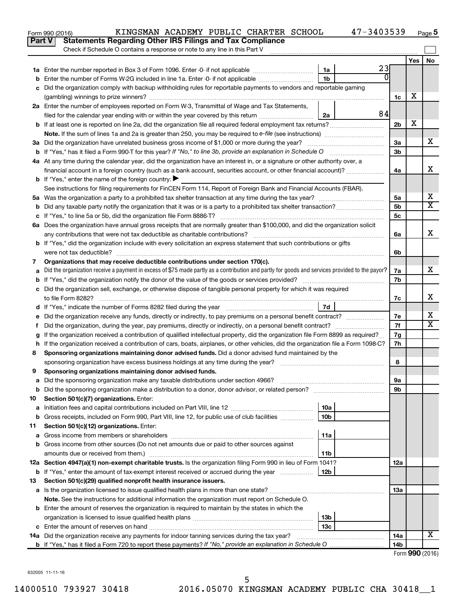|               | 47-3403539<br>KINGSMAN ACADEMY PUBLIC CHARTER SCHOOL<br>Form 990 (2016)                                                                         |                 |     | Page 5          |
|---------------|-------------------------------------------------------------------------------------------------------------------------------------------------|-----------------|-----|-----------------|
| <b>Part V</b> | <b>Statements Regarding Other IRS Filings and Tax Compliance</b>                                                                                |                 |     |                 |
|               | Check if Schedule O contains a response or note to any line in this Part V                                                                      |                 |     |                 |
|               |                                                                                                                                                 |                 | Yes | No              |
|               | 23<br>1a                                                                                                                                        |                 |     |                 |
| b             | $\Omega$<br>1 <sub>b</sub><br>Enter the number of Forms W-2G included in line 1a. Enter -0- if not applicable                                   |                 |     |                 |
| c             | Did the organization comply with backup withholding rules for reportable payments to vendors and reportable gaming                              |                 |     |                 |
|               |                                                                                                                                                 | 1c              | X   |                 |
|               | 2a Enter the number of employees reported on Form W-3, Transmittal of Wage and Tax Statements,                                                  |                 |     |                 |
|               | 84<br>filed for the calendar year ending with or within the year covered by this return<br>2a                                                   |                 |     |                 |
|               | <b>b</b> If at least one is reported on line 2a, did the organization file all required federal employment tax returns?                         | 2 <sub>b</sub>  | х   |                 |
|               |                                                                                                                                                 |                 |     |                 |
|               |                                                                                                                                                 | 3a              |     | x               |
|               |                                                                                                                                                 | 3 <sub>b</sub>  |     |                 |
|               | 4a At any time during the calendar year, did the organization have an interest in, or a signature or other authority over, a                    |                 |     |                 |
|               | financial account in a foreign country (such as a bank account, securities account, or other financial account)?                                | 4a              |     | X               |
|               | <b>b</b> If "Yes," enter the name of the foreign country: $\blacktriangleright$                                                                 |                 |     |                 |
|               | See instructions for filing requirements for FinCEN Form 114, Report of Foreign Bank and Financial Accounts (FBAR).                             |                 |     |                 |
|               |                                                                                                                                                 | 5a              |     | х               |
| b             |                                                                                                                                                 | 5 <sub>b</sub>  |     | X               |
|               |                                                                                                                                                 | 5c              |     |                 |
|               | 6a Does the organization have annual gross receipts that are normally greater than \$100,000, and did the organization solicit                  |                 |     |                 |
|               |                                                                                                                                                 | 6a              |     | X               |
|               | b If "Yes," did the organization include with every solicitation an express statement that such contributions or gifts                          |                 |     |                 |
|               |                                                                                                                                                 | 6b              |     |                 |
| 7             | Organizations that may receive deductible contributions under section 170(c).                                                                   |                 |     |                 |
| a             | Did the organization receive a payment in excess of \$75 made partly as a contribution and partly for goods and services provided to the payor? | 7a              |     | x               |
| b             |                                                                                                                                                 | 7b              |     |                 |
|               | c Did the organization sell, exchange, or otherwise dispose of tangible personal property for which it was required                             |                 |     |                 |
|               |                                                                                                                                                 | 7c              |     | х               |
|               | 7d                                                                                                                                              |                 |     |                 |
|               |                                                                                                                                                 | 7e              |     | х               |
| Ť.            | Did the organization, during the year, pay premiums, directly or indirectly, on a personal benefit contract?                                    | 7f              |     | X               |
| g             | If the organization received a contribution of qualified intellectual property, did the organization file Form 8899 as required?                | 7g              |     |                 |
|               | h If the organization received a contribution of cars, boats, airplanes, or other vehicles, did the organization file a Form 1098-C?            | 7h              |     |                 |
| 8             | Sponsoring organizations maintaining donor advised funds. Did a donor advised fund maintained by the                                            |                 |     |                 |
|               |                                                                                                                                                 | 8               |     |                 |
|               | Sponsoring organizations maintaining donor advised funds.                                                                                       |                 |     |                 |
| а             | Did the sponsoring organization make any taxable distributions under section 4966?                                                              | 9а              |     |                 |
| b             | Did the sponsoring organization make a distribution to a donor, donor advisor, or related person?                                               | 9b              |     |                 |
| 10            | Section 501(c)(7) organizations. Enter:                                                                                                         |                 |     |                 |
| a             | 10a                                                                                                                                             |                 |     |                 |
| b             | 10 <sub>b</sub><br>Gross receipts, included on Form 990, Part VIII, line 12, for public use of club facilities                                  |                 |     |                 |
| 11            | Section 501(c)(12) organizations. Enter:                                                                                                        |                 |     |                 |
| а             | 11a                                                                                                                                             |                 |     |                 |
| b             | Gross income from other sources (Do not net amounts due or paid to other sources against                                                        |                 |     |                 |
|               | amounts due or received from them.)<br>11b                                                                                                      |                 |     |                 |
|               | 12a Section 4947(a)(1) non-exempt charitable trusts. Is the organization filing Form 990 in lieu of Form 1041?                                  | 12a             |     |                 |
|               | <b>b</b> If "Yes," enter the amount of tax-exempt interest received or accrued during the year<br>12b                                           |                 |     |                 |
| 13            | Section 501(c)(29) qualified nonprofit health insurance issuers.                                                                                |                 |     |                 |
| а             | Is the organization licensed to issue qualified health plans in more than one state?                                                            | 13a             |     |                 |
|               | Note. See the instructions for additional information the organization must report on Schedule O.                                               |                 |     |                 |
|               | <b>b</b> Enter the amount of reserves the organization is required to maintain by the states in which the                                       |                 |     |                 |
|               | 13b                                                                                                                                             |                 |     |                 |
| c             | 13c                                                                                                                                             |                 |     |                 |
|               | 14a Did the organization receive any payments for indoor tanning services during the tax year?                                                  | 14a             |     | x               |
|               |                                                                                                                                                 | 14 <sub>b</sub> |     |                 |
|               |                                                                                                                                                 |                 |     | Form 990 (2016) |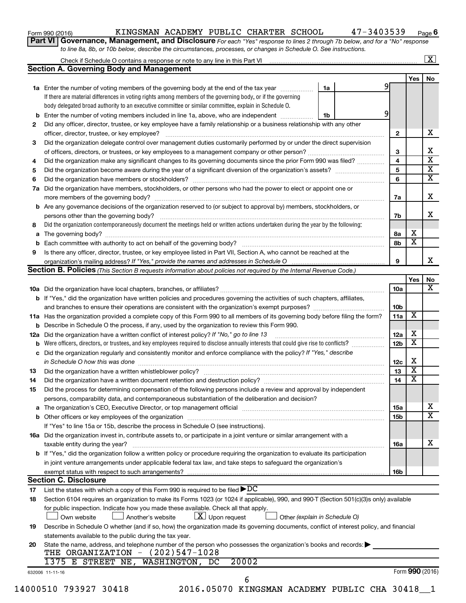| Form 990 (2016) |  |
|-----------------|--|
|-----------------|--|

## Form 990 (2016) KINGSMAN ACADEMY PUBLIC CHARTER SCHOOL 47-3403539 <sub>Page</sub>

**Part VI** Governance, Management, and Disclosure For each "Yes" response to lines 2 through 7b below, and for a "No" response *to line 8a, 8b, or 10b below, describe the circumstances, processes, or changes in Schedule O. See instructions.*

| <b>Section A. Governing Body and Management</b>                                                                                                                                                                                                 |                                                                                                                                                                                                                                                                                                                                                                             |                                                                                                                                                                                                        |                                                                                                                                                                                                                                                                                                                                                                                                                                                                                                                                                                                                                                                                                                                                                                                                                                                                                                                                                                                                                                                                                                                                                                                                                                                                                                                                                                                                                                                                                                                                                                                                                                                                                                                                                                                                                                                                                                                                                                                                                                                                                                                                          |                                                                           | $\mathbf{X}$                                                                                 |
|-------------------------------------------------------------------------------------------------------------------------------------------------------------------------------------------------------------------------------------------------|-----------------------------------------------------------------------------------------------------------------------------------------------------------------------------------------------------------------------------------------------------------------------------------------------------------------------------------------------------------------------------|--------------------------------------------------------------------------------------------------------------------------------------------------------------------------------------------------------|------------------------------------------------------------------------------------------------------------------------------------------------------------------------------------------------------------------------------------------------------------------------------------------------------------------------------------------------------------------------------------------------------------------------------------------------------------------------------------------------------------------------------------------------------------------------------------------------------------------------------------------------------------------------------------------------------------------------------------------------------------------------------------------------------------------------------------------------------------------------------------------------------------------------------------------------------------------------------------------------------------------------------------------------------------------------------------------------------------------------------------------------------------------------------------------------------------------------------------------------------------------------------------------------------------------------------------------------------------------------------------------------------------------------------------------------------------------------------------------------------------------------------------------------------------------------------------------------------------------------------------------------------------------------------------------------------------------------------------------------------------------------------------------------------------------------------------------------------------------------------------------------------------------------------------------------------------------------------------------------------------------------------------------------------------------------------------------------------------------------------------------|---------------------------------------------------------------------------|----------------------------------------------------------------------------------------------|
|                                                                                                                                                                                                                                                 |                                                                                                                                                                                                                                                                                                                                                                             |                                                                                                                                                                                                        |                                                                                                                                                                                                                                                                                                                                                                                                                                                                                                                                                                                                                                                                                                                                                                                                                                                                                                                                                                                                                                                                                                                                                                                                                                                                                                                                                                                                                                                                                                                                                                                                                                                                                                                                                                                                                                                                                                                                                                                                                                                                                                                                          |                                                                           |                                                                                              |
|                                                                                                                                                                                                                                                 |                                                                                                                                                                                                                                                                                                                                                                             |                                                                                                                                                                                                        |                                                                                                                                                                                                                                                                                                                                                                                                                                                                                                                                                                                                                                                                                                                                                                                                                                                                                                                                                                                                                                                                                                                                                                                                                                                                                                                                                                                                                                                                                                                                                                                                                                                                                                                                                                                                                                                                                                                                                                                                                                                                                                                                          | Yes                                                                       | No                                                                                           |
| 1a Enter the number of voting members of the governing body at the end of the tax year                                                                                                                                                          | 1a                                                                                                                                                                                                                                                                                                                                                                          | 9                                                                                                                                                                                                      |                                                                                                                                                                                                                                                                                                                                                                                                                                                                                                                                                                                                                                                                                                                                                                                                                                                                                                                                                                                                                                                                                                                                                                                                                                                                                                                                                                                                                                                                                                                                                                                                                                                                                                                                                                                                                                                                                                                                                                                                                                                                                                                                          |                                                                           |                                                                                              |
| If there are material differences in voting rights among members of the governing body, or if the governing                                                                                                                                     |                                                                                                                                                                                                                                                                                                                                                                             |                                                                                                                                                                                                        |                                                                                                                                                                                                                                                                                                                                                                                                                                                                                                                                                                                                                                                                                                                                                                                                                                                                                                                                                                                                                                                                                                                                                                                                                                                                                                                                                                                                                                                                                                                                                                                                                                                                                                                                                                                                                                                                                                                                                                                                                                                                                                                                          |                                                                           |                                                                                              |
| body delegated broad authority to an executive committee or similar committee, explain in Schedule O.                                                                                                                                           |                                                                                                                                                                                                                                                                                                                                                                             |                                                                                                                                                                                                        |                                                                                                                                                                                                                                                                                                                                                                                                                                                                                                                                                                                                                                                                                                                                                                                                                                                                                                                                                                                                                                                                                                                                                                                                                                                                                                                                                                                                                                                                                                                                                                                                                                                                                                                                                                                                                                                                                                                                                                                                                                                                                                                                          |                                                                           |                                                                                              |
|                                                                                                                                                                                                                                                 | 1b                                                                                                                                                                                                                                                                                                                                                                          |                                                                                                                                                                                                        |                                                                                                                                                                                                                                                                                                                                                                                                                                                                                                                                                                                                                                                                                                                                                                                                                                                                                                                                                                                                                                                                                                                                                                                                                                                                                                                                                                                                                                                                                                                                                                                                                                                                                                                                                                                                                                                                                                                                                                                                                                                                                                                                          |                                                                           |                                                                                              |
|                                                                                                                                                                                                                                                 |                                                                                                                                                                                                                                                                                                                                                                             |                                                                                                                                                                                                        |                                                                                                                                                                                                                                                                                                                                                                                                                                                                                                                                                                                                                                                                                                                                                                                                                                                                                                                                                                                                                                                                                                                                                                                                                                                                                                                                                                                                                                                                                                                                                                                                                                                                                                                                                                                                                                                                                                                                                                                                                                                                                                                                          |                                                                           |                                                                                              |
|                                                                                                                                                                                                                                                 |                                                                                                                                                                                                                                                                                                                                                                             |                                                                                                                                                                                                        | $\mathbf{2}$                                                                                                                                                                                                                                                                                                                                                                                                                                                                                                                                                                                                                                                                                                                                                                                                                                                                                                                                                                                                                                                                                                                                                                                                                                                                                                                                                                                                                                                                                                                                                                                                                                                                                                                                                                                                                                                                                                                                                                                                                                                                                                                             |                                                                           |                                                                                              |
|                                                                                                                                                                                                                                                 |                                                                                                                                                                                                                                                                                                                                                                             |                                                                                                                                                                                                        |                                                                                                                                                                                                                                                                                                                                                                                                                                                                                                                                                                                                                                                                                                                                                                                                                                                                                                                                                                                                                                                                                                                                                                                                                                                                                                                                                                                                                                                                                                                                                                                                                                                                                                                                                                                                                                                                                                                                                                                                                                                                                                                                          |                                                                           |                                                                                              |
|                                                                                                                                                                                                                                                 |                                                                                                                                                                                                                                                                                                                                                                             |                                                                                                                                                                                                        |                                                                                                                                                                                                                                                                                                                                                                                                                                                                                                                                                                                                                                                                                                                                                                                                                                                                                                                                                                                                                                                                                                                                                                                                                                                                                                                                                                                                                                                                                                                                                                                                                                                                                                                                                                                                                                                                                                                                                                                                                                                                                                                                          |                                                                           |                                                                                              |
|                                                                                                                                                                                                                                                 |                                                                                                                                                                                                                                                                                                                                                                             |                                                                                                                                                                                                        |                                                                                                                                                                                                                                                                                                                                                                                                                                                                                                                                                                                                                                                                                                                                                                                                                                                                                                                                                                                                                                                                                                                                                                                                                                                                                                                                                                                                                                                                                                                                                                                                                                                                                                                                                                                                                                                                                                                                                                                                                                                                                                                                          |                                                                           |                                                                                              |
|                                                                                                                                                                                                                                                 |                                                                                                                                                                                                                                                                                                                                                                             |                                                                                                                                                                                                        |                                                                                                                                                                                                                                                                                                                                                                                                                                                                                                                                                                                                                                                                                                                                                                                                                                                                                                                                                                                                                                                                                                                                                                                                                                                                                                                                                                                                                                                                                                                                                                                                                                                                                                                                                                                                                                                                                                                                                                                                                                                                                                                                          |                                                                           |                                                                                              |
|                                                                                                                                                                                                                                                 |                                                                                                                                                                                                                                                                                                                                                                             |                                                                                                                                                                                                        |                                                                                                                                                                                                                                                                                                                                                                                                                                                                                                                                                                                                                                                                                                                                                                                                                                                                                                                                                                                                                                                                                                                                                                                                                                                                                                                                                                                                                                                                                                                                                                                                                                                                                                                                                                                                                                                                                                                                                                                                                                                                                                                                          |                                                                           |                                                                                              |
|                                                                                                                                                                                                                                                 |                                                                                                                                                                                                                                                                                                                                                                             |                                                                                                                                                                                                        |                                                                                                                                                                                                                                                                                                                                                                                                                                                                                                                                                                                                                                                                                                                                                                                                                                                                                                                                                                                                                                                                                                                                                                                                                                                                                                                                                                                                                                                                                                                                                                                                                                                                                                                                                                                                                                                                                                                                                                                                                                                                                                                                          |                                                                           |                                                                                              |
|                                                                                                                                                                                                                                                 |                                                                                                                                                                                                                                                                                                                                                                             |                                                                                                                                                                                                        |                                                                                                                                                                                                                                                                                                                                                                                                                                                                                                                                                                                                                                                                                                                                                                                                                                                                                                                                                                                                                                                                                                                                                                                                                                                                                                                                                                                                                                                                                                                                                                                                                                                                                                                                                                                                                                                                                                                                                                                                                                                                                                                                          |                                                                           |                                                                                              |
|                                                                                                                                                                                                                                                 |                                                                                                                                                                                                                                                                                                                                                                             |                                                                                                                                                                                                        |                                                                                                                                                                                                                                                                                                                                                                                                                                                                                                                                                                                                                                                                                                                                                                                                                                                                                                                                                                                                                                                                                                                                                                                                                                                                                                                                                                                                                                                                                                                                                                                                                                                                                                                                                                                                                                                                                                                                                                                                                                                                                                                                          |                                                                           |                                                                                              |
|                                                                                                                                                                                                                                                 |                                                                                                                                                                                                                                                                                                                                                                             |                                                                                                                                                                                                        |                                                                                                                                                                                                                                                                                                                                                                                                                                                                                                                                                                                                                                                                                                                                                                                                                                                                                                                                                                                                                                                                                                                                                                                                                                                                                                                                                                                                                                                                                                                                                                                                                                                                                                                                                                                                                                                                                                                                                                                                                                                                                                                                          |                                                                           |                                                                                              |
|                                                                                                                                                                                                                                                 |                                                                                                                                                                                                                                                                                                                                                                             |                                                                                                                                                                                                        |                                                                                                                                                                                                                                                                                                                                                                                                                                                                                                                                                                                                                                                                                                                                                                                                                                                                                                                                                                                                                                                                                                                                                                                                                                                                                                                                                                                                                                                                                                                                                                                                                                                                                                                                                                                                                                                                                                                                                                                                                                                                                                                                          |                                                                           |                                                                                              |
|                                                                                                                                                                                                                                                 |                                                                                                                                                                                                                                                                                                                                                                             |                                                                                                                                                                                                        |                                                                                                                                                                                                                                                                                                                                                                                                                                                                                                                                                                                                                                                                                                                                                                                                                                                                                                                                                                                                                                                                                                                                                                                                                                                                                                                                                                                                                                                                                                                                                                                                                                                                                                                                                                                                                                                                                                                                                                                                                                                                                                                                          |                                                                           |                                                                                              |
|                                                                                                                                                                                                                                                 |                                                                                                                                                                                                                                                                                                                                                                             |                                                                                                                                                                                                        | 8а                                                                                                                                                                                                                                                                                                                                                                                                                                                                                                                                                                                                                                                                                                                                                                                                                                                                                                                                                                                                                                                                                                                                                                                                                                                                                                                                                                                                                                                                                                                                                                                                                                                                                                                                                                                                                                                                                                                                                                                                                                                                                                                                       |                                                                           |                                                                                              |
|                                                                                                                                                                                                                                                 |                                                                                                                                                                                                                                                                                                                                                                             |                                                                                                                                                                                                        | 8b                                                                                                                                                                                                                                                                                                                                                                                                                                                                                                                                                                                                                                                                                                                                                                                                                                                                                                                                                                                                                                                                                                                                                                                                                                                                                                                                                                                                                                                                                                                                                                                                                                                                                                                                                                                                                                                                                                                                                                                                                                                                                                                                       |                                                                           |                                                                                              |
|                                                                                                                                                                                                                                                 |                                                                                                                                                                                                                                                                                                                                                                             |                                                                                                                                                                                                        |                                                                                                                                                                                                                                                                                                                                                                                                                                                                                                                                                                                                                                                                                                                                                                                                                                                                                                                                                                                                                                                                                                                                                                                                                                                                                                                                                                                                                                                                                                                                                                                                                                                                                                                                                                                                                                                                                                                                                                                                                                                                                                                                          |                                                                           |                                                                                              |
|                                                                                                                                                                                                                                                 |                                                                                                                                                                                                                                                                                                                                                                             |                                                                                                                                                                                                        | 9                                                                                                                                                                                                                                                                                                                                                                                                                                                                                                                                                                                                                                                                                                                                                                                                                                                                                                                                                                                                                                                                                                                                                                                                                                                                                                                                                                                                                                                                                                                                                                                                                                                                                                                                                                                                                                                                                                                                                                                                                                                                                                                                        |                                                                           |                                                                                              |
|                                                                                                                                                                                                                                                 |                                                                                                                                                                                                                                                                                                                                                                             |                                                                                                                                                                                                        |                                                                                                                                                                                                                                                                                                                                                                                                                                                                                                                                                                                                                                                                                                                                                                                                                                                                                                                                                                                                                                                                                                                                                                                                                                                                                                                                                                                                                                                                                                                                                                                                                                                                                                                                                                                                                                                                                                                                                                                                                                                                                                                                          |                                                                           |                                                                                              |
|                                                                                                                                                                                                                                                 |                                                                                                                                                                                                                                                                                                                                                                             |                                                                                                                                                                                                        |                                                                                                                                                                                                                                                                                                                                                                                                                                                                                                                                                                                                                                                                                                                                                                                                                                                                                                                                                                                                                                                                                                                                                                                                                                                                                                                                                                                                                                                                                                                                                                                                                                                                                                                                                                                                                                                                                                                                                                                                                                                                                                                                          | Yes                                                                       |                                                                                              |
|                                                                                                                                                                                                                                                 |                                                                                                                                                                                                                                                                                                                                                                             |                                                                                                                                                                                                        |                                                                                                                                                                                                                                                                                                                                                                                                                                                                                                                                                                                                                                                                                                                                                                                                                                                                                                                                                                                                                                                                                                                                                                                                                                                                                                                                                                                                                                                                                                                                                                                                                                                                                                                                                                                                                                                                                                                                                                                                                                                                                                                                          |                                                                           |                                                                                              |
|                                                                                                                                                                                                                                                 |                                                                                                                                                                                                                                                                                                                                                                             |                                                                                                                                                                                                        |                                                                                                                                                                                                                                                                                                                                                                                                                                                                                                                                                                                                                                                                                                                                                                                                                                                                                                                                                                                                                                                                                                                                                                                                                                                                                                                                                                                                                                                                                                                                                                                                                                                                                                                                                                                                                                                                                                                                                                                                                                                                                                                                          |                                                                           |                                                                                              |
|                                                                                                                                                                                                                                                 |                                                                                                                                                                                                                                                                                                                                                                             |                                                                                                                                                                                                        | 10b                                                                                                                                                                                                                                                                                                                                                                                                                                                                                                                                                                                                                                                                                                                                                                                                                                                                                                                                                                                                                                                                                                                                                                                                                                                                                                                                                                                                                                                                                                                                                                                                                                                                                                                                                                                                                                                                                                                                                                                                                                                                                                                                      |                                                                           |                                                                                              |
|                                                                                                                                                                                                                                                 |                                                                                                                                                                                                                                                                                                                                                                             |                                                                                                                                                                                                        | 11a                                                                                                                                                                                                                                                                                                                                                                                                                                                                                                                                                                                                                                                                                                                                                                                                                                                                                                                                                                                                                                                                                                                                                                                                                                                                                                                                                                                                                                                                                                                                                                                                                                                                                                                                                                                                                                                                                                                                                                                                                                                                                                                                      |                                                                           |                                                                                              |
|                                                                                                                                                                                                                                                 |                                                                                                                                                                                                                                                                                                                                                                             |                                                                                                                                                                                                        |                                                                                                                                                                                                                                                                                                                                                                                                                                                                                                                                                                                                                                                                                                                                                                                                                                                                                                                                                                                                                                                                                                                                                                                                                                                                                                                                                                                                                                                                                                                                                                                                                                                                                                                                                                                                                                                                                                                                                                                                                                                                                                                                          |                                                                           |                                                                                              |
|                                                                                                                                                                                                                                                 |                                                                                                                                                                                                                                                                                                                                                                             |                                                                                                                                                                                                        | 12a                                                                                                                                                                                                                                                                                                                                                                                                                                                                                                                                                                                                                                                                                                                                                                                                                                                                                                                                                                                                                                                                                                                                                                                                                                                                                                                                                                                                                                                                                                                                                                                                                                                                                                                                                                                                                                                                                                                                                                                                                                                                                                                                      | х                                                                         |                                                                                              |
|                                                                                                                                                                                                                                                 |                                                                                                                                                                                                                                                                                                                                                                             |                                                                                                                                                                                                        | 12 <sub>b</sub>                                                                                                                                                                                                                                                                                                                                                                                                                                                                                                                                                                                                                                                                                                                                                                                                                                                                                                                                                                                                                                                                                                                                                                                                                                                                                                                                                                                                                                                                                                                                                                                                                                                                                                                                                                                                                                                                                                                                                                                                                                                                                                                          | $\overline{\mathbf{X}}$                                                   |                                                                                              |
|                                                                                                                                                                                                                                                 |                                                                                                                                                                                                                                                                                                                                                                             |                                                                                                                                                                                                        |                                                                                                                                                                                                                                                                                                                                                                                                                                                                                                                                                                                                                                                                                                                                                                                                                                                                                                                                                                                                                                                                                                                                                                                                                                                                                                                                                                                                                                                                                                                                                                                                                                                                                                                                                                                                                                                                                                                                                                                                                                                                                                                                          |                                                                           |                                                                                              |
|                                                                                                                                                                                                                                                 |                                                                                                                                                                                                                                                                                                                                                                             |                                                                                                                                                                                                        |                                                                                                                                                                                                                                                                                                                                                                                                                                                                                                                                                                                                                                                                                                                                                                                                                                                                                                                                                                                                                                                                                                                                                                                                                                                                                                                                                                                                                                                                                                                                                                                                                                                                                                                                                                                                                                                                                                                                                                                                                                                                                                                                          |                                                                           |                                                                                              |
|                                                                                                                                                                                                                                                 |                                                                                                                                                                                                                                                                                                                                                                             |                                                                                                                                                                                                        |                                                                                                                                                                                                                                                                                                                                                                                                                                                                                                                                                                                                                                                                                                                                                                                                                                                                                                                                                                                                                                                                                                                                                                                                                                                                                                                                                                                                                                                                                                                                                                                                                                                                                                                                                                                                                                                                                                                                                                                                                                                                                                                                          |                                                                           |                                                                                              |
|                                                                                                                                                                                                                                                 |                                                                                                                                                                                                                                                                                                                                                                             |                                                                                                                                                                                                        |                                                                                                                                                                                                                                                                                                                                                                                                                                                                                                                                                                                                                                                                                                                                                                                                                                                                                                                                                                                                                                                                                                                                                                                                                                                                                                                                                                                                                                                                                                                                                                                                                                                                                                                                                                                                                                                                                                                                                                                                                                                                                                                                          |                                                                           |                                                                                              |
|                                                                                                                                                                                                                                                 |                                                                                                                                                                                                                                                                                                                                                                             |                                                                                                                                                                                                        |                                                                                                                                                                                                                                                                                                                                                                                                                                                                                                                                                                                                                                                                                                                                                                                                                                                                                                                                                                                                                                                                                                                                                                                                                                                                                                                                                                                                                                                                                                                                                                                                                                                                                                                                                                                                                                                                                                                                                                                                                                                                                                                                          |                                                                           |                                                                                              |
|                                                                                                                                                                                                                                                 |                                                                                                                                                                                                                                                                                                                                                                             |                                                                                                                                                                                                        |                                                                                                                                                                                                                                                                                                                                                                                                                                                                                                                                                                                                                                                                                                                                                                                                                                                                                                                                                                                                                                                                                                                                                                                                                                                                                                                                                                                                                                                                                                                                                                                                                                                                                                                                                                                                                                                                                                                                                                                                                                                                                                                                          |                                                                           |                                                                                              |
|                                                                                                                                                                                                                                                 |                                                                                                                                                                                                                                                                                                                                                                             |                                                                                                                                                                                                        |                                                                                                                                                                                                                                                                                                                                                                                                                                                                                                                                                                                                                                                                                                                                                                                                                                                                                                                                                                                                                                                                                                                                                                                                                                                                                                                                                                                                                                                                                                                                                                                                                                                                                                                                                                                                                                                                                                                                                                                                                                                                                                                                          |                                                                           |                                                                                              |
|                                                                                                                                                                                                                                                 |                                                                                                                                                                                                                                                                                                                                                                             |                                                                                                                                                                                                        |                                                                                                                                                                                                                                                                                                                                                                                                                                                                                                                                                                                                                                                                                                                                                                                                                                                                                                                                                                                                                                                                                                                                                                                                                                                                                                                                                                                                                                                                                                                                                                                                                                                                                                                                                                                                                                                                                                                                                                                                                                                                                                                                          |                                                                           |                                                                                              |
|                                                                                                                                                                                                                                                 |                                                                                                                                                                                                                                                                                                                                                                             |                                                                                                                                                                                                        |                                                                                                                                                                                                                                                                                                                                                                                                                                                                                                                                                                                                                                                                                                                                                                                                                                                                                                                                                                                                                                                                                                                                                                                                                                                                                                                                                                                                                                                                                                                                                                                                                                                                                                                                                                                                                                                                                                                                                                                                                                                                                                                                          |                                                                           |                                                                                              |
|                                                                                                                                                                                                                                                 |                                                                                                                                                                                                                                                                                                                                                                             |                                                                                                                                                                                                        |                                                                                                                                                                                                                                                                                                                                                                                                                                                                                                                                                                                                                                                                                                                                                                                                                                                                                                                                                                                                                                                                                                                                                                                                                                                                                                                                                                                                                                                                                                                                                                                                                                                                                                                                                                                                                                                                                                                                                                                                                                                                                                                                          |                                                                           |                                                                                              |
|                                                                                                                                                                                                                                                 |                                                                                                                                                                                                                                                                                                                                                                             |                                                                                                                                                                                                        |                                                                                                                                                                                                                                                                                                                                                                                                                                                                                                                                                                                                                                                                                                                                                                                                                                                                                                                                                                                                                                                                                                                                                                                                                                                                                                                                                                                                                                                                                                                                                                                                                                                                                                                                                                                                                                                                                                                                                                                                                                                                                                                                          |                                                                           |                                                                                              |
|                                                                                                                                                                                                                                                 |                                                                                                                                                                                                                                                                                                                                                                             |                                                                                                                                                                                                        | 16a                                                                                                                                                                                                                                                                                                                                                                                                                                                                                                                                                                                                                                                                                                                                                                                                                                                                                                                                                                                                                                                                                                                                                                                                                                                                                                                                                                                                                                                                                                                                                                                                                                                                                                                                                                                                                                                                                                                                                                                                                                                                                                                                      |                                                                           |                                                                                              |
| b If "Yes," did the organization follow a written policy or procedure requiring the organization to evaluate its participation                                                                                                                  |                                                                                                                                                                                                                                                                                                                                                                             |                                                                                                                                                                                                        |                                                                                                                                                                                                                                                                                                                                                                                                                                                                                                                                                                                                                                                                                                                                                                                                                                                                                                                                                                                                                                                                                                                                                                                                                                                                                                                                                                                                                                                                                                                                                                                                                                                                                                                                                                                                                                                                                                                                                                                                                                                                                                                                          |                                                                           |                                                                                              |
| in joint venture arrangements under applicable federal tax law, and take steps to safeguard the organization's                                                                                                                                  |                                                                                                                                                                                                                                                                                                                                                                             |                                                                                                                                                                                                        |                                                                                                                                                                                                                                                                                                                                                                                                                                                                                                                                                                                                                                                                                                                                                                                                                                                                                                                                                                                                                                                                                                                                                                                                                                                                                                                                                                                                                                                                                                                                                                                                                                                                                                                                                                                                                                                                                                                                                                                                                                                                                                                                          |                                                                           |                                                                                              |
|                                                                                                                                                                                                                                                 |                                                                                                                                                                                                                                                                                                                                                                             |                                                                                                                                                                                                        | 16b                                                                                                                                                                                                                                                                                                                                                                                                                                                                                                                                                                                                                                                                                                                                                                                                                                                                                                                                                                                                                                                                                                                                                                                                                                                                                                                                                                                                                                                                                                                                                                                                                                                                                                                                                                                                                                                                                                                                                                                                                                                                                                                                      |                                                                           |                                                                                              |
| exempt status with respect to such arrangements?                                                                                                                                                                                                |                                                                                                                                                                                                                                                                                                                                                                             |                                                                                                                                                                                                        |                                                                                                                                                                                                                                                                                                                                                                                                                                                                                                                                                                                                                                                                                                                                                                                                                                                                                                                                                                                                                                                                                                                                                                                                                                                                                                                                                                                                                                                                                                                                                                                                                                                                                                                                                                                                                                                                                                                                                                                                                                                                                                                                          |                                                                           |                                                                                              |
| <b>Section C. Disclosure</b>                                                                                                                                                                                                                    |                                                                                                                                                                                                                                                                                                                                                                             |                                                                                                                                                                                                        |                                                                                                                                                                                                                                                                                                                                                                                                                                                                                                                                                                                                                                                                                                                                                                                                                                                                                                                                                                                                                                                                                                                                                                                                                                                                                                                                                                                                                                                                                                                                                                                                                                                                                                                                                                                                                                                                                                                                                                                                                                                                                                                                          |                                                                           |                                                                                              |
|                                                                                                                                                                                                                                                 |                                                                                                                                                                                                                                                                                                                                                                             |                                                                                                                                                                                                        |                                                                                                                                                                                                                                                                                                                                                                                                                                                                                                                                                                                                                                                                                                                                                                                                                                                                                                                                                                                                                                                                                                                                                                                                                                                                                                                                                                                                                                                                                                                                                                                                                                                                                                                                                                                                                                                                                                                                                                                                                                                                                                                                          |                                                                           |                                                                                              |
| List the states with which a copy of this Form 990 is required to be filed $\blacktriangleright DC$<br>Section 6104 requires an organization to make its Forms 1023 (or 1024 if applicable), 990, and 990-T (Section 501(c)(3)s only) available |                                                                                                                                                                                                                                                                                                                                                                             |                                                                                                                                                                                                        |                                                                                                                                                                                                                                                                                                                                                                                                                                                                                                                                                                                                                                                                                                                                                                                                                                                                                                                                                                                                                                                                                                                                                                                                                                                                                                                                                                                                                                                                                                                                                                                                                                                                                                                                                                                                                                                                                                                                                                                                                                                                                                                                          |                                                                           |                                                                                              |
|                                                                                                                                                                                                                                                 |                                                                                                                                                                                                                                                                                                                                                                             |                                                                                                                                                                                                        |                                                                                                                                                                                                                                                                                                                                                                                                                                                                                                                                                                                                                                                                                                                                                                                                                                                                                                                                                                                                                                                                                                                                                                                                                                                                                                                                                                                                                                                                                                                                                                                                                                                                                                                                                                                                                                                                                                                                                                                                                                                                                                                                          |                                                                           |                                                                                              |
| for public inspection. Indicate how you made these available. Check all that apply.<br>Another's website<br>Own website                                                                                                                         | Other (explain in Schedule O)                                                                                                                                                                                                                                                                                                                                               |                                                                                                                                                                                                        |                                                                                                                                                                                                                                                                                                                                                                                                                                                                                                                                                                                                                                                                                                                                                                                                                                                                                                                                                                                                                                                                                                                                                                                                                                                                                                                                                                                                                                                                                                                                                                                                                                                                                                                                                                                                                                                                                                                                                                                                                                                                                                                                          |                                                                           |                                                                                              |
| $\lfloor x \rfloor$ Upon request                                                                                                                                                                                                                |                                                                                                                                                                                                                                                                                                                                                                             |                                                                                                                                                                                                        |                                                                                                                                                                                                                                                                                                                                                                                                                                                                                                                                                                                                                                                                                                                                                                                                                                                                                                                                                                                                                                                                                                                                                                                                                                                                                                                                                                                                                                                                                                                                                                                                                                                                                                                                                                                                                                                                                                                                                                                                                                                                                                                                          |                                                                           |                                                                                              |
| Describe in Schedule O whether (and if so, how) the organization made its governing documents, conflict of interest policy, and financial                                                                                                       |                                                                                                                                                                                                                                                                                                                                                                             |                                                                                                                                                                                                        |                                                                                                                                                                                                                                                                                                                                                                                                                                                                                                                                                                                                                                                                                                                                                                                                                                                                                                                                                                                                                                                                                                                                                                                                                                                                                                                                                                                                                                                                                                                                                                                                                                                                                                                                                                                                                                                                                                                                                                                                                                                                                                                                          |                                                                           |                                                                                              |
| statements available to the public during the tax year.                                                                                                                                                                                         |                                                                                                                                                                                                                                                                                                                                                                             |                                                                                                                                                                                                        |                                                                                                                                                                                                                                                                                                                                                                                                                                                                                                                                                                                                                                                                                                                                                                                                                                                                                                                                                                                                                                                                                                                                                                                                                                                                                                                                                                                                                                                                                                                                                                                                                                                                                                                                                                                                                                                                                                                                                                                                                                                                                                                                          |                                                                           |                                                                                              |
| State the name, address, and telephone number of the person who possesses the organization's books and records:                                                                                                                                 |                                                                                                                                                                                                                                                                                                                                                                             |                                                                                                                                                                                                        |                                                                                                                                                                                                                                                                                                                                                                                                                                                                                                                                                                                                                                                                                                                                                                                                                                                                                                                                                                                                                                                                                                                                                                                                                                                                                                                                                                                                                                                                                                                                                                                                                                                                                                                                                                                                                                                                                                                                                                                                                                                                                                                                          |                                                                           |                                                                                              |
| THE ORGANIZATION - (202)547-1028                                                                                                                                                                                                                |                                                                                                                                                                                                                                                                                                                                                                             |                                                                                                                                                                                                        |                                                                                                                                                                                                                                                                                                                                                                                                                                                                                                                                                                                                                                                                                                                                                                                                                                                                                                                                                                                                                                                                                                                                                                                                                                                                                                                                                                                                                                                                                                                                                                                                                                                                                                                                                                                                                                                                                                                                                                                                                                                                                                                                          |                                                                           |                                                                                              |
| 20002<br>1375 E STREET NE,<br>WASHINGTON, DC                                                                                                                                                                                                    |                                                                                                                                                                                                                                                                                                                                                                             |                                                                                                                                                                                                        |                                                                                                                                                                                                                                                                                                                                                                                                                                                                                                                                                                                                                                                                                                                                                                                                                                                                                                                                                                                                                                                                                                                                                                                                                                                                                                                                                                                                                                                                                                                                                                                                                                                                                                                                                                                                                                                                                                                                                                                                                                                                                                                                          |                                                                           |                                                                                              |
| 632006 11-11-16<br>6                                                                                                                                                                                                                            |                                                                                                                                                                                                                                                                                                                                                                             |                                                                                                                                                                                                        |                                                                                                                                                                                                                                                                                                                                                                                                                                                                                                                                                                                                                                                                                                                                                                                                                                                                                                                                                                                                                                                                                                                                                                                                                                                                                                                                                                                                                                                                                                                                                                                                                                                                                                                                                                                                                                                                                                                                                                                                                                                                                                                                          | Form 990 (2016)                                                           |                                                                                              |
|                                                                                                                                                                                                                                                 | officer, director, trustee, or key employee?<br><b>b</b> Describe in Schedule O the process, if any, used by the organization to review this Form 990.<br>Did the organization have a written conflict of interest policy? If "No," go to line 13<br>If "Yes" to line 15a or 15b, describe the process in Schedule O (see instructions).<br>taxable entity during the year? | Enter the number of voting members included in line 1a, above, who are independent <i>manumum</i><br>persons, comparability data, and contemporaneous substantiation of the deliberation and decision? | Did any officer, director, trustee, or key employee have a family relationship or a business relationship with any other<br>Did the organization delegate control over management duties customarily performed by or under the direct supervision<br>Did the organization make any significant changes to its governing documents since the prior Form 990 was filed?<br>Did the organization have members, stockholders, or other persons who had the power to elect or appoint one or<br>Are any governance decisions of the organization reserved to (or subject to approval by) members, stockholders, or<br>Did the organization contemporaneously document the meetings held or written actions undertaken during the year by the following:<br>Is there any officer, director, trustee, or key employee listed in Part VII, Section A, who cannot be reached at the<br><b>Section B. Policies</b> (This Section B requests information about policies not required by the Internal Revenue Code.)<br><b>b</b> If "Yes," did the organization have written policies and procedures governing the activities of such chapters, affiliates,<br>11a Has the organization provided a complete copy of this Form 990 to all members of its governing body before filing the form?<br>Were officers, directors, or trustees, and key employees required to disclose annually interests that could give rise to conflicts?<br>Did the organization regularly and consistently monitor and enforce compliance with the policy? If "Yes," describe<br>Did the organization have a written document retention and destruction policy? [11] manufaction manufaction in<br>Did the process for determining compensation of the following persons include a review and approval by independent<br>The organization's CEO, Executive Director, or top management official manufactured content of the organization's CEO, Executive Director, or top management official manufactured content of the organization's<br>16a Did the organization invest in, contribute assets to, or participate in a joint venture or similar arrangement with a | 9<br>3<br>4<br>5<br>6<br>7a<br>7b<br>10a<br>12c<br>13<br>14<br>15a<br>15b | х<br>$\overline{\textbf{x}}$<br>X<br>Х<br>$\overline{\mathbf{X}}$<br>$\overline{\mathbf{X}}$ |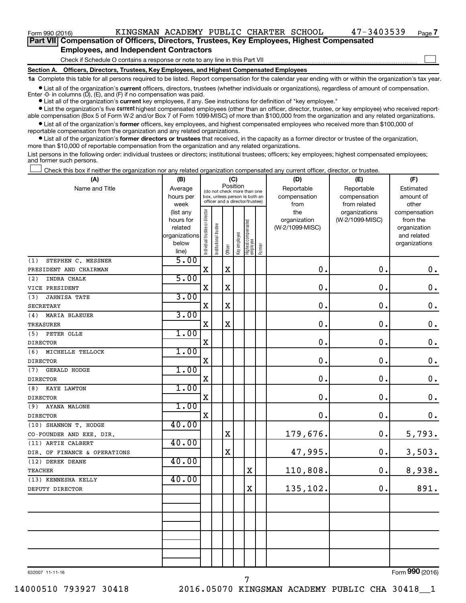$\Box$ 

| Part VII Compensation of Officers, Directors, Trustees, Key Employees, Highest Compensated |  |  |  |  |
|--------------------------------------------------------------------------------------------|--|--|--|--|
| <b>Employees, and Independent Contractors</b>                                              |  |  |  |  |

#### Check if Schedule O contains a response or note to any line in this Part VII

**Section A. Officers, Directors, Trustees, Key Employees, and Highest Compensated Employees**

**1a**  Complete this table for all persons required to be listed. Report compensation for the calendar year ending with or within the organization's tax year.

**•** List all of the organization's current officers, directors, trustees (whether individuals or organizations), regardless of amount of compensation.

**•** List all of the organization's **current** key employees, if any. See instructions for definition of "key employee." Enter -0- in columns  $(D)$ ,  $(E)$ , and  $(F)$  if no compensation was paid.

**•** List the organization's five current highest compensated employees (other than an officer, director, trustee, or key employee) who received reportable compensation (Box 5 of Form W-2 and/or Box 7 of Form 1099-MISC) of more than \$100,000 from the organization and any related organizations.

**•** List all of the organization's former officers, key employees, and highest compensated employees who received more than \$100,000 of reportable compensation from the organization and any related organizations.

**•** List all of the organization's former directors or trustees that received, in the capacity as a former director or trustee of the organization, more than \$10,000 of reportable compensation from the organization and any related organizations.

List persons in the following order: individual trustees or directors; institutional trustees; officers; key employees; highest compensated employees; and former such persons.

Check this box if neither the organization nor any related organization compensated any current officer, director, or trustee.  $\Box$ 

| (A)                          | (B)                  |                                         |                       |             | (C)          |                                                                  |        | (D)                             | (E)             | (F)                      |
|------------------------------|----------------------|-----------------------------------------|-----------------------|-------------|--------------|------------------------------------------------------------------|--------|---------------------------------|-----------------|--------------------------|
| Name and Title               | Average              | Position<br>(do not check more than one |                       |             |              |                                                                  |        | Reportable                      | Reportable      | Estimated                |
|                              | hours per            |                                         |                       |             |              | box, unless person is both an<br>officer and a director/trustee) |        | compensation                    | compensation    | amount of                |
|                              | week                 |                                         |                       |             |              |                                                                  |        | from                            | from related    | other                    |
|                              | (list any            |                                         |                       |             |              |                                                                  |        | the                             | organizations   | compensation             |
|                              | hours for<br>related |                                         |                       |             |              |                                                                  |        | organization<br>(W-2/1099-MISC) | (W-2/1099-MISC) | from the<br>organization |
|                              | organizations        |                                         |                       |             |              |                                                                  |        |                                 |                 | and related              |
|                              | below                |                                         |                       |             |              |                                                                  |        |                                 |                 | organizations            |
|                              | line)                | Individual trustee or director          | Institutional trustee | Officer     | Key employee | Highest compensated<br>employee                                  | Former |                                 |                 |                          |
| STEPHEN C. MESSNER<br>(1)    | 5.00                 |                                         |                       |             |              |                                                                  |        |                                 |                 |                          |
| PRESIDENT AND CHAIRMAN       |                      | X                                       |                       | $\mathbf X$ |              |                                                                  |        | $\mathbf 0$ .                   | $\mathbf 0$ .   | 0.                       |
| (2)<br>INDRA CHALK           | 5.00                 |                                         |                       |             |              |                                                                  |        |                                 |                 |                          |
| VICE PRESIDENT               |                      | $\mathbf X$                             |                       | $\mathbf X$ |              |                                                                  |        | 0                               | $\mathbf 0$ .   | $\mathbf 0$ .            |
| JAHNISA TATE<br>(3)          | 3.00                 |                                         |                       |             |              |                                                                  |        |                                 |                 |                          |
| <b>SECRETARY</b>             |                      | $\mathbf X$                             |                       | $\mathbf X$ |              |                                                                  |        | $\mathbf 0$                     | $\mathbf 0$ .   | $\mathbf 0$ .            |
| (4)<br><b>MARIA BLAEUER</b>  | 3.00                 |                                         |                       |             |              |                                                                  |        |                                 |                 |                          |
| TREASURER                    |                      | $\mathbf X$                             |                       | $\mathbf X$ |              |                                                                  |        | 0.                              | $\mathbf 0$ .   | $\mathbf 0$ .            |
| PETER OLLE<br>(5)            | 1.00                 |                                         |                       |             |              |                                                                  |        |                                 |                 |                          |
| <b>DIRECTOR</b>              |                      | $\mathbf X$                             |                       |             |              |                                                                  |        | $\mathbf 0$                     | $\mathbf 0$ .   | $\mathbf 0$ .            |
| (6) MICHELLE TELLOCK         | 1.00                 |                                         |                       |             |              |                                                                  |        |                                 |                 |                          |
| <b>DIRECTOR</b>              |                      | $\mathbf X$                             |                       |             |              |                                                                  |        | $\mathbf 0$                     | 0.              | $\mathbf 0$ .            |
| GERALD HODGE<br>(7)          | 1.00                 |                                         |                       |             |              |                                                                  |        |                                 |                 |                          |
| <b>DIRECTOR</b>              |                      | $\mathbf X$                             |                       |             |              |                                                                  |        | 0.                              | $\mathbf 0$ .   | $\boldsymbol{0}$ .       |
| (8)<br>KAYE LAWTON           | 1.00                 |                                         |                       |             |              |                                                                  |        |                                 |                 |                          |
| <b>DIRECTOR</b>              |                      | $\mathbf X$                             |                       |             |              |                                                                  |        | 0.                              | 0.              | $\mathbf 0$ .            |
| AYANA MALONE<br>(9)          | 1.00                 |                                         |                       |             |              |                                                                  |        |                                 |                 |                          |
| <b>DIRECTOR</b>              |                      | $\mathbf X$                             |                       |             |              |                                                                  |        | 0.                              | 0.              | $\mathbf 0$ .            |
| (10) SHANNON T. HODGE        | 40.00                |                                         |                       |             |              |                                                                  |        |                                 |                 |                          |
| CO-FOUNDER AND EXE. DIR.     |                      |                                         |                       | $\mathbf X$ |              |                                                                  |        | 179,676.                        | 0.              | 5,793.                   |
| (11) ARTIE CALBERT           | 40.00                |                                         |                       |             |              |                                                                  |        |                                 |                 |                          |
| DIR. OF FINANCE & OPERATIONS |                      |                                         |                       | $\mathbf X$ |              |                                                                  |        | 47,995.                         | $\mathbf 0$ .   | 3,503.                   |
| (12) DEREK DEANE             | 40.00                |                                         |                       |             |              |                                                                  |        |                                 |                 |                          |
| <b>TEACHER</b>               |                      |                                         |                       |             |              | $\mathbf X$                                                      |        | 110,808.                        | $\mathbf 0$ .   | 8,938.                   |
| (13) KENNESHA KELLY          | 40.00                |                                         |                       |             |              |                                                                  |        |                                 |                 |                          |
| DEPUTY DIRECTOR              |                      |                                         |                       |             |              | $\mathbf x$                                                      |        | 135,102.                        | $\mathbf 0$ .   | 891.                     |
|                              |                      |                                         |                       |             |              |                                                                  |        |                                 |                 |                          |
|                              |                      |                                         |                       |             |              |                                                                  |        |                                 |                 |                          |
|                              |                      |                                         |                       |             |              |                                                                  |        |                                 |                 |                          |
|                              |                      |                                         |                       |             |              |                                                                  |        |                                 |                 |                          |
|                              |                      |                                         |                       |             |              |                                                                  |        |                                 |                 |                          |
|                              |                      |                                         |                       |             |              |                                                                  |        |                                 |                 |                          |
|                              |                      |                                         |                       |             |              |                                                                  |        |                                 |                 |                          |
|                              |                      |                                         |                       |             |              |                                                                  |        |                                 |                 |                          |

632007 11-11-16

Form (2016) **990**

14000510 793927 30418 2016.05070 KINGSMAN ACADEMY PUBLIC CHA 30418\_\_1

7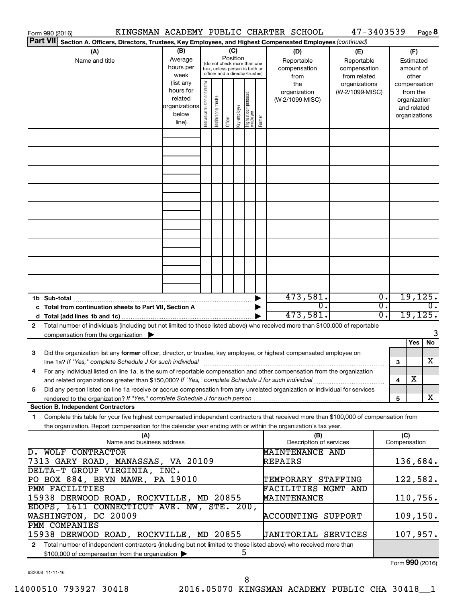|                                                      | KINGSMAN ACADEMY PUBLIC CHARTER SCHOOL<br>Form 990 (2016)                                                                                                                                                                                              |                                                                              |                                                                                                                    |                       |         |              |                                   |        |                                                | 47-3403539                                       |                                   |                     |                                                                                   | Page 8           |
|------------------------------------------------------|--------------------------------------------------------------------------------------------------------------------------------------------------------------------------------------------------------------------------------------------------------|------------------------------------------------------------------------------|--------------------------------------------------------------------------------------------------------------------|-----------------------|---------|--------------|-----------------------------------|--------|------------------------------------------------|--------------------------------------------------|-----------------------------------|---------------------|-----------------------------------------------------------------------------------|------------------|
|                                                      | <b>Part VII</b><br>Section A. Officers, Directors, Trustees, Key Employees, and Highest Compensated Employees (continued)                                                                                                                              |                                                                              |                                                                                                                    |                       |         |              |                                   |        |                                                |                                                  |                                   |                     |                                                                                   |                  |
| (B)<br>(A)<br>Average<br>Name and title<br>hours per |                                                                                                                                                                                                                                                        |                                                                              | (C)<br>Position<br>(do not check more than one<br>box, unless person is both an<br>officer and a director/trustee) |                       |         |              |                                   |        | (D)<br>Reportable<br>compensation              | (E)                                              | Reportable<br>compensation        |                     | (F)<br>Estimated<br>amount of                                                     |                  |
|                                                      |                                                                                                                                                                                                                                                        | week<br>(list any<br>hours for<br>related<br>organizations<br>below<br>line) | Individual trustee or director                                                                                     | Institutional trustee | Officer | Key employee | Highest compensated<br>  employee | Former | from<br>the<br>organization<br>(W-2/1099-MISC) | from related<br>organizations<br>(W-2/1099-MISC) |                                   |                     | other<br>compensation<br>from the<br>organization<br>and related<br>organizations |                  |
|                                                      |                                                                                                                                                                                                                                                        |                                                                              |                                                                                                                    |                       |         |              |                                   |        |                                                |                                                  |                                   |                     |                                                                                   |                  |
|                                                      |                                                                                                                                                                                                                                                        |                                                                              |                                                                                                                    |                       |         |              |                                   |        |                                                |                                                  |                                   |                     |                                                                                   |                  |
|                                                      |                                                                                                                                                                                                                                                        |                                                                              |                                                                                                                    |                       |         |              |                                   |        |                                                |                                                  |                                   |                     |                                                                                   |                  |
|                                                      |                                                                                                                                                                                                                                                        |                                                                              |                                                                                                                    |                       |         |              |                                   |        |                                                |                                                  |                                   |                     |                                                                                   |                  |
|                                                      |                                                                                                                                                                                                                                                        |                                                                              |                                                                                                                    |                       |         |              |                                   |        |                                                |                                                  |                                   |                     |                                                                                   |                  |
|                                                      |                                                                                                                                                                                                                                                        |                                                                              |                                                                                                                    |                       |         |              |                                   |        |                                                |                                                  |                                   |                     |                                                                                   |                  |
|                                                      |                                                                                                                                                                                                                                                        |                                                                              |                                                                                                                    |                       |         |              |                                   |        |                                                |                                                  |                                   |                     |                                                                                   |                  |
|                                                      |                                                                                                                                                                                                                                                        |                                                                              |                                                                                                                    |                       |         |              |                                   |        |                                                |                                                  |                                   |                     |                                                                                   |                  |
|                                                      |                                                                                                                                                                                                                                                        |                                                                              |                                                                                                                    |                       |         |              |                                   |        |                                                |                                                  |                                   |                     |                                                                                   |                  |
|                                                      |                                                                                                                                                                                                                                                        |                                                                              |                                                                                                                    |                       |         |              |                                   |        | 473,581.                                       |                                                  | $\overline{\mathfrak{o}}$ .       |                     | 19, 125.                                                                          |                  |
|                                                      |                                                                                                                                                                                                                                                        |                                                                              |                                                                                                                    |                       |         |              |                                   |        | $\overline{0}$ .<br>473,581.                   |                                                  | $\overline{\mathfrak{o}}$ .<br>0. |                     | 19, 125.                                                                          | $\overline{0}$ . |
| 2                                                    | Total number of individuals (including but not limited to those listed above) who received more than \$100,000 of reportable<br>compensation from the organization $\blacktriangleright$                                                               |                                                                              |                                                                                                                    |                       |         |              |                                   |        |                                                |                                                  |                                   |                     |                                                                                   | 3                |
| 3                                                    | Did the organization list any former officer, director, or trustee, key employee, or highest compensated employee on                                                                                                                                   |                                                                              |                                                                                                                    |                       |         |              |                                   |        |                                                |                                                  |                                   |                     | Yes                                                                               | No               |
|                                                      | line 1a? If "Yes," complete Schedule J for such individual [11] manufacture manufacture in the set of the set o                                                                                                                                        |                                                                              |                                                                                                                    |                       |         |              |                                   |        |                                                |                                                  |                                   | 3                   |                                                                                   | х                |
|                                                      | For any individual listed on line 1a, is the sum of reportable compensation and other compensation from the organization<br>and related organizations greater than \$150,000? If "Yes," complete Schedule J for such individual                        |                                                                              |                                                                                                                    |                       |         |              |                                   |        |                                                |                                                  |                                   | 4                   | х                                                                                 |                  |
| 5                                                    | Did any person listed on line 1a receive or accrue compensation from any unrelated organization or individual for services                                                                                                                             |                                                                              |                                                                                                                    |                       |         |              |                                   |        |                                                |                                                  |                                   | 5                   |                                                                                   | X                |
|                                                      | <b>Section B. Independent Contractors</b>                                                                                                                                                                                                              |                                                                              |                                                                                                                    |                       |         |              |                                   |        |                                                |                                                  |                                   |                     |                                                                                   |                  |
| 1                                                    | Complete this table for your five highest compensated independent contractors that received more than \$100,000 of compensation from<br>the organization. Report compensation for the calendar year ending with or within the organization's tax year. |                                                                              |                                                                                                                    |                       |         |              |                                   |        |                                                |                                                  |                                   |                     |                                                                                   |                  |
|                                                      | (A)<br>Name and business address                                                                                                                                                                                                                       |                                                                              |                                                                                                                    |                       |         |              |                                   |        | (B)<br>Description of services                 |                                                  |                                   | (C)<br>Compensation |                                                                                   |                  |
|                                                      | <b>D. WOLF CONTRACTOR</b><br>MAINTENANCE AND<br>7313 GARY ROAD, MANASSAS, VA 20109<br>REPAIRS                                                                                                                                                          |                                                                              |                                                                                                                    |                       |         |              |                                   |        |                                                | 136,684.                                         |                                   |                     |                                                                                   |                  |
|                                                      | DELTA-T GROUP VIRGINIA, INC.<br>PO BOX 884, BRYN MAWR, PA 19010                                                                                                                                                                                        |                                                                              |                                                                                                                    |                       |         |              |                                   |        | TEMPORARY STAFFING                             |                                                  |                                   |                     | 122,582.                                                                          |                  |
|                                                      | PMM FACILITIES<br>15938 DERWOOD ROAD, ROCKVILLE, MD 20855                                                                                                                                                                                              |                                                                              |                                                                                                                    |                       |         |              |                                   |        | FACILITIES MGMT AND<br>MAINTENANCE             |                                                  |                                   |                     | 110,756.                                                                          |                  |
|                                                      | EDOPS, 1611 CONNECTICUT AVE. NW, STE. 200,<br>WASHINGTON, DC 20009                                                                                                                                                                                     |                                                                              |                                                                                                                    |                       |         |              |                                   |        | <b>ACCOUNTING SUPPORT</b>                      |                                                  |                                   |                     | 109, 150.                                                                         |                  |
|                                                      | PMM COMPANIES<br>15938 DERWOOD ROAD, ROCKVILLE, MD 20855                                                                                                                                                                                               |                                                                              |                                                                                                                    |                       |         |              |                                   |        | <b>JANITORIAL SERVICES</b>                     |                                                  |                                   |                     | 107,957.                                                                          |                  |
| 2                                                    | Total number of independent contractors (including but not limited to those listed above) who received more than<br>\$100,000 of compensation from the organization                                                                                    |                                                                              |                                                                                                                    |                       |         |              | 5                                 |        |                                                |                                                  |                                   |                     |                                                                                   |                  |
|                                                      |                                                                                                                                                                                                                                                        |                                                                              |                                                                                                                    |                       |         |              |                                   |        |                                                |                                                  |                                   | Form 990 (2016)     |                                                                                   |                  |

632008 11-11-16

Form (2016) **990**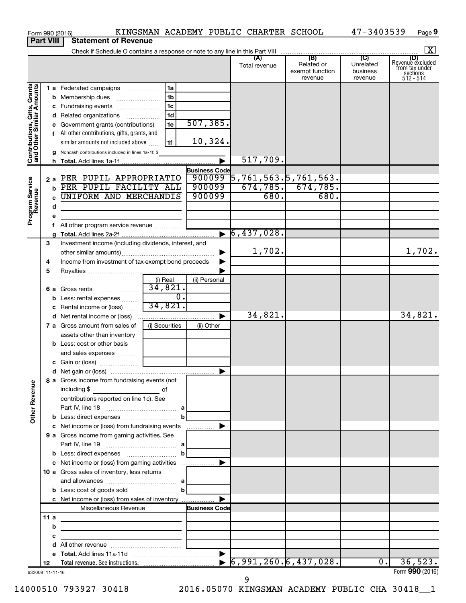|                                                           |                  | KINGSMAN ACADEMY PUBLIC CHARTER SCHOOL<br>Form 990 (2016)                                                             |                  |                       |                                                   |                                                 | 47-3403539                                         | Page 9                                                      |
|-----------------------------------------------------------|------------------|-----------------------------------------------------------------------------------------------------------------------|------------------|-----------------------|---------------------------------------------------|-------------------------------------------------|----------------------------------------------------|-------------------------------------------------------------|
|                                                           | <b>Part VIII</b> | <b>Statement of Revenue</b>                                                                                           |                  |                       |                                                   |                                                 |                                                    |                                                             |
|                                                           |                  |                                                                                                                       |                  |                       |                                                   |                                                 |                                                    | $\boxed{\mathbf{X}}$                                        |
|                                                           |                  |                                                                                                                       |                  |                       | (A)<br>Total revenue                              | (B)<br>Related or<br>exempt function<br>revenue | $\overline{C}$<br>Unrelated<br>business<br>revenue | Revenue excluded<br>from tax under<br>sections<br>512 - 514 |
|                                                           |                  | 1a<br>1 a Federated campaigns                                                                                         |                  |                       |                                                   |                                                 |                                                    |                                                             |
| Contributions, Gifts, Grants<br>and Other Similar Amounts |                  | 1 <sub>b</sub><br><b>b</b> Membership dues                                                                            |                  |                       |                                                   |                                                 |                                                    |                                                             |
|                                                           |                  | 1 <sub>c</sub><br>c Fundraising events                                                                                |                  |                       |                                                   |                                                 |                                                    |                                                             |
|                                                           |                  | d Related organizations                                                                                               | 1 <sub>d</sub>   |                       |                                                   |                                                 |                                                    |                                                             |
|                                                           |                  | e Government grants (contributions)                                                                                   | 1e               | 507, 385.             |                                                   |                                                 |                                                    |                                                             |
|                                                           |                  | f All other contributions, gifts, grants, and                                                                         |                  |                       |                                                   |                                                 |                                                    |                                                             |
|                                                           |                  | similar amounts not included above                                                                                    | 1f               | 10,324.               |                                                   |                                                 |                                                    |                                                             |
|                                                           |                  | g Noncash contributions included in lines 1a-1f: \$                                                                   |                  | $\blacktriangleright$ | 517,709.                                          |                                                 |                                                    |                                                             |
|                                                           |                  |                                                                                                                       |                  | <b>Business Code</b>  |                                                   |                                                 |                                                    |                                                             |
|                                                           |                  | 2 a PER PUPIL APPROPRIATIO                                                                                            |                  | 900099                | $\overline{5}$ ,761,563. $\overline{5}$ ,761,563. |                                                 |                                                    |                                                             |
|                                                           |                  | b PER PUPIL FACILITY ALL                                                                                              |                  | 900099                |                                                   | $\overline{674, 785.}$ $\overline{674, 785.}$   |                                                    |                                                             |
|                                                           |                  | <b>UNIFORM AND MERCHANDIS</b>                                                                                         |                  | 900099                | 680.                                              | 680.                                            |                                                    |                                                             |
|                                                           | d                |                                                                                                                       |                  |                       |                                                   |                                                 |                                                    |                                                             |
| Program Service<br>Revenue                                | е                |                                                                                                                       |                  |                       |                                                   |                                                 |                                                    |                                                             |
|                                                           | f                | All other program service revenue                                                                                     |                  |                       |                                                   |                                                 |                                                    |                                                             |
|                                                           |                  |                                                                                                                       |                  | $\blacktriangleright$ | 6,437,028.                                        |                                                 |                                                    |                                                             |
|                                                           | 3                | Investment income (including dividends, interest, and                                                                 |                  |                       |                                                   |                                                 |                                                    |                                                             |
|                                                           |                  |                                                                                                                       |                  |                       | 1,702.                                            |                                                 |                                                    | 1,702.                                                      |
|                                                           | 4                | Income from investment of tax-exempt bond proceeds                                                                    |                  |                       |                                                   |                                                 |                                                    |                                                             |
|                                                           | 5                |                                                                                                                       |                  |                       |                                                   |                                                 |                                                    |                                                             |
|                                                           |                  | (i) Real<br>34,821.<br>6 a Gross rents                                                                                |                  | (ii) Personal         |                                                   |                                                 |                                                    |                                                             |
|                                                           |                  | b Less: rental expenses                                                                                               | $\overline{0}$ . |                       |                                                   |                                                 |                                                    |                                                             |
|                                                           |                  | 34,821.<br>c Rental income or (loss)                                                                                  |                  |                       |                                                   |                                                 |                                                    |                                                             |
|                                                           |                  |                                                                                                                       |                  | ▶                     | 34,821.                                           |                                                 |                                                    | 34,821.                                                     |
|                                                           |                  | (i) Securities<br>7 a Gross amount from sales of                                                                      |                  | (ii) Other            |                                                   |                                                 |                                                    |                                                             |
|                                                           |                  | assets other than inventory                                                                                           |                  |                       |                                                   |                                                 |                                                    |                                                             |
|                                                           |                  | <b>b</b> Less: cost or other basis                                                                                    |                  |                       |                                                   |                                                 |                                                    |                                                             |
|                                                           |                  | and sales expenses                                                                                                    |                  |                       |                                                   |                                                 |                                                    |                                                             |
|                                                           |                  |                                                                                                                       |                  |                       |                                                   |                                                 |                                                    |                                                             |
|                                                           |                  | 8 a Gross income from fundraising events (not                                                                         |                  |                       |                                                   |                                                 |                                                    |                                                             |
| <b>Other Revenue</b>                                      |                  | including \$<br>$\overline{\phantom{a}}$ of                                                                           |                  |                       |                                                   |                                                 |                                                    |                                                             |
|                                                           |                  | contributions reported on line 1c). See                                                                               |                  |                       |                                                   |                                                 |                                                    |                                                             |
|                                                           |                  |                                                                                                                       | b                |                       |                                                   |                                                 |                                                    |                                                             |
|                                                           |                  | c Net income or (loss) from fundraising events                                                                        |                  |                       |                                                   |                                                 |                                                    |                                                             |
|                                                           |                  | 9 a Gross income from gaming activities. See                                                                          |                  |                       |                                                   |                                                 |                                                    |                                                             |
|                                                           |                  |                                                                                                                       |                  |                       |                                                   |                                                 |                                                    |                                                             |
|                                                           |                  |                                                                                                                       |                  |                       |                                                   |                                                 |                                                    |                                                             |
|                                                           |                  |                                                                                                                       |                  |                       |                                                   |                                                 |                                                    |                                                             |
|                                                           |                  | 10 a Gross sales of inventory, less returns                                                                           |                  |                       |                                                   |                                                 |                                                    |                                                             |
|                                                           |                  |                                                                                                                       |                  |                       |                                                   |                                                 |                                                    |                                                             |
|                                                           |                  | <b>b</b> Less: cost of goods sold $\ldots$ <b>b</b>                                                                   |                  |                       |                                                   |                                                 |                                                    |                                                             |
|                                                           |                  |                                                                                                                       |                  |                       |                                                   |                                                 |                                                    |                                                             |
|                                                           |                  | Miscellaneous Revenue                                                                                                 |                  | <b>Business Code</b>  |                                                   |                                                 |                                                    |                                                             |
|                                                           | 11 a             |                                                                                                                       |                  |                       |                                                   |                                                 |                                                    |                                                             |
|                                                           | b<br>с           | <u> 1989 - Johann Stein, mars an deutscher Stein († 1958)</u>                                                         |                  |                       |                                                   |                                                 |                                                    |                                                             |
|                                                           | d                | <u> 1989 - Johann Harry Harry Harry Harry Harry Harry Harry Harry Harry Harry Harry Harry Harry Harry Harry Harry</u> |                  |                       |                                                   |                                                 |                                                    |                                                             |
|                                                           |                  |                                                                                                                       |                  |                       |                                                   |                                                 |                                                    |                                                             |
|                                                           | 12               |                                                                                                                       |                  |                       |                                                   | $\bullet$ 6,991,260.6,437,028.                  | 0.1                                                | 36,523.                                                     |
|                                                           | 632009 11-11-16  |                                                                                                                       |                  |                       |                                                   |                                                 |                                                    | Form 990 (2016)                                             |

632009 11-11-16

14000510 793927 30418 2016.05070 KINGSMAN ACADEMY PUBLIC CHA 30418\_\_1

9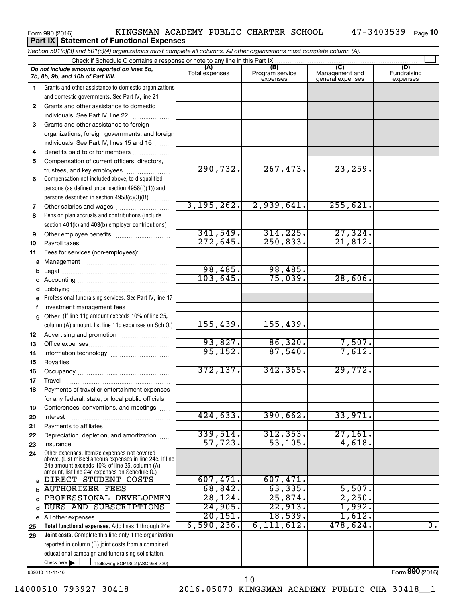|  | Form 990 (2016) |  |
|--|-----------------|--|
|  |                 |  |

**Part IX | Statement of Functional Expenses** 

|              | Section 501(c)(3) and 501(c)(4) organizations must complete all columns. All other organizations must complete column (A).                                                                                  |                |                             |                                    |                         |  |  |  |  |  |
|--------------|-------------------------------------------------------------------------------------------------------------------------------------------------------------------------------------------------------------|----------------|-----------------------------|------------------------------------|-------------------------|--|--|--|--|--|
|              | Check if Schedule O contains a response or note to any line in this Part IX<br>(B)<br>(C)<br>(A)<br>(D)                                                                                                     |                |                             |                                    |                         |  |  |  |  |  |
|              | Do not include amounts reported on lines 6b,<br>7b, 8b, 9b, and 10b of Part VIII.                                                                                                                           | Total expenses | Program service<br>expenses | Management and<br>general expenses | Fundraising<br>expenses |  |  |  |  |  |
| $\mathbf{1}$ | Grants and other assistance to domestic organizations                                                                                                                                                       |                |                             |                                    |                         |  |  |  |  |  |
|              | and domestic governments. See Part IV, line 21                                                                                                                                                              |                |                             |                                    |                         |  |  |  |  |  |
| $\mathbf{2}$ | Grants and other assistance to domestic                                                                                                                                                                     |                |                             |                                    |                         |  |  |  |  |  |
|              | individuals. See Part IV, line 22                                                                                                                                                                           |                |                             |                                    |                         |  |  |  |  |  |
| 3            | Grants and other assistance to foreign                                                                                                                                                                      |                |                             |                                    |                         |  |  |  |  |  |
|              | organizations, foreign governments, and foreign                                                                                                                                                             |                |                             |                                    |                         |  |  |  |  |  |
|              | individuals. See Part IV, lines 15 and 16                                                                                                                                                                   |                |                             |                                    |                         |  |  |  |  |  |
| 4            | Benefits paid to or for members                                                                                                                                                                             |                |                             |                                    |                         |  |  |  |  |  |
| 5            | Compensation of current officers, directors,                                                                                                                                                                |                |                             |                                    |                         |  |  |  |  |  |
|              | trustees, and key employees                                                                                                                                                                                 | 290,732.       | 267,473.                    | 23,259.                            |                         |  |  |  |  |  |
| 6            | Compensation not included above, to disqualified                                                                                                                                                            |                |                             |                                    |                         |  |  |  |  |  |
|              | persons (as defined under section 4958(f)(1)) and                                                                                                                                                           |                |                             |                                    |                         |  |  |  |  |  |
|              | persons described in section 4958(c)(3)(B)<br>1.1.1.1.1.1.1                                                                                                                                                 |                |                             |                                    |                         |  |  |  |  |  |
| 7            |                                                                                                                                                                                                             | 3,195,262.     | 2,939,641.                  | 255,621.                           |                         |  |  |  |  |  |
| 8            | Pension plan accruals and contributions (include                                                                                                                                                            |                |                             |                                    |                         |  |  |  |  |  |
|              | section 401(k) and 403(b) employer contributions)                                                                                                                                                           |                |                             |                                    |                         |  |  |  |  |  |
| 9            |                                                                                                                                                                                                             | 341,549.       | 314, 225.                   | 27,324.                            |                         |  |  |  |  |  |
| 10           |                                                                                                                                                                                                             | 272,645.       | 250,833.                    | 21,812.                            |                         |  |  |  |  |  |
| 11           | Fees for services (non-employees):                                                                                                                                                                          |                |                             |                                    |                         |  |  |  |  |  |
|              |                                                                                                                                                                                                             |                |                             |                                    |                         |  |  |  |  |  |
| b            |                                                                                                                                                                                                             | 98,485.        | 98,485.                     |                                    |                         |  |  |  |  |  |
| c            |                                                                                                                                                                                                             | 103,645.       | 75,039.                     | 28,606.                            |                         |  |  |  |  |  |
| d            |                                                                                                                                                                                                             |                |                             |                                    |                         |  |  |  |  |  |
| e            | Professional fundraising services. See Part IV, line 17                                                                                                                                                     |                |                             |                                    |                         |  |  |  |  |  |
| f            | Investment management fees                                                                                                                                                                                  |                |                             |                                    |                         |  |  |  |  |  |
| g            | Other. (If line 11g amount exceeds 10% of line 25,                                                                                                                                                          |                |                             |                                    |                         |  |  |  |  |  |
|              | column (A) amount, list line 11g expenses on Sch O.)                                                                                                                                                        | 155, 439.      | 155,439.                    |                                    |                         |  |  |  |  |  |
| 12           |                                                                                                                                                                                                             |                |                             |                                    |                         |  |  |  |  |  |
| 13           |                                                                                                                                                                                                             | 93,827.        | 86,320.                     | 7,507.                             |                         |  |  |  |  |  |
| 14           |                                                                                                                                                                                                             | 95,152.        | 87,540.                     | 7,612.                             |                         |  |  |  |  |  |
| 15           |                                                                                                                                                                                                             |                |                             |                                    |                         |  |  |  |  |  |
| 16           |                                                                                                                                                                                                             | 372, 137.      | 342, 365.                   | 29,772.                            |                         |  |  |  |  |  |
| 17           |                                                                                                                                                                                                             |                |                             |                                    |                         |  |  |  |  |  |
| 18           | Payments of travel or entertainment expenses                                                                                                                                                                |                |                             |                                    |                         |  |  |  |  |  |
|              | for any federal, state, or local public officials                                                                                                                                                           |                |                             |                                    |                         |  |  |  |  |  |
| 19           | Conferences, conventions, and meetings                                                                                                                                                                      |                |                             |                                    |                         |  |  |  |  |  |
| 20           | Interest                                                                                                                                                                                                    | 424,633.       | 390,662.                    | 33,971.                            |                         |  |  |  |  |  |
| 21           |                                                                                                                                                                                                             | 339,514.       | 312, 353.                   | 27,161.                            |                         |  |  |  |  |  |
| 22           | Depreciation, depletion, and amortization                                                                                                                                                                   | 57,723.        | 53, 105.                    | 4,618.                             |                         |  |  |  |  |  |
| 23           | Insurance                                                                                                                                                                                                   |                |                             |                                    |                         |  |  |  |  |  |
| 24           | Other expenses. Itemize expenses not covered<br>above. (List miscellaneous expenses in line 24e. If line<br>24e amount exceeds 10% of line 25, column (A)<br>amount, list line 24e expenses on Schedule O.) |                |                             |                                    |                         |  |  |  |  |  |
| a            | DIRECT STUDENT COSTS                                                                                                                                                                                        | 607,471.       | 607,471.                    |                                    |                         |  |  |  |  |  |
| b            | <b>AUTHORIZER FEES</b>                                                                                                                                                                                      | 68,842.        | 63,335.                     | 5,507.                             |                         |  |  |  |  |  |
|              | PROFESSIONAL DEVELOPMEN                                                                                                                                                                                     | 28, 124.       | 25,874.                     | 2,250.                             |                         |  |  |  |  |  |
| d            | DUES AND SUBSCRIPTIONS                                                                                                                                                                                      | 24,905.        | 22,913.                     | 1,992.                             |                         |  |  |  |  |  |
|              | e All other expenses                                                                                                                                                                                        | 20, 151.       | 18,539.                     | 1,612.                             |                         |  |  |  |  |  |
| 25           | Total functional expenses. Add lines 1 through 24e                                                                                                                                                          | 6,590,236.     | 6,111,612.                  | 478,624.                           | 0.                      |  |  |  |  |  |
| 26           | Joint costs. Complete this line only if the organization                                                                                                                                                    |                |                             |                                    |                         |  |  |  |  |  |
|              | reported in column (B) joint costs from a combined                                                                                                                                                          |                |                             |                                    |                         |  |  |  |  |  |
|              | educational campaign and fundraising solicitation.                                                                                                                                                          |                |                             |                                    |                         |  |  |  |  |  |
|              | Check here $\blacktriangleright$<br>if following SOP 98-2 (ASC 958-720)                                                                                                                                     |                |                             |                                    |                         |  |  |  |  |  |

632010 11-11-16

14000510 793927 30418 2016.05070 KINGSMAN ACADEMY PUBLIC CHA 30418\_\_1 10

Form (2016) **990**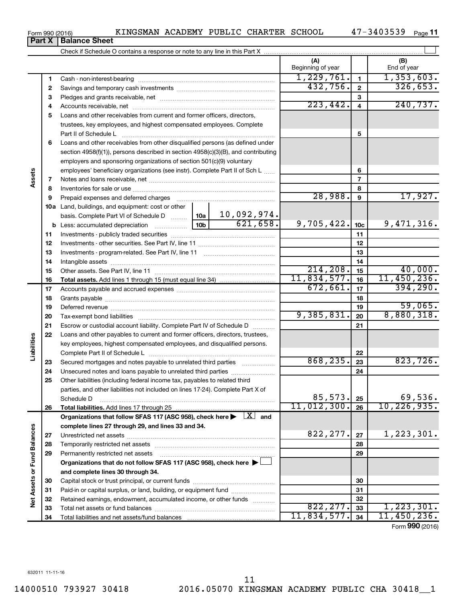| Check if Schedule O contains a response or note to any line in this Part X |                         |  |                    |  |  |  |  |  |  |
|----------------------------------------------------------------------------|-------------------------|--|--------------------|--|--|--|--|--|--|
|                                                                            | íΑ<br>Beginning of year |  | (B)<br>End of year |  |  |  |  |  |  |
| Cash - non-interest-bearing                                                |                         |  | ,353,603.          |  |  |  |  |  |  |
| Savings and temporary cash investments                                     |                         |  |                    |  |  |  |  |  |  |
| Pledges and grants receivable, net                                         |                         |  |                    |  |  |  |  |  |  |

|                          | 3  |                                                                                                                              |                 |             |             |                 | 3               |               |
|--------------------------|----|------------------------------------------------------------------------------------------------------------------------------|-----------------|-------------|-------------|-----------------|-----------------|---------------|
|                          | 4  |                                                                                                                              |                 |             | 223,442.    |                 | $\overline{4}$  | 240, 737.     |
|                          | 5  | Loans and other receivables from current and former officers, directors,                                                     |                 |             |             |                 |                 |               |
|                          |    | trustees, key employees, and highest compensated employees. Complete                                                         |                 |             |             |                 |                 |               |
|                          |    | Part II of Schedule L                                                                                                        |                 |             | 5           |                 |                 |               |
|                          | 6  | Loans and other receivables from other disqualified persons (as defined under                                                |                 |             |             |                 |                 |               |
|                          |    | section 4958(f)(1)), persons described in section 4958(c)(3)(B), and contributing                                            |                 |             |             |                 |                 |               |
|                          |    | employers and sponsoring organizations of section 501(c)(9) voluntary                                                        |                 |             |             |                 |                 |               |
|                          |    | employees' beneficiary organizations (see instr). Complete Part II of Sch L                                                  |                 |             |             |                 | 6               |               |
| Assets                   | 7  |                                                                                                                              |                 |             |             |                 | 7               |               |
|                          | 8  |                                                                                                                              |                 |             |             |                 | 8               |               |
|                          | 9  | Prepaid expenses and deferred charges                                                                                        |                 |             |             | 28,988.         | 9               | 17,927.       |
|                          |    |                                                                                                                              |                 |             |             |                 |                 |               |
|                          |    | <b>10a</b> Land, buildings, and equipment: cost or other                                                                     |                 | 10,092,974. |             |                 |                 |               |
|                          |    | basis. Complete Part VI of Schedule D  10a                                                                                   | 10 <sub>b</sub> | 621,658.    | 9,705,422.  |                 |                 | 9,471,316.    |
|                          |    | <b>b</b> Less: accumulated depreciation <i></i>                                                                              |                 |             |             |                 | 10 <sub>c</sub> |               |
|                          | 11 |                                                                                                                              |                 |             |             |                 | 11              |               |
|                          | 12 |                                                                                                                              |                 |             |             |                 | 12              |               |
|                          | 13 |                                                                                                                              |                 |             |             | 13              |                 |               |
|                          | 14 |                                                                                                                              |                 |             |             |                 | 14              |               |
|                          | 15 |                                                                                                                              | 214, 208.       |             | 15          | 40,000.         |                 |               |
|                          | 16 |                                                                                                                              |                 |             | 11,834,577. |                 | 16              | 11,450,236.   |
|                          | 17 |                                                                                                                              |                 | 672,661.    |             | 17              | 394, 290.       |               |
|                          | 18 |                                                                                                                              |                 |             | 18          |                 |                 |               |
|                          | 19 |                                                                                                                              |                 |             | 19          | 59,065.         |                 |               |
|                          | 20 |                                                                                                                              | 9,385,831.      |             | 20          | 8,880,318.      |                 |               |
|                          | 21 | Escrow or custodial account liability. Complete Part IV of Schedule D                                                        |                 |             | 21          |                 |                 |               |
|                          | 22 | Loans and other payables to current and former officers, directors, trustees,                                                |                 |             |             |                 |                 |               |
| Liabilities              |    | key employees, highest compensated employees, and disqualified persons.                                                      |                 |             |             |                 |                 |               |
|                          |    |                                                                                                                              |                 |             | 22          |                 |                 |               |
|                          | 23 | Secured mortgages and notes payable to unrelated third parties                                                               |                 |             | 868, 235.   |                 | 23              | 823,726.      |
|                          | 24 | Unsecured notes and loans payable to unrelated third parties                                                                 |                 |             |             |                 | 24              |               |
|                          | 25 | Other liabilities (including federal income tax, payables to related third                                                   |                 |             |             |                 |                 |               |
|                          |    | parties, and other liabilities not included on lines 17-24). Complete Part X of                                              |                 |             |             |                 |                 |               |
|                          |    | Schedule D                                                                                                                   |                 |             |             | 85, 573.        | 25              | 69,536.       |
|                          | 26 |                                                                                                                              |                 |             | 11,012,300. |                 | 26              | 10, 226, 935. |
|                          |    | Organizations that follow SFAS 117 (ASC 958), check here $\blacktriangleright \begin{array}{c} \boxed{X} \\ \end{array}$ and |                 |             |             |                 |                 |               |
| ces                      |    | complete lines 27 through 29, and lines 33 and 34.                                                                           |                 |             |             |                 |                 |               |
|                          | 27 |                                                                                                                              |                 |             | 822, 277.   |                 | 27              | 1,223,301.    |
|                          | 28 |                                                                                                                              |                 |             |             |                 | 28              |               |
|                          | 29 | Permanently restricted net assets                                                                                            |                 |             |             | 29              |                 |               |
|                          |    | Organizations that do not follow SFAS 117 (ASC 958), check here ▶                                                            |                 |             |             |                 |                 |               |
|                          |    | and complete lines 30 through 34.                                                                                            |                 |             |             |                 |                 |               |
|                          | 30 |                                                                                                                              |                 |             |             |                 | 30              |               |
| Net Assets or Fund Balan | 31 | Paid-in or capital surplus, or land, building, or equipment fund                                                             |                 |             |             |                 | 31              |               |
|                          | 32 | Retained earnings, endowment, accumulated income, or other funds                                                             |                 |             |             |                 | 32              |               |
|                          | 33 |                                                                                                                              |                 |             | 822, 277.   |                 | 33              | 1,223,301.    |
|                          | 34 |                                                                                                                              |                 |             | 11,834,577. |                 | 34              | 11,450,236.   |
|                          |    |                                                                                                                              |                 |             |             | Form 990 (2016) |                 |               |

Form 990 (2016) KINGSMAN ACADEMY PUBLIC CHARTER SCHOOL 47-3403539 Page

47-3403539 Page 11

**Part X** | Balance Sheet

**1 2**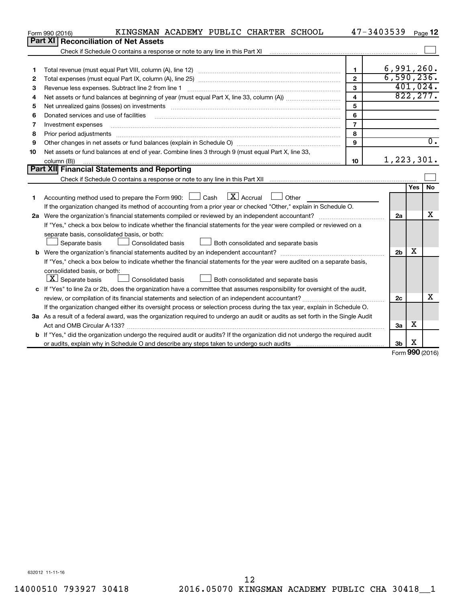|    | KINGSMAN ACADEMY PUBLIC CHARTER SCHOOL<br>Form 990 (2016)                                                                       |                         | 47-3403539     |            | Page 12          |
|----|---------------------------------------------------------------------------------------------------------------------------------|-------------------------|----------------|------------|------------------|
|    | Part XI   Reconciliation of Net Assets                                                                                          |                         |                |            |                  |
|    |                                                                                                                                 |                         |                |            |                  |
|    |                                                                                                                                 |                         |                |            |                  |
| 1  |                                                                                                                                 | 1                       | 6,991,260.     |            |                  |
| 2  |                                                                                                                                 | $\mathbf{2}$            | 6,590,236.     |            |                  |
| 3  | Revenue less expenses. Subtract line 2 from line 1                                                                              | 3                       |                |            | 401,024.         |
| 4  |                                                                                                                                 | $\overline{\mathbf{4}}$ |                |            | 822, 277.        |
| 5  |                                                                                                                                 | 5                       |                |            |                  |
| 6  | Donated services and use of facilities                                                                                          | 6                       |                |            |                  |
| 7  | Investment expenses                                                                                                             | $\overline{7}$          |                |            |                  |
| 8  | Prior period adjustments                                                                                                        | 8                       |                |            |                  |
| 9  |                                                                                                                                 | 9                       |                |            | $\overline{0}$ . |
| 10 | Net assets or fund balances at end of year. Combine lines 3 through 9 (must equal Part X, line 33,                              |                         |                |            |                  |
|    | column (B))                                                                                                                     | 10                      | 1, 223, 301.   |            |                  |
|    | Part XII Financial Statements and Reporting                                                                                     |                         |                |            |                  |
|    |                                                                                                                                 |                         |                |            |                  |
|    |                                                                                                                                 |                         |                | <b>Yes</b> | <b>No</b>        |
| 1  | $\mathbf{X}$ Accrual<br>Accounting method used to prepare the Form 990: $\Box$ Cash<br>$\Box$ Other                             |                         |                |            |                  |
|    | If the organization changed its method of accounting from a prior year or checked "Other," explain in Schedule O.               |                         |                |            |                  |
|    |                                                                                                                                 |                         | 2a             |            | х                |
|    | If "Yes," check a box below to indicate whether the financial statements for the year were compiled or reviewed on a            |                         |                |            |                  |
|    | separate basis, consolidated basis, or both:                                                                                    |                         |                |            |                  |
|    | Both consolidated and separate basis<br>Separate basis<br>Consolidated basis                                                    |                         |                |            |                  |
|    |                                                                                                                                 |                         | 2 <sub>b</sub> | х          |                  |
|    | If "Yes," check a box below to indicate whether the financial statements for the year were audited on a separate basis,         |                         |                |            |                  |
|    | consolidated basis, or both:                                                                                                    |                         |                |            |                  |
|    | $\lfloor x \rfloor$ Separate basis<br>Consolidated basis<br>Both consolidated and separate basis                                |                         |                |            |                  |
|    | c If "Yes" to line 2a or 2b, does the organization have a committee that assumes responsibility for oversight of the audit,     |                         |                |            |                  |
|    |                                                                                                                                 |                         | 2c             |            | x                |
|    | If the organization changed either its oversight process or selection process during the tax year, explain in Schedule O.       |                         |                |            |                  |
|    | 3a As a result of a federal award, was the organization required to undergo an audit or audits as set forth in the Single Audit |                         |                |            |                  |
|    |                                                                                                                                 |                         | За             | х          |                  |
|    | b If "Yes," did the organization undergo the required audit or audits? If the organization did not undergo the required audit   |                         |                |            |                  |
|    |                                                                                                                                 |                         | 3 <sub>b</sub> | х          |                  |

Form (2016) **990**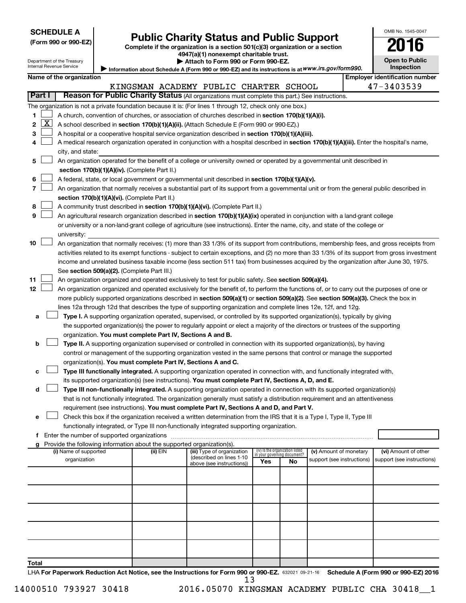| (Form 990 or 990-EZ |  |  |  |  |
|---------------------|--|--|--|--|
|---------------------|--|--|--|--|

## Form 990 or 990-EZ) **Public Charity Status and Public Support**<br>
Complete if the organization is a section 501(c)(3) organization or a section<br> **2016**

**4947(a)(1) nonexempt charitable trust. | Attach to Form 990 or Form 990-EZ.** 

| <b>Open to Public</b><br>Inspection |  |
|-------------------------------------|--|

OMB No. 1545-0047

Department of the Treasury Internal Revenue Service

| Information about Schedule A (Form 990 or 990-EZ) and its instructions is at WWW.irs.gov/form990. |
|---------------------------------------------------------------------------------------------------|

|        |              | Name of the organization                                                                                                                                                                                                                           |          |                                                        |     |                                                                |                            | <b>Employer identification number</b> |
|--------|--------------|----------------------------------------------------------------------------------------------------------------------------------------------------------------------------------------------------------------------------------------------------|----------|--------------------------------------------------------|-----|----------------------------------------------------------------|----------------------------|---------------------------------------|
| Part I |              | Reason for Public Charity Status (All organizations must complete this part.) See instructions.                                                                                                                                                    |          | KINGSMAN ACADEMY PUBLIC CHARTER SCHOOL                 |     |                                                                |                            | 47-3403539                            |
|        |              |                                                                                                                                                                                                                                                    |          |                                                        |     |                                                                |                            |                                       |
| 1.     |              | The organization is not a private foundation because it is: (For lines 1 through 12, check only one box.)<br>A church, convention of churches, or association of churches described in section 170(b)(1)(A)(i).                                    |          |                                                        |     |                                                                |                            |                                       |
| 2      | $\mathbf{X}$ | A school described in section 170(b)(1)(A)(ii). (Attach Schedule E (Form 990 or 990-EZ).)                                                                                                                                                          |          |                                                        |     |                                                                |                            |                                       |
| 3      |              | A hospital or a cooperative hospital service organization described in section 170(b)(1)(A)(iii).                                                                                                                                                  |          |                                                        |     |                                                                |                            |                                       |
| 4      |              | A medical research organization operated in conjunction with a hospital described in section 170(b)(1)(A)(iii). Enter the hospital's name,                                                                                                         |          |                                                        |     |                                                                |                            |                                       |
|        |              | city, and state:                                                                                                                                                                                                                                   |          |                                                        |     |                                                                |                            |                                       |
| 5      |              | An organization operated for the benefit of a college or university owned or operated by a governmental unit described in                                                                                                                          |          |                                                        |     |                                                                |                            |                                       |
|        |              | section 170(b)(1)(A)(iv). (Complete Part II.)                                                                                                                                                                                                      |          |                                                        |     |                                                                |                            |                                       |
| 6      |              | A federal, state, or local government or governmental unit described in section 170(b)(1)(A)(v).                                                                                                                                                   |          |                                                        |     |                                                                |                            |                                       |
| 7      |              | An organization that normally receives a substantial part of its support from a governmental unit or from the general public described in                                                                                                          |          |                                                        |     |                                                                |                            |                                       |
|        |              | section 170(b)(1)(A)(vi). (Complete Part II.)                                                                                                                                                                                                      |          |                                                        |     |                                                                |                            |                                       |
| 8      |              | A community trust described in section 170(b)(1)(A)(vi). (Complete Part II.)                                                                                                                                                                       |          |                                                        |     |                                                                |                            |                                       |
| 9      |              | An agricultural research organization described in section 170(b)(1)(A)(ix) operated in conjunction with a land-grant college                                                                                                                      |          |                                                        |     |                                                                |                            |                                       |
|        |              | or university or a non-land-grant college of agriculture (see instructions). Enter the name, city, and state of the college or                                                                                                                     |          |                                                        |     |                                                                |                            |                                       |
|        |              | university:                                                                                                                                                                                                                                        |          |                                                        |     |                                                                |                            |                                       |
| 10     |              | An organization that normally receives: (1) more than 33 1/3% of its support from contributions, membership fees, and gross receipts from                                                                                                          |          |                                                        |     |                                                                |                            |                                       |
|        |              | activities related to its exempt functions - subject to certain exceptions, and (2) no more than 33 1/3% of its support from gross investment                                                                                                      |          |                                                        |     |                                                                |                            |                                       |
|        |              | income and unrelated business taxable income (less section 511 tax) from businesses acquired by the organization after June 30, 1975.                                                                                                              |          |                                                        |     |                                                                |                            |                                       |
| 11     |              | See section 509(a)(2). (Complete Part III.)                                                                                                                                                                                                        |          |                                                        |     |                                                                |                            |                                       |
| 12     |              | An organization organized and operated exclusively to test for public safety. See section 509(a)(4).<br>An organization organized and operated exclusively for the benefit of, to perform the functions of, or to carry out the purposes of one or |          |                                                        |     |                                                                |                            |                                       |
|        |              | more publicly supported organizations described in section 509(a)(1) or section 509(a)(2). See section 509(a)(3). Check the box in                                                                                                                 |          |                                                        |     |                                                                |                            |                                       |
|        |              | lines 12a through 12d that describes the type of supporting organization and complete lines 12e, 12f, and 12g.                                                                                                                                     |          |                                                        |     |                                                                |                            |                                       |
| a      |              | Type I. A supporting organization operated, supervised, or controlled by its supported organization(s), typically by giving                                                                                                                        |          |                                                        |     |                                                                |                            |                                       |
|        |              | the supported organization(s) the power to regularly appoint or elect a majority of the directors or trustees of the supporting                                                                                                                    |          |                                                        |     |                                                                |                            |                                       |
|        |              | organization. You must complete Part IV, Sections A and B.                                                                                                                                                                                         |          |                                                        |     |                                                                |                            |                                       |
| b      |              | Type II. A supporting organization supervised or controlled in connection with its supported organization(s), by having                                                                                                                            |          |                                                        |     |                                                                |                            |                                       |
|        |              | control or management of the supporting organization vested in the same persons that control or manage the supported                                                                                                                               |          |                                                        |     |                                                                |                            |                                       |
|        |              | organization(s). You must complete Part IV, Sections A and C.                                                                                                                                                                                      |          |                                                        |     |                                                                |                            |                                       |
| с      |              | Type III functionally integrated. A supporting organization operated in connection with, and functionally integrated with,                                                                                                                         |          |                                                        |     |                                                                |                            |                                       |
|        |              | its supported organization(s) (see instructions). You must complete Part IV, Sections A, D, and E.                                                                                                                                                 |          |                                                        |     |                                                                |                            |                                       |
| d      |              | Type III non-functionally integrated. A supporting organization operated in connection with its supported organization(s)                                                                                                                          |          |                                                        |     |                                                                |                            |                                       |
|        |              | that is not functionally integrated. The organization generally must satisfy a distribution requirement and an attentiveness<br>requirement (see instructions). You must complete Part IV, Sections A and D, and Part V.                           |          |                                                        |     |                                                                |                            |                                       |
|        |              | Check this box if the organization received a written determination from the IRS that it is a Type I, Type II, Type III                                                                                                                            |          |                                                        |     |                                                                |                            |                                       |
|        |              | functionally integrated, or Type III non-functionally integrated supporting organization.                                                                                                                                                          |          |                                                        |     |                                                                |                            |                                       |
|        |              | f Enter the number of supported organizations                                                                                                                                                                                                      |          |                                                        |     |                                                                |                            |                                       |
|        |              | g Provide the following information about the supported organization(s).                                                                                                                                                                           |          |                                                        |     |                                                                |                            |                                       |
|        |              | (i) Name of supported                                                                                                                                                                                                                              | (ii) EIN | (iii) Type of organization<br>(described on lines 1-10 |     | (iv) Is the organization listed<br>in your governing document? | (v) Amount of monetary     | (vi) Amount of other                  |
|        |              | organization                                                                                                                                                                                                                                       |          | above (see instructions))                              | Yes | No                                                             | support (see instructions) | support (see instructions)            |
|        |              |                                                                                                                                                                                                                                                    |          |                                                        |     |                                                                |                            |                                       |
|        |              |                                                                                                                                                                                                                                                    |          |                                                        |     |                                                                |                            |                                       |
|        |              |                                                                                                                                                                                                                                                    |          |                                                        |     |                                                                |                            |                                       |
|        |              |                                                                                                                                                                                                                                                    |          |                                                        |     |                                                                |                            |                                       |
|        |              |                                                                                                                                                                                                                                                    |          |                                                        |     |                                                                |                            |                                       |
|        |              |                                                                                                                                                                                                                                                    |          |                                                        |     |                                                                |                            |                                       |
|        |              |                                                                                                                                                                                                                                                    |          |                                                        |     |                                                                |                            |                                       |
|        |              |                                                                                                                                                                                                                                                    |          |                                                        |     |                                                                |                            |                                       |
|        |              |                                                                                                                                                                                                                                                    |          |                                                        |     |                                                                |                            |                                       |
| Total  |              |                                                                                                                                                                                                                                                    |          |                                                        |     |                                                                |                            |                                       |

LHA For Paperwork Reduction Act Notice, see the Instructions for Form 990 or 990-EZ. 632021 09-21-16 Schedule A (Form 990 or 990-EZ) 2016

14000510 793927 30418 2016.05070 KINGSMAN ACADEMY PUBLIC CHA 30418\_\_1 13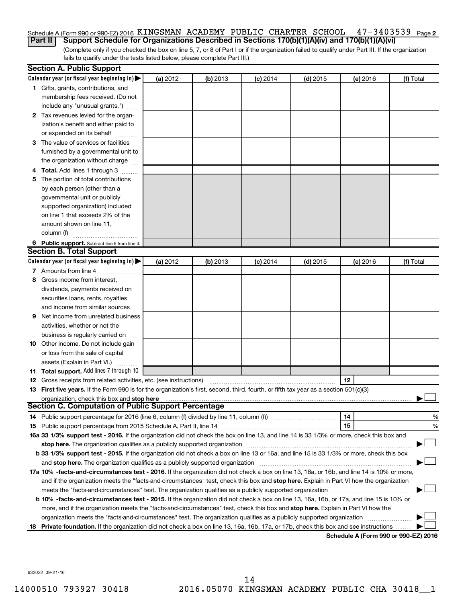#### 47-3403539 <sub>Page 2</sub> Schedule A (Form 990 or 990-EZ) 2016 KINGSMAN ACADEMY PUBLIC CHARTER SCHOOL 47-3403539 Page

(Complete only if you checked the box on line 5, 7, or 8 of Part I or if the organization failed to qualify under Part III. If the organization fails to qualify under the tests listed below, please complete Part III.) **Part II Support Schedule for Organizations Described in Sections 170(b)(1)(A)(iv) and 170(b)(1)(A)(vi)**

|   | <b>Section A. Public Support</b>                                                                                                           |          |          |            |            |          |                                      |
|---|--------------------------------------------------------------------------------------------------------------------------------------------|----------|----------|------------|------------|----------|--------------------------------------|
|   | Calendar year (or fiscal year beginning in)                                                                                                | (a) 2012 | (b) 2013 | $(c)$ 2014 | $(d)$ 2015 | (e) 2016 | (f) Total                            |
|   | 1 Gifts, grants, contributions, and                                                                                                        |          |          |            |            |          |                                      |
|   | membership fees received. (Do not                                                                                                          |          |          |            |            |          |                                      |
|   | include any "unusual grants.")                                                                                                             |          |          |            |            |          |                                      |
|   | 2 Tax revenues levied for the organ-                                                                                                       |          |          |            |            |          |                                      |
|   | ization's benefit and either paid to                                                                                                       |          |          |            |            |          |                                      |
|   | or expended on its behalf                                                                                                                  |          |          |            |            |          |                                      |
|   | 3 The value of services or facilities                                                                                                      |          |          |            |            |          |                                      |
|   | furnished by a governmental unit to                                                                                                        |          |          |            |            |          |                                      |
|   | the organization without charge                                                                                                            |          |          |            |            |          |                                      |
|   | 4 Total. Add lines 1 through 3                                                                                                             |          |          |            |            |          |                                      |
|   | 5 The portion of total contributions                                                                                                       |          |          |            |            |          |                                      |
|   | by each person (other than a                                                                                                               |          |          |            |            |          |                                      |
|   | governmental unit or publicly                                                                                                              |          |          |            |            |          |                                      |
|   | supported organization) included                                                                                                           |          |          |            |            |          |                                      |
|   | on line 1 that exceeds 2% of the                                                                                                           |          |          |            |            |          |                                      |
|   | amount shown on line 11,                                                                                                                   |          |          |            |            |          |                                      |
|   | column (f)                                                                                                                                 |          |          |            |            |          |                                      |
|   | 6 Public support. Subtract line 5 from line 4.                                                                                             |          |          |            |            |          |                                      |
|   | <b>Section B. Total Support</b>                                                                                                            |          |          |            |            |          |                                      |
|   | Calendar year (or fiscal year beginning in)                                                                                                | (a) 2012 | (b) 2013 | $(c)$ 2014 | $(d)$ 2015 | (e) 2016 | (f) Total                            |
|   | 7 Amounts from line 4                                                                                                                      |          |          |            |            |          |                                      |
| 8 | Gross income from interest,                                                                                                                |          |          |            |            |          |                                      |
|   | dividends, payments received on                                                                                                            |          |          |            |            |          |                                      |
|   | securities loans, rents, royalties                                                                                                         |          |          |            |            |          |                                      |
|   | and income from similar sources                                                                                                            |          |          |            |            |          |                                      |
| 9 | Net income from unrelated business                                                                                                         |          |          |            |            |          |                                      |
|   | activities, whether or not the                                                                                                             |          |          |            |            |          |                                      |
|   | business is regularly carried on                                                                                                           |          |          |            |            |          |                                      |
|   | 10 Other income. Do not include gain                                                                                                       |          |          |            |            |          |                                      |
|   | or loss from the sale of capital                                                                                                           |          |          |            |            |          |                                      |
|   | assets (Explain in Part VI.)                                                                                                               |          |          |            |            |          |                                      |
|   | 11 Total support. Add lines 7 through 10                                                                                                   |          |          |            |            |          |                                      |
|   | <b>12</b> Gross receipts from related activities, etc. (see instructions)                                                                  |          |          |            |            | 12       |                                      |
|   | 13 First five years. If the Form 990 is for the organization's first, second, third, fourth, or fifth tax year as a section 501(c)(3)      |          |          |            |            |          |                                      |
|   | organization, check this box and stop here                                                                                                 |          |          |            |            |          |                                      |
|   | <b>Section C. Computation of Public Support Percentage</b>                                                                                 |          |          |            |            |          |                                      |
|   |                                                                                                                                            |          |          |            |            | 14       | %                                    |
|   |                                                                                                                                            |          |          |            |            | 15       | %                                    |
|   | 16a 33 1/3% support test - 2016. If the organization did not check the box on line 13, and line 14 is 33 1/3% or more, check this box and  |          |          |            |            |          |                                      |
|   |                                                                                                                                            |          |          |            |            |          |                                      |
|   | b 33 1/3% support test - 2015. If the organization did not check a box on line 13 or 16a, and line 15 is 33 1/3% or more, check this box   |          |          |            |            |          |                                      |
|   |                                                                                                                                            |          |          |            |            |          |                                      |
|   | 17a 10% -facts-and-circumstances test - 2016. If the organization did not check a box on line 13, 16a, or 16b, and line 14 is 10% or more, |          |          |            |            |          |                                      |
|   | and if the organization meets the "facts-and-circumstances" test, check this box and stop here. Explain in Part VI how the organization    |          |          |            |            |          |                                      |
|   |                                                                                                                                            |          |          |            |            |          |                                      |
|   | b 10% -facts-and-circumstances test - 2015. If the organization did not check a box on line 13, 16a, 16b, or 17a, and line 15 is 10% or    |          |          |            |            |          |                                      |
|   | more, and if the organization meets the "facts-and-circumstances" test, check this box and stop here. Explain in Part VI how the           |          |          |            |            |          |                                      |
|   | organization meets the "facts-and-circumstances" test. The organization qualifies as a publicly supported organization                     |          |          |            |            |          |                                      |
|   | 18 Private foundation. If the organization did not check a box on line 13, 16a, 16b, 17a, or 17b, check this box and see instructions      |          |          |            |            |          |                                      |
|   |                                                                                                                                            |          |          |            |            |          | Schedule A (Form 990 or 990-F7) 2016 |

**Schedule A (Form 990 or 990-EZ) 2016**

632022 09-21-16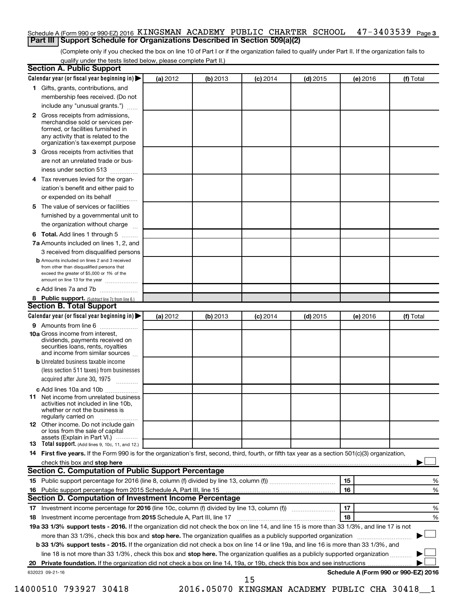### Schedule A (Form 990 or 990-EZ) 2016 KINGSMAN ACADEMY PUBLIC CHARTER SCHOOL 47-3403539 <sub>Page 3</sub> **Part III Support Schedule for Organizations Described in Section 509(a)(2)**

(Complete only if you checked the box on line 10 of Part I or if the organization failed to qualify under Part II. If the organization fails to qualify under the tests listed below, please complete Part II.)

| <b>Section A. Public Support</b>                                                                                                                                                                                                    |          |          |            |            |          |                                      |
|-------------------------------------------------------------------------------------------------------------------------------------------------------------------------------------------------------------------------------------|----------|----------|------------|------------|----------|--------------------------------------|
| Calendar year (or fiscal year beginning in)                                                                                                                                                                                         | (a) 2012 | (b) 2013 | $(c)$ 2014 | $(d)$ 2015 | (e) 2016 | (f) Total                            |
| 1 Gifts, grants, contributions, and                                                                                                                                                                                                 |          |          |            |            |          |                                      |
| membership fees received. (Do not                                                                                                                                                                                                   |          |          |            |            |          |                                      |
| include any "unusual grants.")                                                                                                                                                                                                      |          |          |            |            |          |                                      |
| 2 Gross receipts from admissions,<br>merchandise sold or services per-<br>formed, or facilities furnished in                                                                                                                        |          |          |            |            |          |                                      |
| any activity that is related to the<br>organization's tax-exempt purpose                                                                                                                                                            |          |          |            |            |          |                                      |
| 3 Gross receipts from activities that                                                                                                                                                                                               |          |          |            |            |          |                                      |
| are not an unrelated trade or bus-                                                                                                                                                                                                  |          |          |            |            |          |                                      |
| iness under section 513                                                                                                                                                                                                             |          |          |            |            |          |                                      |
| 4 Tax revenues levied for the organ-<br>ization's benefit and either paid to                                                                                                                                                        |          |          |            |            |          |                                      |
| or expended on its behalf                                                                                                                                                                                                           |          |          |            |            |          |                                      |
| 5 The value of services or facilities                                                                                                                                                                                               |          |          |            |            |          |                                      |
| furnished by a governmental unit to                                                                                                                                                                                                 |          |          |            |            |          |                                      |
| the organization without charge                                                                                                                                                                                                     |          |          |            |            |          |                                      |
|                                                                                                                                                                                                                                     |          |          |            |            |          |                                      |
| <b>6 Total.</b> Add lines 1 through 5                                                                                                                                                                                               |          |          |            |            |          |                                      |
| 7a Amounts included on lines 1, 2, and                                                                                                                                                                                              |          |          |            |            |          |                                      |
| 3 received from disqualified persons                                                                                                                                                                                                |          |          |            |            |          |                                      |
| <b>b</b> Amounts included on lines 2 and 3 received<br>from other than disqualified persons that<br>exceed the greater of \$5,000 or 1% of the<br>amount on line 13 for the year                                                    |          |          |            |            |          |                                      |
| c Add lines 7a and 7b                                                                                                                                                                                                               |          |          |            |            |          |                                      |
| 8 Public support. (Subtract line 7c from line 6.)                                                                                                                                                                                   |          |          |            |            |          |                                      |
| <b>Section B. Total Support</b>                                                                                                                                                                                                     |          |          |            |            |          |                                      |
| Calendar year (or fiscal year beginning in)                                                                                                                                                                                         | (a) 2012 | (b) 2013 | $(c)$ 2014 | $(d)$ 2015 | (e) 2016 | (f) Total                            |
| <b>9</b> Amounts from line 6                                                                                                                                                                                                        |          |          |            |            |          |                                      |
| <b>10a</b> Gross income from interest,<br>dividends, payments received on<br>securities loans, rents, royalties<br>and income from similar sources                                                                                  |          |          |            |            |          |                                      |
| <b>b</b> Unrelated business taxable income                                                                                                                                                                                          |          |          |            |            |          |                                      |
| (less section 511 taxes) from businesses                                                                                                                                                                                            |          |          |            |            |          |                                      |
| acquired after June 30, 1975                                                                                                                                                                                                        |          |          |            |            |          |                                      |
| c Add lines 10a and 10b                                                                                                                                                                                                             |          |          |            |            |          |                                      |
| <b>11</b> Net income from unrelated business<br>activities not included in line 10b.<br>whether or not the business is<br>regularly carried on                                                                                      |          |          |            |            |          |                                      |
| <b>12</b> Other income. Do not include gain<br>or loss from the sale of capital                                                                                                                                                     |          |          |            |            |          |                                      |
| assets (Explain in Part VI.)<br><b>13</b> Total support. (Add lines 9, 10c, 11, and 12.)                                                                                                                                            |          |          |            |            |          |                                      |
| 14 First five years. If the Form 990 is for the organization's first, second, third, fourth, or fifth tax year as a section 501(c)(3) organization,                                                                                 |          |          |            |            |          |                                      |
| check this box and stop here <i>macuum content and a content and a content and stop here</i> and stop here and stop here and stop the state of the state of the state of the state of the state of the state of the state of the st |          |          |            |            |          |                                      |
| <b>Section C. Computation of Public Support Percentage</b>                                                                                                                                                                          |          |          |            |            |          |                                      |
|                                                                                                                                                                                                                                     |          |          |            |            | 15       | ℅                                    |
| 16 Public support percentage from 2015 Schedule A, Part III, line 15                                                                                                                                                                |          |          |            |            | 16       | %                                    |
| Section D. Computation of Investment Income Percentage                                                                                                                                                                              |          |          |            |            |          |                                      |
|                                                                                                                                                                                                                                     |          |          |            |            | 17       | %                                    |
| 18 Investment income percentage from 2015 Schedule A, Part III, line 17                                                                                                                                                             |          |          |            |            | 18       | %                                    |
| 19a 33 1/3% support tests - 2016. If the organization did not check the box on line 14, and line 15 is more than 33 1/3%, and line 17 is not                                                                                        |          |          |            |            |          |                                      |
| more than 33 1/3%, check this box and stop here. The organization qualifies as a publicly supported organization                                                                                                                    |          |          |            |            |          |                                      |
| b 33 1/3% support tests - 2015. If the organization did not check a box on line 14 or line 19a, and line 16 is more than 33 1/3%, and                                                                                               |          |          |            |            |          |                                      |
| line 18 is not more than 33 1/3%, check this box and stop here. The organization qualifies as a publicly supported organization                                                                                                     |          |          |            |            |          |                                      |
|                                                                                                                                                                                                                                     |          |          |            |            |          |                                      |
| 632023 09-21-16                                                                                                                                                                                                                     |          |          |            |            |          | Schedule A (Form 990 or 990-EZ) 2016 |
|                                                                                                                                                                                                                                     |          |          | 15         |            |          |                                      |

14000510 793927 30418 2016.05070 KINGSMAN ACADEMY PUBLIC CHA 30418\_\_1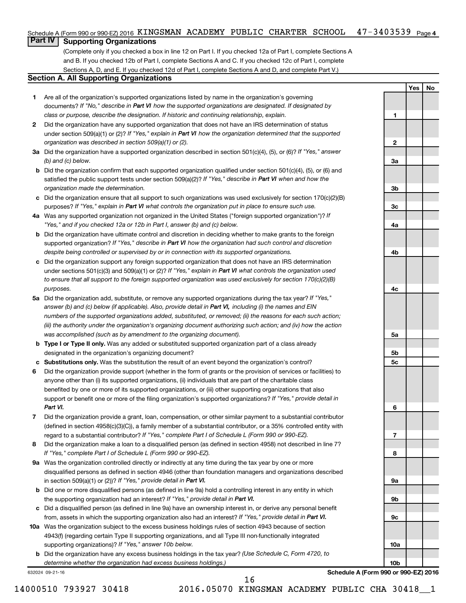#### $47 - 3403539$  Page 4 Schedule A (Form 990 or 990-EZ) 2016 KINGSMAN ACADEMY PUBLIC CHARTER SCHOOL 47-3403539 Page

## **Part IV Supporting Organizations**

(Complete only if you checked a box in line 12 on Part I. If you checked 12a of Part I, complete Sections A and B. If you checked 12b of Part I, complete Sections A and C. If you checked 12c of Part I, complete Sections A, D, and E. If you checked 12d of Part I, complete Sections A and D, and complete Part V.)

#### **Section A. All Supporting Organizations**

- **1** Are all of the organization's supported organizations listed by name in the organization's governing documents? If "No," describe in Part VI how the supported organizations are designated. If designated by *class or purpose, describe the designation. If historic and continuing relationship, explain.*
- **2** Did the organization have any supported organization that does not have an IRS determination of status under section 509(a)(1) or (2)? If "Yes," explain in Part VI how the organization determined that the supported *organization was described in section 509(a)(1) or (2).*
- **3a** Did the organization have a supported organization described in section 501(c)(4), (5), or (6)? If "Yes," answer *(b) and (c) below.*
- **b** Did the organization confirm that each supported organization qualified under section 501(c)(4), (5), or (6) and satisfied the public support tests under section 509(a)(2)? If "Yes," describe in Part VI when and how the *organization made the determination.*
- **c** Did the organization ensure that all support to such organizations was used exclusively for section 170(c)(2)(B) purposes? If "Yes," explain in Part VI what controls the organization put in place to ensure such use.
- **4 a** *If* Was any supported organization not organized in the United States ("foreign supported organization")? *"Yes," and if you checked 12a or 12b in Part I, answer (b) and (c) below.*
- **b** Did the organization have ultimate control and discretion in deciding whether to make grants to the foreign supported organization? If "Yes," describe in Part VI how the organization had such control and discretion *despite being controlled or supervised by or in connection with its supported organizations.*
- **c** Did the organization support any foreign supported organization that does not have an IRS determination under sections 501(c)(3) and 509(a)(1) or (2)? If "Yes," explain in Part VI what controls the organization used *to ensure that all support to the foreign supported organization was used exclusively for section 170(c)(2)(B) purposes.*
- **5a** Did the organization add, substitute, or remove any supported organizations during the tax year? If "Yes," answer (b) and (c) below (if applicable). Also, provide detail in Part VI, including (i) the names and EIN *numbers of the supported organizations added, substituted, or removed; (ii) the reasons for each such action; (iii) the authority under the organization's organizing document authorizing such action; and (iv) how the action was accomplished (such as by amendment to the organizing document).*
- **b Type I or Type II only.** Was any added or substituted supported organization part of a class already designated in the organization's organizing document?
- **c Substitutions only.**  Was the substitution the result of an event beyond the organization's control?
- **6** Did the organization provide support (whether in the form of grants or the provision of services or facilities) to support or benefit one or more of the filing organization's supported organizations? If "Yes," provide detail in anyone other than (i) its supported organizations, (ii) individuals that are part of the charitable class benefited by one or more of its supported organizations, or (iii) other supporting organizations that also *Part VI.*
- **7** Did the organization provide a grant, loan, compensation, or other similar payment to a substantial contributor regard to a substantial contributor? If "Yes," complete Part I of Schedule L (Form 990 or 990-EZ). (defined in section 4958(c)(3)(C)), a family member of a substantial contributor, or a 35% controlled entity with
- **8** Did the organization make a loan to a disqualified person (as defined in section 4958) not described in line 7? *If "Yes," complete Part I of Schedule L (Form 990 or 990-EZ).*
- **9 a** Was the organization controlled directly or indirectly at any time during the tax year by one or more in section 509(a)(1) or (2))? If "Yes," provide detail in Part VI. disqualified persons as defined in section 4946 (other than foundation managers and organizations described
- **b** Did one or more disqualified persons (as defined in line 9a) hold a controlling interest in any entity in which the supporting organization had an interest? If "Yes," provide detail in Part VI.
- **c** Did a disqualified person (as defined in line 9a) have an ownership interest in, or derive any personal benefit from, assets in which the supporting organization also had an interest? If "Yes," provide detail in Part VI.
- **10 a** Was the organization subject to the excess business holdings rules of section 4943 because of section supporting organizations)? If "Yes," answer 10b below. 4943(f) (regarding certain Type II supporting organizations, and all Type III non-functionally integrated
	- **b** Did the organization have any excess business holdings in the tax year? (Use Schedule C, Form 4720, to *determine whether the organization had excess business holdings.)*

632024 09-21-16

**Schedule A (Form 990 or 990-EZ) 2016**

**Yes No**

**1**

**2**

**3a**

**3b**

**3c**

**4a**

**4b**

**4c**

**5a**

**5b 5c**

**6**

**7**

**8**

**9a**

**9b**

**9c**

**10a**

**10b**

16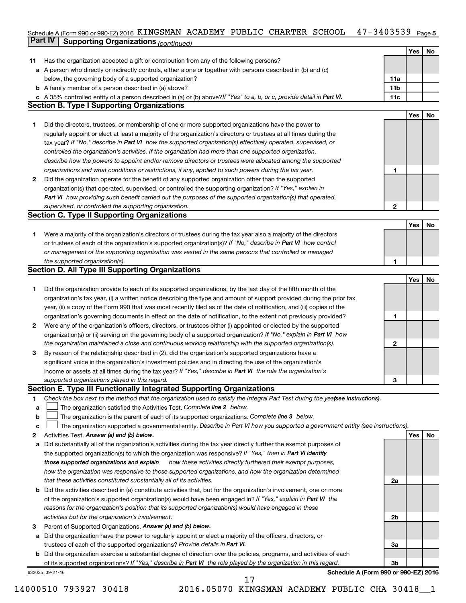#### Schedule A (Form 990 or 990-EZ) 2016 KINGSMAN ACADEMY PUBLIC CHARTER SCHOOL 4 / − 34U3539 Page 5 **Part IV Supporting Organizations** *(continued)* KINGSMAN ACADEMY PUBLIC CHARTER SCHOOL 47-3403539

|              | <u>communed</u> of same and recommunities                                                                                                                                                                                              |                |     |    |
|--------------|----------------------------------------------------------------------------------------------------------------------------------------------------------------------------------------------------------------------------------------|----------------|-----|----|
|              |                                                                                                                                                                                                                                        |                | Yes | No |
| 11           | Has the organization accepted a gift or contribution from any of the following persons?                                                                                                                                                |                |     |    |
|              | a A person who directly or indirectly controls, either alone or together with persons described in (b) and (c)                                                                                                                         |                |     |    |
|              | below, the governing body of a supported organization?                                                                                                                                                                                 | 11a            |     |    |
|              | <b>b</b> A family member of a person described in (a) above?                                                                                                                                                                           | 11b            |     |    |
|              | c A 35% controlled entity of a person described in (a) or (b) above? If "Yes" to a, b, or c, provide detail in Part VI.                                                                                                                | 11c            |     |    |
|              | <b>Section B. Type I Supporting Organizations</b>                                                                                                                                                                                      |                |     |    |
|              |                                                                                                                                                                                                                                        |                | Yes | No |
| 1.           | Did the directors, trustees, or membership of one or more supported organizations have the power to                                                                                                                                    |                |     |    |
|              | regularly appoint or elect at least a majority of the organization's directors or trustees at all times during the                                                                                                                     |                |     |    |
|              | tax year? If "No," describe in Part VI how the supported organization(s) effectively operated, supervised, or                                                                                                                          |                |     |    |
|              | controlled the organization's activities. If the organization had more than one supported organization,                                                                                                                                |                |     |    |
|              | describe how the powers to appoint and/or remove directors or trustees were allocated among the supported                                                                                                                              |                |     |    |
|              | organizations and what conditions or restrictions, if any, applied to such powers during the tax year.                                                                                                                                 | 1              |     |    |
| $\mathbf{2}$ | Did the organization operate for the benefit of any supported organization other than the supported                                                                                                                                    |                |     |    |
|              | organization(s) that operated, supervised, or controlled the supporting organization? If "Yes," explain in                                                                                                                             |                |     |    |
|              | Part VI how providing such benefit carried out the purposes of the supported organization(s) that operated,                                                                                                                            |                |     |    |
|              | supervised, or controlled the supporting organization.                                                                                                                                                                                 | $\mathbf{2}$   |     |    |
|              | <b>Section C. Type II Supporting Organizations</b>                                                                                                                                                                                     |                |     |    |
|              |                                                                                                                                                                                                                                        |                | Yes | No |
| 1.           | Were a majority of the organization's directors or trustees during the tax year also a majority of the directors                                                                                                                       |                |     |    |
|              | or trustees of each of the organization's supported organization(s)? If "No," describe in Part VI how control                                                                                                                          |                |     |    |
|              | or management of the supporting organization was vested in the same persons that controlled or managed                                                                                                                                 |                |     |    |
|              | the supported organization(s).                                                                                                                                                                                                         | 1              |     |    |
|              | <b>Section D. All Type III Supporting Organizations</b>                                                                                                                                                                                |                |     |    |
|              |                                                                                                                                                                                                                                        |                | Yes | No |
| 1.           | Did the organization provide to each of its supported organizations, by the last day of the fifth month of the                                                                                                                         |                |     |    |
|              | organization's tax year, (i) a written notice describing the type and amount of support provided during the prior tax                                                                                                                  |                |     |    |
|              | year, (ii) a copy of the Form 990 that was most recently filed as of the date of notification, and (iii) copies of the                                                                                                                 | 1              |     |    |
|              | organization's governing documents in effect on the date of notification, to the extent not previously provided?                                                                                                                       |                |     |    |
| 2            | Were any of the organization's officers, directors, or trustees either (i) appointed or elected by the supported<br>organization(s) or (ii) serving on the governing body of a supported organization? If "No," explain in Part VI how |                |     |    |
|              |                                                                                                                                                                                                                                        |                |     |    |
|              | the organization maintained a close and continuous working relationship with the supported organization(s).<br>By reason of the relationship described in (2), did the organization's supported organizations have a                   | 2              |     |    |
| З            | significant voice in the organization's investment policies and in directing the use of the organization's                                                                                                                             |                |     |    |
|              |                                                                                                                                                                                                                                        |                |     |    |
|              | income or assets at all times during the tax year? If "Yes," describe in Part VI the role the organization's                                                                                                                           |                |     |    |
|              | supported organizations played in this regard.<br>Section E. Type III Functionally Integrated Supporting Organizations                                                                                                                 | 3              |     |    |
| 1            | Check the box next to the method that the organization used to satisfy the Integral Part Test during the yealsee instructions).                                                                                                        |                |     |    |
| a            | The organization satisfied the Activities Test. Complete line 2 below.                                                                                                                                                                 |                |     |    |
| b            | The organization is the parent of each of its supported organizations. Complete line 3 below.                                                                                                                                          |                |     |    |
| c            | The organization supported a governmental entity. Describe in Part VI how you supported a government entity (see instructions).                                                                                                        |                |     |    |
| 2            | Activities Test. Answer (a) and (b) below.                                                                                                                                                                                             |                | Yes | No |
| a            | Did substantially all of the organization's activities during the tax year directly further the exempt purposes of                                                                                                                     |                |     |    |
|              | the supported organization(s) to which the organization was responsive? If "Yes," then in Part VI identify                                                                                                                             |                |     |    |
|              | those supported organizations and explain<br>how these activities directly furthered their exempt purposes,                                                                                                                            |                |     |    |
|              | how the organization was responsive to those supported organizations, and how the organization determined                                                                                                                              |                |     |    |
|              | that these activities constituted substantially all of its activities.                                                                                                                                                                 | 2a             |     |    |
| b            | Did the activities described in (a) constitute activities that, but for the organization's involvement, one or more                                                                                                                    |                |     |    |
|              | of the organization's supported organization(s) would have been engaged in? If "Yes," explain in Part VI the                                                                                                                           |                |     |    |
|              | reasons for the organization's position that its supported organization(s) would have engaged in these                                                                                                                                 |                |     |    |
|              | activities but for the organization's involvement.                                                                                                                                                                                     | 2b             |     |    |
| з            | Parent of Supported Organizations. Answer (a) and (b) below.                                                                                                                                                                           |                |     |    |
| a            | Did the organization have the power to regularly appoint or elect a majority of the officers, directors, or                                                                                                                            |                |     |    |
|              | trustees of each of the supported organizations? Provide details in Part VI.                                                                                                                                                           | За             |     |    |
| b            | Did the organization exercise a substantial degree of direction over the policies, programs, and activities of each                                                                                                                    |                |     |    |
|              | of its supported organizations? If "Yes," describe in Part VI the role played by the organization in this regard.                                                                                                                      | 3 <sub>b</sub> |     |    |
|              | Schedule A (Form 990 or 990-EZ) 2016<br>632025 09-21-16                                                                                                                                                                                |                |     |    |

<sup>14000510 793927 30418 2016.05070</sup> KINGSMAN ACADEMY PUBLIC CHA 30418\_\_1 17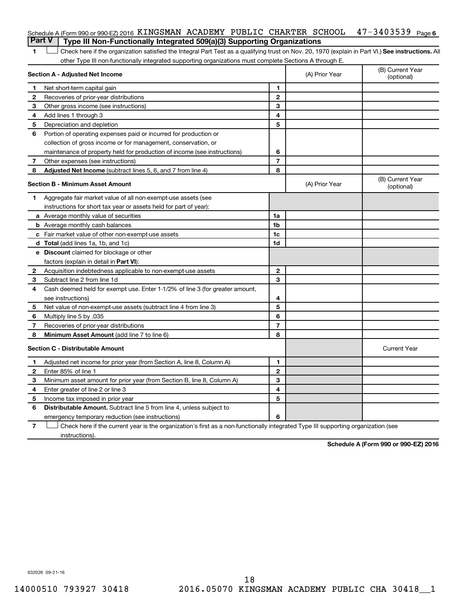| Schedule A (Form 990 or 990-EZ) 2016 KINGSMAN ACADEMY PUBLIC CHARTER SCHOOL $47-3403539$ Page 6<br><b>Part V</b> Type III Non-Functionally Integrated 509(a)(3) Supporting Organizations |  |  |  |  |
|------------------------------------------------------------------------------------------------------------------------------------------------------------------------------------------|--|--|--|--|
|                                                                                                                                                                                          |  |  |  |  |

1 **Letter See instructions.** All Check here if the organization satisfied the Integral Part Test as a qualifying trust on Nov. 20, 1970 (explain in Part VI.) See instructions. All other Type III non-functionally integrated supporting organizations must complete Sections A through E.

|                                         | Section A - Adjusted Net Income                                              | (A) Prior Year | (B) Current Year<br>(optional) |                                |
|-----------------------------------------|------------------------------------------------------------------------------|----------------|--------------------------------|--------------------------------|
| 1                                       | Net short-term capital gain                                                  | 1              |                                |                                |
| 2                                       | Recoveries of prior-year distributions                                       | $\mathbf{2}$   |                                |                                |
| З                                       | Other gross income (see instructions)                                        | 3              |                                |                                |
| 4                                       | Add lines 1 through 3                                                        | 4              |                                |                                |
| 5                                       | Depreciation and depletion                                                   | 5              |                                |                                |
| 6                                       | Portion of operating expenses paid or incurred for production or             |                |                                |                                |
|                                         | collection of gross income or for management, conservation, or               |                |                                |                                |
|                                         | maintenance of property held for production of income (see instructions)     | 6              |                                |                                |
| 7                                       | Other expenses (see instructions)                                            | $\overline{7}$ |                                |                                |
| 8                                       | Adjusted Net Income (subtract lines 5, 6, and 7 from line 4)                 | 8              |                                |                                |
| <b>Section B - Minimum Asset Amount</b> |                                                                              |                | (A) Prior Year                 | (B) Current Year<br>(optional) |
| 1.                                      | Aggregate fair market value of all non-exempt-use assets (see                |                |                                |                                |
|                                         | instructions for short tax year or assets held for part of year):            |                |                                |                                |
|                                         | <b>a</b> Average monthly value of securities                                 | 1a             |                                |                                |
|                                         | <b>b</b> Average monthly cash balances                                       | 1 <sub>b</sub> |                                |                                |
|                                         | c Fair market value of other non-exempt-use assets                           | 1c             |                                |                                |
|                                         | d Total (add lines 1a, 1b, and 1c)                                           | 1d             |                                |                                |
|                                         | e Discount claimed for blockage or other                                     |                |                                |                                |
|                                         | factors (explain in detail in <b>Part VI</b> ):                              |                |                                |                                |
| $\mathbf{2}$                            | Acquisition indebtedness applicable to non-exempt-use assets                 | $\mathbf{2}$   |                                |                                |
| 3                                       | Subtract line 2 from line 1d                                                 | 3              |                                |                                |
| 4                                       | Cash deemed held for exempt use. Enter 1-1/2% of line 3 (for greater amount, |                |                                |                                |
|                                         | see instructions)                                                            | 4              |                                |                                |
| 5                                       | Net value of non-exempt-use assets (subtract line 4 from line 3)             | 5              |                                |                                |
| 6                                       | Multiply line 5 by .035                                                      | 6              |                                |                                |
| 7                                       | Recoveries of prior-year distributions                                       | 7              |                                |                                |
| 8                                       | Minimum Asset Amount (add line 7 to line 6)                                  | 8              |                                |                                |
|                                         | <b>Section C - Distributable Amount</b>                                      |                |                                | <b>Current Year</b>            |
| 1                                       | Adjusted net income for prior year (from Section A, line 8, Column A)        | 1              |                                |                                |
| 2                                       | Enter 85% of line 1                                                          | $\mathbf{2}$   |                                |                                |
| 3                                       | Minimum asset amount for prior year (from Section B, line 8, Column A)       | 3              |                                |                                |
| 4                                       | Enter greater of line 2 or line 3                                            | 4              |                                |                                |
| 5                                       | Income tax imposed in prior year                                             | 5              |                                |                                |
| 6                                       | <b>Distributable Amount.</b> Subtract line 5 from line 4, unless subject to  |                |                                |                                |
|                                         | emergency temporary reduction (see instructions)                             | 6              |                                |                                |
|                                         |                                                                              |                |                                |                                |

**7** Check here if the current year is the organization's first as a non-functionally integrated Type III supporting organization (see † instructions).

**Schedule A (Form 990 or 990-EZ) 2016**

632026 09-21-16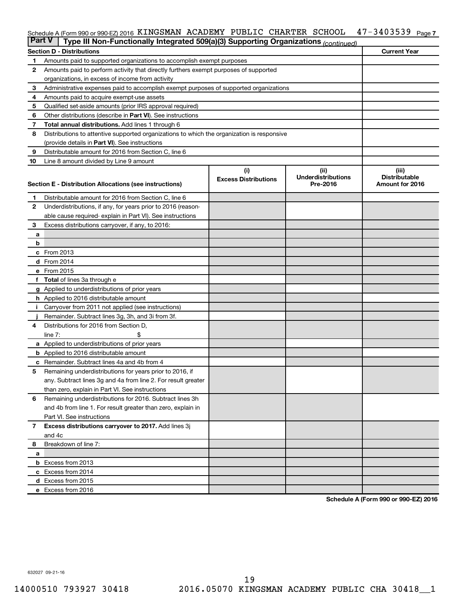#### 47-3403539 Page 7 Schedule A (Form 990 or 990-EZ) 2016 KINGSMAN ACADEMY PUBLIC CHARTER SCHOOL 47-3403539 Page

| <b>Part V</b>  | Type III Non-Functionally Integrated 509(a)(3) Supporting Organizations (continued)                     |                             |                                       |                                         |  |  |  |  |
|----------------|---------------------------------------------------------------------------------------------------------|-----------------------------|---------------------------------------|-----------------------------------------|--|--|--|--|
|                | <b>Current Year</b><br><b>Section D - Distributions</b>                                                 |                             |                                       |                                         |  |  |  |  |
| 1              | Amounts paid to supported organizations to accomplish exempt purposes                                   |                             |                                       |                                         |  |  |  |  |
| $\mathbf{2}$   | Amounts paid to perform activity that directly furthers exempt purposes of supported                    |                             |                                       |                                         |  |  |  |  |
|                | organizations, in excess of income from activity                                                        |                             |                                       |                                         |  |  |  |  |
| 3              | Administrative expenses paid to accomplish exempt purposes of supported organizations                   |                             |                                       |                                         |  |  |  |  |
| 4              | Amounts paid to acquire exempt-use assets                                                               |                             |                                       |                                         |  |  |  |  |
| 5              | Qualified set-aside amounts (prior IRS approval required)                                               |                             |                                       |                                         |  |  |  |  |
| 6              | Other distributions (describe in <b>Part VI</b> ). See instructions                                     |                             |                                       |                                         |  |  |  |  |
| 7              | <b>Total annual distributions.</b> Add lines 1 through 6                                                |                             |                                       |                                         |  |  |  |  |
| 8              | Distributions to attentive supported organizations to which the organization is responsive              |                             |                                       |                                         |  |  |  |  |
|                | (provide details in Part VI). See instructions                                                          |                             |                                       |                                         |  |  |  |  |
| 9              | Distributable amount for 2016 from Section C, line 6                                                    |                             |                                       |                                         |  |  |  |  |
| 10             | Line 8 amount divided by Line 9 amount                                                                  |                             |                                       |                                         |  |  |  |  |
|                |                                                                                                         | (i)                         | (ii)                                  | (iii)                                   |  |  |  |  |
|                | Section E - Distribution Allocations (see instructions)                                                 | <b>Excess Distributions</b> | <b>Underdistributions</b><br>Pre-2016 | <b>Distributable</b><br>Amount for 2016 |  |  |  |  |
|                |                                                                                                         |                             |                                       |                                         |  |  |  |  |
| 1              | Distributable amount for 2016 from Section C, line 6                                                    |                             |                                       |                                         |  |  |  |  |
| $\mathbf{2}$   | Underdistributions, if any, for years prior to 2016 (reason-                                            |                             |                                       |                                         |  |  |  |  |
|                | able cause required-explain in Part VI). See instructions                                               |                             |                                       |                                         |  |  |  |  |
| 3              | Excess distributions carryover, if any, to 2016:                                                        |                             |                                       |                                         |  |  |  |  |
| а              |                                                                                                         |                             |                                       |                                         |  |  |  |  |
| b              |                                                                                                         |                             |                                       |                                         |  |  |  |  |
|                | c From 2013                                                                                             |                             |                                       |                                         |  |  |  |  |
|                | <b>d</b> From 2014                                                                                      |                             |                                       |                                         |  |  |  |  |
|                | e From 2015                                                                                             |                             |                                       |                                         |  |  |  |  |
|                | f Total of lines 3a through e                                                                           |                             |                                       |                                         |  |  |  |  |
|                | g Applied to underdistributions of prior years                                                          |                             |                                       |                                         |  |  |  |  |
|                | h Applied to 2016 distributable amount                                                                  |                             |                                       |                                         |  |  |  |  |
| Ť.             | Carryover from 2011 not applied (see instructions)<br>Remainder. Subtract lines 3g, 3h, and 3i from 3f. |                             |                                       |                                         |  |  |  |  |
| 4              | Distributions for 2016 from Section D,                                                                  |                             |                                       |                                         |  |  |  |  |
|                | line $7:$                                                                                               |                             |                                       |                                         |  |  |  |  |
|                | a Applied to underdistributions of prior years                                                          |                             |                                       |                                         |  |  |  |  |
|                | <b>b</b> Applied to 2016 distributable amount                                                           |                             |                                       |                                         |  |  |  |  |
| c              | Remainder. Subtract lines 4a and 4b from 4                                                              |                             |                                       |                                         |  |  |  |  |
| 5              | Remaining underdistributions for years prior to 2016, if                                                |                             |                                       |                                         |  |  |  |  |
|                | any. Subtract lines 3g and 4a from line 2. For result greater                                           |                             |                                       |                                         |  |  |  |  |
|                | than zero, explain in Part VI. See instructions                                                         |                             |                                       |                                         |  |  |  |  |
| 6              | Remaining underdistributions for 2016. Subtract lines 3h                                                |                             |                                       |                                         |  |  |  |  |
|                | and 4b from line 1. For result greater than zero, explain in                                            |                             |                                       |                                         |  |  |  |  |
|                | Part VI. See instructions                                                                               |                             |                                       |                                         |  |  |  |  |
| $\overline{7}$ | Excess distributions carryover to 2017. Add lines 3j                                                    |                             |                                       |                                         |  |  |  |  |
|                | and 4c                                                                                                  |                             |                                       |                                         |  |  |  |  |
| 8              | Breakdown of line 7:                                                                                    |                             |                                       |                                         |  |  |  |  |
| а              |                                                                                                         |                             |                                       |                                         |  |  |  |  |
|                | <b>b</b> Excess from 2013                                                                               |                             |                                       |                                         |  |  |  |  |
|                | c Excess from 2014                                                                                      |                             |                                       |                                         |  |  |  |  |
|                | d Excess from 2015                                                                                      |                             |                                       |                                         |  |  |  |  |
|                | e Excess from 2016                                                                                      |                             |                                       |                                         |  |  |  |  |

**Schedule A (Form 990 or 990-EZ) 2016**

632027 09-21-16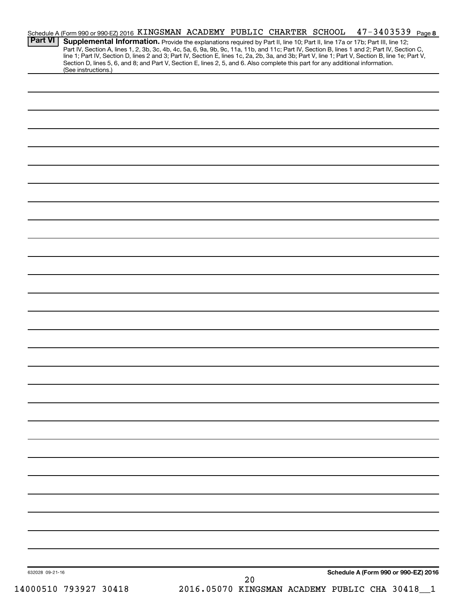| <b>Part VI</b>  |                       | Schedule A (Form 990 or 990-EZ) 2016 KINGSMAN ACADEMY PUBLIC CHARTER SCHOOL<br>Supplemental Information. Provide the explanations required by Part II, line 10; Part II, line 17a or 17b; Part III, line 12;<br>Part IV, Section A, lines 1, 2, 3b, 3c, 4b, 4c, 5a, 6, 9a, 9b, 9c, 11a, 11b, and 11c; Part IV, Section B, lines 1 and 2; Part IV, Section C, |    |                                                | $47 - 3403539$ Page 8 |
|-----------------|-----------------------|--------------------------------------------------------------------------------------------------------------------------------------------------------------------------------------------------------------------------------------------------------------------------------------------------------------------------------------------------------------|----|------------------------------------------------|-----------------------|
|                 | (See instructions.)   | line 1; Part IV, Section D, lines 2 and 3; Part IV, Section E, lines 1c, 2a, 2b, 3a, and 3b; Part V, line 1; Part V, Section B, line 1e; Part V,<br>Section D, lines 5, 6, and 8; and Part V, Section E, lines 2, 5, and 6. Also complete this part for any additional information.                                                                          |    |                                                |                       |
|                 |                       |                                                                                                                                                                                                                                                                                                                                                              |    |                                                |                       |
|                 |                       |                                                                                                                                                                                                                                                                                                                                                              |    |                                                |                       |
|                 |                       |                                                                                                                                                                                                                                                                                                                                                              |    |                                                |                       |
|                 |                       |                                                                                                                                                                                                                                                                                                                                                              |    |                                                |                       |
|                 |                       |                                                                                                                                                                                                                                                                                                                                                              |    |                                                |                       |
|                 |                       |                                                                                                                                                                                                                                                                                                                                                              |    |                                                |                       |
|                 |                       |                                                                                                                                                                                                                                                                                                                                                              |    |                                                |                       |
|                 |                       |                                                                                                                                                                                                                                                                                                                                                              |    |                                                |                       |
|                 |                       |                                                                                                                                                                                                                                                                                                                                                              |    |                                                |                       |
|                 |                       |                                                                                                                                                                                                                                                                                                                                                              |    |                                                |                       |
|                 |                       |                                                                                                                                                                                                                                                                                                                                                              |    |                                                |                       |
|                 |                       |                                                                                                                                                                                                                                                                                                                                                              |    |                                                |                       |
|                 |                       |                                                                                                                                                                                                                                                                                                                                                              |    |                                                |                       |
|                 |                       |                                                                                                                                                                                                                                                                                                                                                              |    |                                                |                       |
|                 |                       |                                                                                                                                                                                                                                                                                                                                                              |    |                                                |                       |
|                 |                       |                                                                                                                                                                                                                                                                                                                                                              |    |                                                |                       |
|                 |                       |                                                                                                                                                                                                                                                                                                                                                              |    |                                                |                       |
|                 |                       |                                                                                                                                                                                                                                                                                                                                                              |    |                                                |                       |
|                 |                       |                                                                                                                                                                                                                                                                                                                                                              |    |                                                |                       |
|                 |                       |                                                                                                                                                                                                                                                                                                                                                              |    |                                                |                       |
|                 |                       |                                                                                                                                                                                                                                                                                                                                                              |    |                                                |                       |
|                 |                       |                                                                                                                                                                                                                                                                                                                                                              |    |                                                |                       |
|                 |                       |                                                                                                                                                                                                                                                                                                                                                              |    |                                                |                       |
|                 |                       |                                                                                                                                                                                                                                                                                                                                                              |    |                                                |                       |
|                 |                       |                                                                                                                                                                                                                                                                                                                                                              |    |                                                |                       |
|                 |                       |                                                                                                                                                                                                                                                                                                                                                              |    |                                                |                       |
|                 |                       |                                                                                                                                                                                                                                                                                                                                                              |    |                                                |                       |
| 632028 09-21-16 |                       |                                                                                                                                                                                                                                                                                                                                                              |    | Schedule A (Form 990 or 990-EZ) 2016           |                       |
|                 | 14000510 793927 30418 |                                                                                                                                                                                                                                                                                                                                                              | 20 | 2016.05070 KINGSMAN ACADEMY PUBLIC CHA 30418_1 |                       |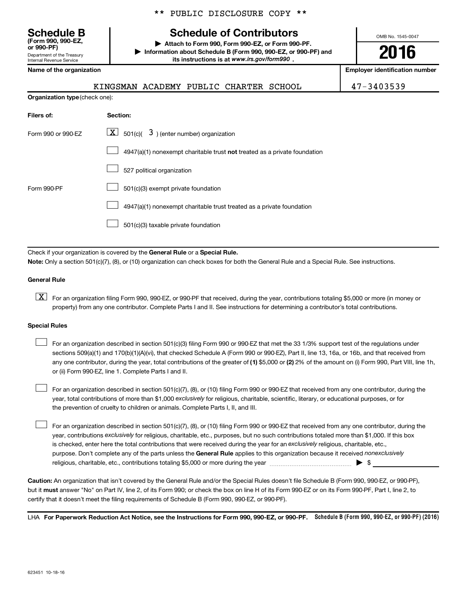Department of the Treasury Internal Revenue Service **(Form 990, 990-EZ,**

**Organization type** (check one):

|  |  | ** PUBLIC DISCLOSURE COPY ** |  |  |
|--|--|------------------------------|--|--|
|--|--|------------------------------|--|--|

## **Schedule B Schedule of Contributors**

**or 990-PF) | Attach to Form 990, Form 990-EZ, or Form 990-PF. | Information about Schedule B (Form 990, 990-EZ, or 990-PF) and** its instructions is at www.irs.gov/form990.

OMB No. 1545-0047

**2016**

**Name of the organization Employer identification number**

|--|

47-3403539

| Filers of:         | Section:                                                                           |
|--------------------|------------------------------------------------------------------------------------|
| Form 990 or 990-EZ | $\underline{\mathbf{X}}$ 501(c)( 3) (enter number) organization                    |
|                    | $4947(a)(1)$ nonexempt charitable trust <b>not</b> treated as a private foundation |
|                    | 527 political organization                                                         |
| Form 990-PF        | 501(c)(3) exempt private foundation                                                |
|                    | 4947(a)(1) nonexempt charitable trust treated as a private foundation              |
|                    | 501(c)(3) taxable private foundation                                               |

Check if your organization is covered by the General Rule or a Special Rule.

**Note:**  Only a section 501(c)(7), (8), or (10) organization can check boxes for both the General Rule and a Special Rule. See instructions.

#### **General Rule**

**K** For an organization filing Form 990, 990-EZ, or 990-PF that received, during the year, contributions totaling \$5,000 or more (in money or property) from any one contributor. Complete Parts I and II. See instructions for determining a contributor's total contributions.

#### **Special Rules**

 $\Box$ 

any one contributor, during the year, total contributions of the greater of **(1)** \$5,000 or **(2)** 2% of the amount on (i) Form 990, Part VIII, line 1h, For an organization described in section 501(c)(3) filing Form 990 or 990-EZ that met the 33 1/3% support test of the regulations under sections 509(a)(1) and 170(b)(1)(A)(vi), that checked Schedule A (Form 990 or 990-EZ), Part II, line 13, 16a, or 16b, and that received from or (ii) Form 990-EZ, line 1. Complete Parts I and II.  $\Box$ 

year, total contributions of more than \$1,000 *exclusively* for religious, charitable, scientific, literary, or educational purposes, or for For an organization described in section 501(c)(7), (8), or (10) filing Form 990 or 990-EZ that received from any one contributor, during the the prevention of cruelty to children or animals. Complete Parts I, II, and III.  $\Box$ 

purpose. Don't complete any of the parts unless the General Rule applies to this organization because it received nonexclusively year, contributions exclusively for religious, charitable, etc., purposes, but no such contributions totaled more than \$1,000. If this box is checked, enter here the total contributions that were received during the year for an exclusively religious, charitable, etc., For an organization described in section 501(c)(7), (8), or (10) filing Form 990 or 990-EZ that received from any one contributor, during the religious, charitable, etc., contributions totaling \$5,000 or more during the year  $\ldots$  $\ldots$  $\ldots$  $\ldots$  $\ldots$  $\ldots$ 

**Caution:**  An organization that isn't covered by the General Rule and/or the Special Rules doesn't file Schedule B (Form 990, 990-EZ, or 990-PF),  **must** but it answer "No" on Part IV, line 2, of its Form 990; or check the box on line H of its Form 990-EZ or on its Form 990-PF, Part I, line 2, to certify that it doesn't meet the filing requirements of Schedule B (Form 990, 990-EZ, or 990-PF).

LHA For Paperwork Reduction Act Notice, see the Instructions for Form 990, 990-EZ, or 990-PF. Schedule B (Form 990, 990-EZ, or 990-PF) (2016)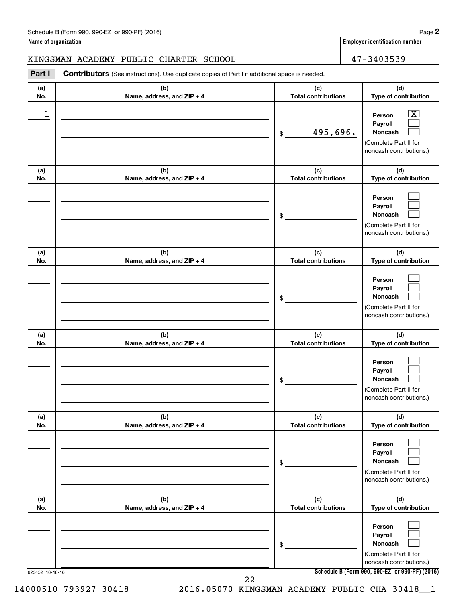#### **Name of organization Employer identification number**

**2**

## KINGSMAN ACADEMY PUBLIC CHARTER SCHOOL  $|$  47-3403539

**(a) No. (b) Name, address, and ZIP + 4 (c) Total contributions (d) Type of contribution Person Payroll Noncash (a) No. (b) Name, address, and ZIP + 4 (c) Total contributions (d) Type of contribution Person Payroll Noncash (a) No. (b) Name, address, and ZIP + 4 (c) Total contributions (d) Type of contribution Person Payroll Noncash (a) No. (b) Name, address, and ZIP + 4 (c) Total contributions (d) Type of contribution Person Payroll Noncash (a) No. (b) Name, address, and ZIP + 4 (c) Total contributions (d) Type of contribution Person Payroll Noncash (a) No. (b) Name, address, and ZIP + 4 (c) Total contributions (d) Type of contribution Person Payroll Noncash Part I** Contributors (See instructions). Use duplicate copies of Part I if additional space is needed. \$ (Complete Part II for noncash contributions.) \$ (Complete Part II for noncash contributions.) \$ (Complete Part II for noncash contributions.) \$ (Complete Part II for noncash contributions.) \$ (Complete Part II for noncash contributions.) \$ (Complete Part II for noncash contributions.)  $\lfloor x \rfloor$  $\Box$  $\Box$  $\Box$  $\Box$  $\Box$  $\Box$  $\Box$  $\Box$  $\Box$  $\Box$  $\Box$  $\Box$  $\Box$  $\Box$  $\Box$  $\Box$  $\Box$  $\begin{array}{|c|c|c|c|c|}\hline \ \text{1} & \text{Person} & \text{X} \ \hline \end{array}$ 495,696.

**Schedule B (Form 990, 990-EZ, or 990-PF) (2016)**

22

14000510 793927 30418 2016.05070 KINGSMAN ACADEMY PUBLIC CHA 30418\_\_1

623452 10-18-16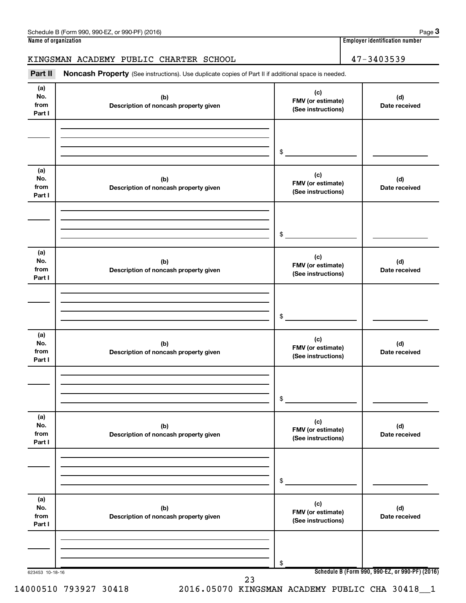## KINGSMAN ACADEMY PUBLIC CHARTER SCHOOL 47-3403539

Part II Noncash Property (See instructions). Use duplicate copies of Part II if additional space is needed.

| (a)             |                                              | (c)                                                     |                                                 |
|-----------------|----------------------------------------------|---------------------------------------------------------|-------------------------------------------------|
| No.             | (b)                                          | FMV (or estimate)                                       | (d)                                             |
| from            | Description of noncash property given        | (See instructions)                                      | Date received                                   |
| Part I          |                                              |                                                         |                                                 |
|                 |                                              |                                                         |                                                 |
|                 |                                              |                                                         |                                                 |
|                 |                                              |                                                         |                                                 |
|                 |                                              | $\begin{array}{c c} \updownarrow \\ \hline \end{array}$ |                                                 |
|                 |                                              |                                                         |                                                 |
| (a)             |                                              |                                                         |                                                 |
| No.             | (b)                                          | (c)                                                     | (d)                                             |
| from            | Description of noncash property given        | FMV (or estimate)                                       | Date received                                   |
| Part I          |                                              | (See instructions)                                      |                                                 |
|                 |                                              |                                                         |                                                 |
|                 |                                              |                                                         |                                                 |
|                 |                                              |                                                         |                                                 |
|                 |                                              |                                                         |                                                 |
|                 |                                              | $\frac{1}{2}$                                           |                                                 |
|                 |                                              |                                                         |                                                 |
| (a)<br>No.      |                                              | (c)                                                     |                                                 |
| from            | (b)<br>Description of noncash property given | FMV (or estimate)                                       | (d)<br>Date received                            |
| Part I          |                                              | (See instructions)                                      |                                                 |
|                 |                                              |                                                         |                                                 |
|                 |                                              |                                                         |                                                 |
|                 |                                              |                                                         |                                                 |
|                 |                                              |                                                         |                                                 |
|                 |                                              | $\frac{1}{2}$                                           |                                                 |
|                 |                                              |                                                         |                                                 |
| (a)             |                                              | (c)                                                     |                                                 |
| No.             | (b)                                          | FMV (or estimate)                                       | (d)                                             |
| from<br>Part I  | Description of noncash property given        | (See instructions)                                      | Date received                                   |
|                 |                                              |                                                         |                                                 |
|                 |                                              |                                                         |                                                 |
|                 |                                              |                                                         |                                                 |
|                 |                                              |                                                         |                                                 |
|                 |                                              | \$                                                      |                                                 |
|                 |                                              |                                                         |                                                 |
| (a)             |                                              | (c)                                                     |                                                 |
| No.             | (b)                                          | FMV (or estimate)                                       | (d)                                             |
| from            | Description of noncash property given        | (See instructions)                                      | Date received                                   |
| Part I          |                                              |                                                         |                                                 |
|                 |                                              |                                                         |                                                 |
|                 |                                              |                                                         |                                                 |
|                 |                                              |                                                         |                                                 |
|                 |                                              | \$                                                      |                                                 |
|                 |                                              |                                                         |                                                 |
| (a)             |                                              | (c)                                                     |                                                 |
| No.             | (b)                                          | FMV (or estimate)                                       | (d)                                             |
| from            | Description of noncash property given        | (See instructions)                                      | Date received                                   |
| Part I          |                                              |                                                         |                                                 |
|                 |                                              |                                                         |                                                 |
|                 |                                              |                                                         |                                                 |
|                 |                                              |                                                         |                                                 |
|                 |                                              | \$                                                      |                                                 |
| 623453 10-18-16 |                                              |                                                         | Schedule B (Form 990, 990-EZ, or 990-PF) (2016) |
|                 | 23                                           |                                                         |                                                 |

14000510 793927 30418 2016.05070 KINGSMAN ACADEMY PUBLIC CHA 30418\_\_1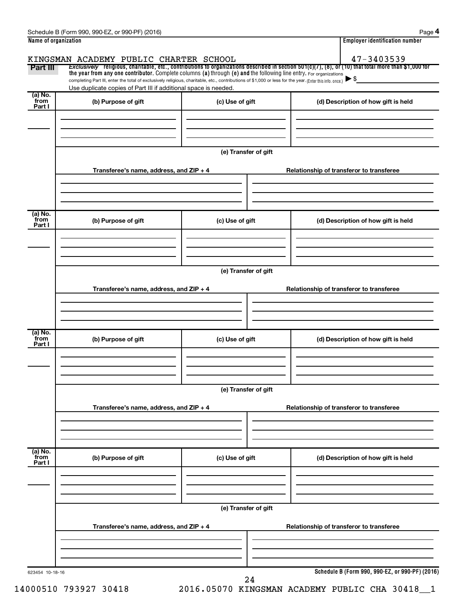|                           | Schedule B (Form 990, 990-EZ, or 990-PF) (2016)                                                                                                                                                                             |                      | Page 4                                                                                                                                                                 |  |  |  |
|---------------------------|-----------------------------------------------------------------------------------------------------------------------------------------------------------------------------------------------------------------------------|----------------------|------------------------------------------------------------------------------------------------------------------------------------------------------------------------|--|--|--|
| Name of organization      |                                                                                                                                                                                                                             |                      | <b>Employer identification number</b>                                                                                                                                  |  |  |  |
|                           | KINGSMAN ACADEMY PUBLIC CHARTER SCHOOL                                                                                                                                                                                      |                      | 47-3403539<br>Exclusively religious, charitable, etc., contributions to organizations described in section $501(c)(7)$ , (8), or (10) that total more than \$1,000 for |  |  |  |
| Part III                  | the year from any one contributor. Complete columns (a) through (e) and the following line entry. For organizations                                                                                                         |                      | $\blacktriangleright$ \$                                                                                                                                               |  |  |  |
|                           | completing Part III, enter the total of exclusively religious, charitable, etc., contributions of \$1,000 or less for the year. (Enter this info. once.)<br>Use duplicate copies of Part III if additional space is needed. |                      |                                                                                                                                                                        |  |  |  |
| (a) No.<br>from<br>Part I | (b) Purpose of gift                                                                                                                                                                                                         | (c) Use of gift      | (d) Description of how gift is held                                                                                                                                    |  |  |  |
|                           |                                                                                                                                                                                                                             |                      |                                                                                                                                                                        |  |  |  |
|                           |                                                                                                                                                                                                                             | (e) Transfer of gift |                                                                                                                                                                        |  |  |  |
|                           | Transferee's name, address, and ZIP + 4                                                                                                                                                                                     |                      | Relationship of transferor to transferee                                                                                                                               |  |  |  |
|                           |                                                                                                                                                                                                                             |                      |                                                                                                                                                                        |  |  |  |
| (a) No.<br>from<br>Part I | (b) Purpose of gift                                                                                                                                                                                                         | (c) Use of gift      | (d) Description of how gift is held                                                                                                                                    |  |  |  |
|                           |                                                                                                                                                                                                                             |                      |                                                                                                                                                                        |  |  |  |
|                           |                                                                                                                                                                                                                             | (e) Transfer of gift |                                                                                                                                                                        |  |  |  |
|                           | Transferee's name, address, and ZIP + 4                                                                                                                                                                                     |                      | Relationship of transferor to transferee                                                                                                                               |  |  |  |
|                           |                                                                                                                                                                                                                             |                      |                                                                                                                                                                        |  |  |  |
| (a) No.<br>from<br>Part I | (b) Purpose of gift                                                                                                                                                                                                         | (c) Use of gift      | (d) Description of how gift is held                                                                                                                                    |  |  |  |
|                           |                                                                                                                                                                                                                             |                      |                                                                                                                                                                        |  |  |  |
|                           | (e) Transfer of gift                                                                                                                                                                                                        |                      |                                                                                                                                                                        |  |  |  |
|                           | Transferee's name, address, and ZIP + 4                                                                                                                                                                                     |                      | Relationship of transferor to transferee                                                                                                                               |  |  |  |
|                           |                                                                                                                                                                                                                             |                      |                                                                                                                                                                        |  |  |  |
| (a) No.<br>from<br>Part I | (b) Purpose of gift                                                                                                                                                                                                         | (c) Use of gift      | (d) Description of how gift is held                                                                                                                                    |  |  |  |
|                           |                                                                                                                                                                                                                             |                      |                                                                                                                                                                        |  |  |  |
|                           | (e) Transfer of gift                                                                                                                                                                                                        |                      |                                                                                                                                                                        |  |  |  |
|                           | Transferee's name, address, and ZIP + 4                                                                                                                                                                                     |                      | Relationship of transferor to transferee                                                                                                                               |  |  |  |
|                           |                                                                                                                                                                                                                             |                      |                                                                                                                                                                        |  |  |  |
| 623454 10-18-16           |                                                                                                                                                                                                                             | 24                   | Schedule B (Form 990, 990-EZ, or 990-PF) (2016)                                                                                                                        |  |  |  |

14000510 793927 30418 2016.05070 KINGSMAN ACADEMY PUBLIC CHA 30418\_\_1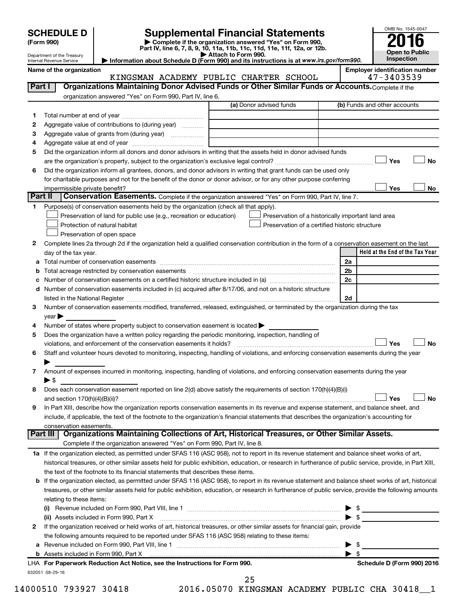| <b>SCHEDULE D</b> |  |
|-------------------|--|
|-------------------|--|

| (Form 990) |  |
|------------|--|
|------------|--|

# **SCHEDULE D Supplemental Financial Statements**<br> **Form 990 2016**<br> **Part IV** line 6.7.8.9.10, 11a, 11b, 11d, 11d, 11d, 11d, 11d, 12a, 0r, 12b

**(Form 990) | Complete if the organization answered "Yes" on Form 990, Part IV, line 6, 7, 8, 9, 10, 11a, 11b, 11c, 11d, 11e, 11f, 12a, or 12b.**

**| Attach to Form 990. | Information about Schedule D (Form 990) and its instructions is at**  *www.irs.gov/form990.*



Department of the Treasury Internal Revenue Service

**Name of the organization Employer identification number**

|         | KINGSMAN ACADEMY PUBLIC CHARTER SCHOOL                                                                                                                    |                         |                                                | 47-3403539                                         |
|---------|-----------------------------------------------------------------------------------------------------------------------------------------------------------|-------------------------|------------------------------------------------|----------------------------------------------------|
| Part I  | Organizations Maintaining Donor Advised Funds or Other Similar Funds or Accounts. Complete if the                                                         |                         |                                                |                                                    |
|         | organization answered "Yes" on Form 990, Part IV, line 6.                                                                                                 |                         |                                                |                                                    |
|         |                                                                                                                                                           | (a) Donor advised funds |                                                | (b) Funds and other accounts                       |
| 1       |                                                                                                                                                           |                         |                                                |                                                    |
| 2       | Aggregate value of contributions to (during year)                                                                                                         |                         |                                                |                                                    |
| з       | Aggregate value of grants from (during year)                                                                                                              |                         |                                                |                                                    |
| 4       |                                                                                                                                                           |                         |                                                |                                                    |
| 5       | Did the organization inform all donors and donor advisors in writing that the assets held in donor advised funds                                          |                         |                                                |                                                    |
|         |                                                                                                                                                           |                         |                                                | Yes<br>No                                          |
| 6       | Did the organization inform all grantees, donors, and donor advisors in writing that grant funds can be used only                                         |                         |                                                |                                                    |
|         | for charitable purposes and not for the benefit of the donor or donor advisor, or for any other purpose conferring                                        |                         |                                                |                                                    |
|         |                                                                                                                                                           |                         |                                                | Yes<br>No                                          |
| Part II | Conservation Easements. Complete if the organization answered "Yes" on Form 990, Part IV, line 7.                                                         |                         |                                                |                                                    |
|         |                                                                                                                                                           |                         |                                                |                                                    |
| 1       | Purpose(s) of conservation easements held by the organization (check all that apply).                                                                     |                         |                                                |                                                    |
|         | Preservation of land for public use (e.g., recreation or education)                                                                                       |                         |                                                | Preservation of a historically important land area |
|         | Protection of natural habitat                                                                                                                             |                         | Preservation of a certified historic structure |                                                    |
|         | Preservation of open space                                                                                                                                |                         |                                                |                                                    |
| 2       | Complete lines 2a through 2d if the organization held a qualified conservation contribution in the form of a conservation easement on the last            |                         |                                                |                                                    |
|         | day of the tax year.                                                                                                                                      |                         |                                                | Held at the End of the Tax Year                    |
| а       |                                                                                                                                                           |                         |                                                | 2a                                                 |
| b       |                                                                                                                                                           |                         |                                                | 2 <sub>b</sub>                                     |
|         |                                                                                                                                                           |                         |                                                | 2c                                                 |
|         | d Number of conservation easements included in (c) acquired after 8/17/06, and not on a historic structure                                                |                         |                                                |                                                    |
|         | listed in the National Register [111] [12] The Marian Marian Marian Marian Marian Marian Marian Marian Marian M                                           |                         |                                                | 2d                                                 |
| 3       | Number of conservation easements modified, transferred, released, extinguished, or terminated by the organization during the tax                          |                         |                                                |                                                    |
|         | year                                                                                                                                                      |                         |                                                |                                                    |
| 4       | Number of states where property subject to conservation easement is located >                                                                             |                         |                                                |                                                    |
| 5       | Does the organization have a written policy regarding the periodic monitoring, inspection, handling of                                                    |                         |                                                |                                                    |
|         | violations, and enforcement of the conservation easements it holds?                                                                                       |                         |                                                | Yes<br><b>No</b>                                   |
| 6       | Staff and volunteer hours devoted to monitoring, inspecting, handling of violations, and enforcing conservation easements during the year                 |                         |                                                |                                                    |
|         |                                                                                                                                                           |                         |                                                |                                                    |
| 7       | Amount of expenses incurred in monitoring, inspecting, handling of violations, and enforcing conservation easements during the year                       |                         |                                                |                                                    |
|         | ▶ \$                                                                                                                                                      |                         |                                                |                                                    |
| 8       | Does each conservation easement reported on line 2(d) above satisfy the requirements of section 170(h)(4)(B)(i)                                           |                         |                                                |                                                    |
|         |                                                                                                                                                           |                         |                                                | Yes<br><b>No</b>                                   |
| 9       | In Part XIII, describe how the organization reports conservation easements in its revenue and expense statement, and balance sheet, and                   |                         |                                                |                                                    |
|         | include, if applicable, the text of the footnote to the organization's financial statements that describes the organization's accounting for              |                         |                                                |                                                    |
|         | conservation easements.                                                                                                                                   |                         |                                                |                                                    |
|         | Organizations Maintaining Collections of Art, Historical Treasures, or Other Similar Assets.<br>Part III                                                  |                         |                                                |                                                    |
|         | Complete if the organization answered "Yes" on Form 990, Part IV, line 8.                                                                                 |                         |                                                |                                                    |
|         | 1a If the organization elected, as permitted under SFAS 116 (ASC 958), not to report in its revenue statement and balance sheet works of art,             |                         |                                                |                                                    |
|         | historical treasures, or other similar assets held for public exhibition, education, or research in furtherance of public service, provide, in Part XIII, |                         |                                                |                                                    |
|         | the text of the footnote to its financial statements that describes these items.                                                                          |                         |                                                |                                                    |
|         | b If the organization elected, as permitted under SFAS 116 (ASC 958), to report in its revenue statement and balance sheet works of art, historical       |                         |                                                |                                                    |
|         | treasures, or other similar assets held for public exhibition, education, or research in furtherance of public service, provide the following amounts     |                         |                                                |                                                    |
|         | relating to these items:                                                                                                                                  |                         |                                                |                                                    |
|         |                                                                                                                                                           |                         |                                                |                                                    |
|         | (ii) Assets included in Form 990, Part X                                                                                                                  |                         |                                                | $\blacktriangleright$ \$                           |
|         |                                                                                                                                                           |                         |                                                |                                                    |
| 2       | If the organization received or held works of art, historical treasures, or other similar assets for financial gain, provide                              |                         |                                                |                                                    |
|         | the following amounts required to be reported under SFAS 116 (ASC 958) relating to these items:                                                           |                         |                                                |                                                    |
| a       |                                                                                                                                                           |                         |                                                | \$                                                 |
|         |                                                                                                                                                           |                         |                                                | $\blacktriangleright$ s                            |
|         | LHA For Paperwork Reduction Act Notice, see the Instructions for Form 990.                                                                                |                         |                                                | Schedule D (Form 990) 2016                         |
|         | 632051 08-29-16                                                                                                                                           |                         |                                                |                                                    |

14000510 793927 30418 2016.05070 KINGSMAN ACADEMY PUBLIC CHA 30418\_\_1 25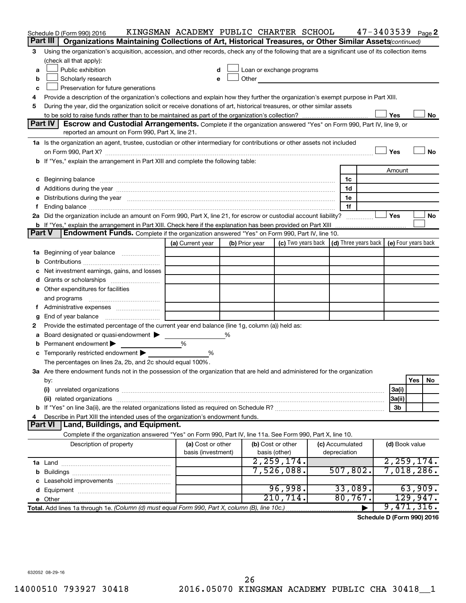|               | Schedule D (Form 990) 2016                                                                                                                                                                                                     | KINGSMAN ACADEMY PUBLIC CHARTER SCHOOL  |                |                                    |                                                                 |                                 | $47 - 3403539$ Page 2 |                |          |    |
|---------------|--------------------------------------------------------------------------------------------------------------------------------------------------------------------------------------------------------------------------------|-----------------------------------------|----------------|------------------------------------|-----------------------------------------------------------------|---------------------------------|-----------------------|----------------|----------|----|
|               | Part III<br>Organizations Maintaining Collections of Art, Historical Treasures, or Other Similar Assets (continued)                                                                                                            |                                         |                |                                    |                                                                 |                                 |                       |                |          |    |
| 3             | Using the organization's acquisition, accession, and other records, check any of the following that are a significant use of its collection items                                                                              |                                         |                |                                    |                                                                 |                                 |                       |                |          |    |
|               | (check all that apply):                                                                                                                                                                                                        |                                         |                |                                    |                                                                 |                                 |                       |                |          |    |
| a             | Public exhibition                                                                                                                                                                                                              | d                                       |                |                                    | Loan or exchange programs                                       |                                 |                       |                |          |    |
| b             | Scholarly research                                                                                                                                                                                                             | e                                       |                |                                    | Other <u>and the series of the series of the series</u>         |                                 |                       |                |          |    |
| c             | Preservation for future generations                                                                                                                                                                                            |                                         |                |                                    |                                                                 |                                 |                       |                |          |    |
| 4             | Provide a description of the organization's collections and explain how they further the organization's exempt purpose in Part XIII.                                                                                           |                                         |                |                                    |                                                                 |                                 |                       |                |          |    |
| 5             | During the year, did the organization solicit or receive donations of art, historical treasures, or other similar assets                                                                                                       |                                         |                |                                    |                                                                 |                                 |                       |                |          |    |
|               |                                                                                                                                                                                                                                |                                         |                |                                    |                                                                 |                                 |                       | Yes            |          | No |
|               | Part IV<br>Escrow and Custodial Arrangements. Complete if the organization answered "Yes" on Form 990, Part IV, line 9, or                                                                                                     |                                         |                |                                    |                                                                 |                                 |                       |                |          |    |
|               | reported an amount on Form 990, Part X, line 21.                                                                                                                                                                               |                                         |                |                                    |                                                                 |                                 |                       |                |          |    |
|               | 1a Is the organization an agent, trustee, custodian or other intermediary for contributions or other assets not included                                                                                                       |                                         |                |                                    |                                                                 |                                 |                       |                |          |    |
|               |                                                                                                                                                                                                                                |                                         |                |                                    |                                                                 |                                 |                       | Yes            |          | No |
|               | b If "Yes," explain the arrangement in Part XIII and complete the following table:                                                                                                                                             |                                         |                |                                    |                                                                 |                                 |                       |                |          |    |
|               |                                                                                                                                                                                                                                |                                         |                |                                    |                                                                 |                                 |                       | Amount         |          |    |
|               | c Beginning balance measurements and the contract of the contract of the contract of the contract of the contract of the contract of the contract of the contract of the contract of the contract of the contract of the contr |                                         |                |                                    |                                                                 | 1c                              |                       |                |          |    |
|               |                                                                                                                                                                                                                                |                                         |                |                                    |                                                                 | 1d                              |                       |                |          |    |
|               | e Distributions during the year manufactured and continuum and contact the year manufactured and contact the year manufactured and contact the year manufactured and contact the year manufactured and contact the year manufa |                                         |                |                                    |                                                                 | 1e                              |                       |                |          |    |
|               | 2a Did the organization include an amount on Form 990, Part X, line 21, for escrow or custodial account liability?                                                                                                             |                                         |                |                                    |                                                                 | 1f                              |                       | Yes            |          | No |
|               | <b>b</b> If "Yes," explain the arrangement in Part XIII. Check here if the explanation has been provided on Part XIII                                                                                                          |                                         |                |                                    |                                                                 |                                 |                       |                |          |    |
| <b>Part V</b> | <b>Endowment Funds.</b> Complete if the organization answered "Yes" on Form 990, Part IV, line 10.                                                                                                                             |                                         |                |                                    |                                                                 |                                 |                       |                |          |    |
|               |                                                                                                                                                                                                                                | (a) Current year                        | (b) Prior year |                                    | (c) Two years back   (d) Three years back   (e) Four years back |                                 |                       |                |          |    |
| 1а            | Beginning of year balance                                                                                                                                                                                                      |                                         |                |                                    |                                                                 |                                 |                       |                |          |    |
| b             |                                                                                                                                                                                                                                |                                         |                |                                    |                                                                 |                                 |                       |                |          |    |
|               | Net investment earnings, gains, and losses                                                                                                                                                                                     |                                         |                |                                    |                                                                 |                                 |                       |                |          |    |
|               |                                                                                                                                                                                                                                |                                         |                |                                    |                                                                 |                                 |                       |                |          |    |
|               | e Other expenditures for facilities                                                                                                                                                                                            |                                         |                |                                    |                                                                 |                                 |                       |                |          |    |
|               | and programs                                                                                                                                                                                                                   |                                         |                |                                    |                                                                 |                                 |                       |                |          |    |
| Ť.            |                                                                                                                                                                                                                                |                                         |                |                                    |                                                                 |                                 |                       |                |          |    |
| g             | End of year balance                                                                                                                                                                                                            |                                         |                |                                    |                                                                 |                                 |                       |                |          |    |
| 2             | Provide the estimated percentage of the current year end balance (line 1g, column (a)) held as:                                                                                                                                |                                         |                |                                    |                                                                 |                                 |                       |                |          |    |
| а             | Board designated or quasi-endowment                                                                                                                                                                                            |                                         | ℅              |                                    |                                                                 |                                 |                       |                |          |    |
| b             | Permanent endowment                                                                                                                                                                                                            | %                                       |                |                                    |                                                                 |                                 |                       |                |          |    |
|               | c Temporarily restricted endowment $\blacktriangleright$                                                                                                                                                                       | %                                       |                |                                    |                                                                 |                                 |                       |                |          |    |
|               | The percentages on lines 2a, 2b, and 2c should equal 100%.                                                                                                                                                                     |                                         |                |                                    |                                                                 |                                 |                       |                |          |    |
|               | 3a Are there endowment funds not in the possession of the organization that are held and administered for the organization                                                                                                     |                                         |                |                                    |                                                                 |                                 |                       |                |          |    |
|               | by:                                                                                                                                                                                                                            |                                         |                |                                    |                                                                 |                                 |                       |                | Yes      | No |
|               | (i)                                                                                                                                                                                                                            |                                         |                |                                    |                                                                 |                                 |                       | 3a(i)          |          |    |
|               |                                                                                                                                                                                                                                |                                         |                |                                    |                                                                 |                                 |                       | 3a(ii)         |          |    |
|               |                                                                                                                                                                                                                                |                                         |                |                                    |                                                                 |                                 |                       | 3b             |          |    |
| 4             | Describe in Part XIII the intended uses of the organization's endowment funds.                                                                                                                                                 |                                         |                |                                    |                                                                 |                                 |                       |                |          |    |
|               | Land, Buildings, and Equipment.<br>Part VI                                                                                                                                                                                     |                                         |                |                                    |                                                                 |                                 |                       |                |          |    |
|               | Complete if the organization answered "Yes" on Form 990, Part IV, line 11a. See Form 990, Part X, line 10.                                                                                                                     |                                         |                |                                    |                                                                 |                                 |                       |                |          |    |
|               | Description of property                                                                                                                                                                                                        | (a) Cost or other<br>basis (investment) |                | (b) Cost or other<br>basis (other) |                                                                 | (c) Accumulated<br>depreciation |                       | (d) Book value |          |    |
|               |                                                                                                                                                                                                                                |                                         |                |                                    | 2, 259, 174.                                                    |                                 |                       | 2, 259, 174.   |          |    |
|               |                                                                                                                                                                                                                                |                                         |                |                                    | 7,526,088.                                                      | 507,802.                        |                       | 7,018,286.     |          |    |
|               |                                                                                                                                                                                                                                |                                         |                |                                    |                                                                 |                                 |                       |                |          |    |
|               |                                                                                                                                                                                                                                |                                         |                |                                    | 96,998.                                                         | 33,089.                         |                       |                | 63,909.  |    |
|               |                                                                                                                                                                                                                                |                                         |                |                                    | 210, 714.                                                       | 80,767.                         |                       |                | 129,947. |    |
|               | Total. Add lines 1a through 1e. (Column (d) must equal Form 990, Part X, column (B), line 10c.)                                                                                                                                |                                         |                |                                    |                                                                 |                                 |                       | 9,471,316.     |          |    |

**Schedule D (Form 990) 2016**

632052 08-29-16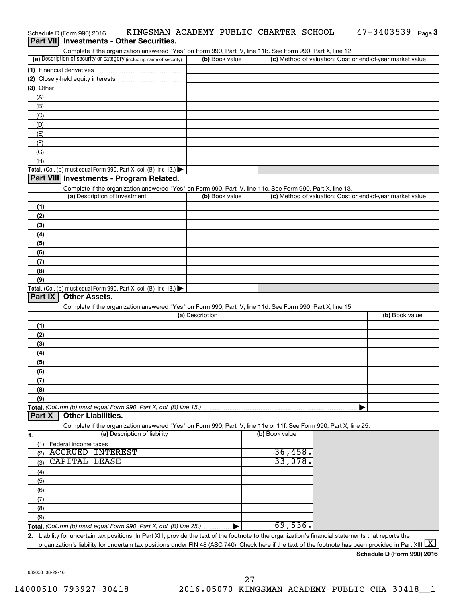|                 | Schedule D (Form 990) 2016 | KINGSMAN ACADEMY PUBLIC CHARTER SCHOOL                                                                                                               |                 |                |                | $47 - 3403539$ Page 3                                                                                                                                          |
|-----------------|----------------------------|------------------------------------------------------------------------------------------------------------------------------------------------------|-----------------|----------------|----------------|----------------------------------------------------------------------------------------------------------------------------------------------------------------|
| <b>Part VII</b> |                            | <b>Investments - Other Securities.</b>                                                                                                               |                 |                |                |                                                                                                                                                                |
|                 |                            | Complete if the organization answered "Yes" on Form 990, Part IV, line 11b. See Form 990, Part X, line 12.                                           |                 |                |                |                                                                                                                                                                |
|                 |                            | (a) Description of security or category (including name of security)                                                                                 |                 | (b) Book value |                | (c) Method of valuation: Cost or end-of-year market value                                                                                                      |
|                 | (1) Financial derivatives  |                                                                                                                                                      |                 |                |                |                                                                                                                                                                |
|                 |                            |                                                                                                                                                      |                 |                |                |                                                                                                                                                                |
| (3) Other       |                            |                                                                                                                                                      |                 |                |                |                                                                                                                                                                |
| (A)             |                            |                                                                                                                                                      |                 |                |                |                                                                                                                                                                |
| (B)             |                            |                                                                                                                                                      |                 |                |                |                                                                                                                                                                |
| (C)             |                            |                                                                                                                                                      |                 |                |                |                                                                                                                                                                |
| (D)             |                            |                                                                                                                                                      |                 |                |                |                                                                                                                                                                |
| (E)<br>(F)      |                            |                                                                                                                                                      |                 |                |                |                                                                                                                                                                |
| (G)             |                            |                                                                                                                                                      |                 |                |                |                                                                                                                                                                |
| (H)             |                            |                                                                                                                                                      |                 |                |                |                                                                                                                                                                |
|                 |                            | Total. (Col. (b) must equal Form 990, Part X, col. (B) line 12.) $\blacktriangleright$                                                               |                 |                |                |                                                                                                                                                                |
|                 |                            | Part VIII Investments - Program Related.                                                                                                             |                 |                |                |                                                                                                                                                                |
|                 |                            | Complete if the organization answered "Yes" on Form 990, Part IV, line 11c. See Form 990, Part X, line 13.                                           |                 |                |                |                                                                                                                                                                |
|                 |                            | (a) Description of investment                                                                                                                        |                 | (b) Book value |                | (c) Method of valuation: Cost or end-of-year market value                                                                                                      |
| (1)             |                            |                                                                                                                                                      |                 |                |                |                                                                                                                                                                |
| (2)             |                            |                                                                                                                                                      |                 |                |                |                                                                                                                                                                |
| (3)             |                            |                                                                                                                                                      |                 |                |                |                                                                                                                                                                |
| (4)             |                            |                                                                                                                                                      |                 |                |                |                                                                                                                                                                |
| (5)             |                            |                                                                                                                                                      |                 |                |                |                                                                                                                                                                |
| (6)             |                            |                                                                                                                                                      |                 |                |                |                                                                                                                                                                |
| (7)             |                            |                                                                                                                                                      |                 |                |                |                                                                                                                                                                |
| (8)             |                            |                                                                                                                                                      |                 |                |                |                                                                                                                                                                |
| (9)             |                            |                                                                                                                                                      |                 |                |                |                                                                                                                                                                |
|                 |                            | Total. (Col. (b) must equal Form 990, Part X, col. (B) line 13.)                                                                                     |                 |                |                |                                                                                                                                                                |
| <b>Part IX</b>  | <b>Other Assets.</b>       |                                                                                                                                                      |                 |                |                |                                                                                                                                                                |
|                 |                            | Complete if the organization answered "Yes" on Form 990, Part IV, line 11d. See Form 990, Part X, line 15.                                           |                 |                |                |                                                                                                                                                                |
|                 |                            |                                                                                                                                                      | (a) Description |                |                | (b) Book value                                                                                                                                                 |
| (1)             |                            |                                                                                                                                                      |                 |                |                |                                                                                                                                                                |
| (2)             |                            |                                                                                                                                                      |                 |                |                |                                                                                                                                                                |
| (3)             |                            |                                                                                                                                                      |                 |                |                |                                                                                                                                                                |
| (4)             |                            |                                                                                                                                                      |                 |                |                |                                                                                                                                                                |
| (5)<br>(6)      |                            |                                                                                                                                                      |                 |                |                |                                                                                                                                                                |
| (7)             |                            |                                                                                                                                                      |                 |                |                |                                                                                                                                                                |
| (8)             |                            |                                                                                                                                                      |                 |                |                |                                                                                                                                                                |
| (9)             |                            |                                                                                                                                                      |                 |                |                |                                                                                                                                                                |
|                 |                            | Total. (Column (b) must equal Form 990, Part X, col. (B) line 15.)                                                                                   |                 |                |                |                                                                                                                                                                |
| <b>Part X</b>   | <b>Other Liabilities.</b>  |                                                                                                                                                      |                 |                |                |                                                                                                                                                                |
|                 |                            | Complete if the organization answered "Yes" on Form 990, Part IV, line 11e or 11f. See Form 990, Part X, line 25.                                    |                 |                |                |                                                                                                                                                                |
| 1.              |                            | (a) Description of liability                                                                                                                         |                 |                | (b) Book value |                                                                                                                                                                |
| (1)             | Federal income taxes       |                                                                                                                                                      |                 |                |                |                                                                                                                                                                |
| (2)             | <b>ACCRUED INTEREST</b>    |                                                                                                                                                      |                 |                | 36,458.        |                                                                                                                                                                |
| (3)             | <b>CAPITAL LEASE</b>       |                                                                                                                                                      |                 |                | 33,078.        |                                                                                                                                                                |
| (4)             |                            |                                                                                                                                                      |                 |                |                |                                                                                                                                                                |
| (5)             |                            |                                                                                                                                                      |                 |                |                |                                                                                                                                                                |
| (6)             |                            |                                                                                                                                                      |                 |                |                |                                                                                                                                                                |
| (7)             |                            |                                                                                                                                                      |                 |                |                |                                                                                                                                                                |
| (8)             |                            |                                                                                                                                                      |                 |                |                |                                                                                                                                                                |
| (9)             |                            |                                                                                                                                                      |                 |                |                |                                                                                                                                                                |
|                 |                            | Total. (Column (b) must equal Form 990, Part X, col. (B) line 25.)                                                                                   |                 |                | 69,536.        |                                                                                                                                                                |
|                 |                            | 2. Liability for uncertain tax positions. In Part XIII, provide the text of the footnote to the organization's financial statements that reports the |                 |                |                |                                                                                                                                                                |
|                 |                            |                                                                                                                                                      |                 |                |                | organization's liability for uncertain tax positions under FIN 48 (ASC 740). Check here if the text of the footnote has been provided in Part XIII $\lfloor$ X |
|                 |                            |                                                                                                                                                      |                 |                |                | Schodule D (Form 000) 2016                                                                                                                                     |

**Schedule D (Form 990) 2016**

632053 08-29-16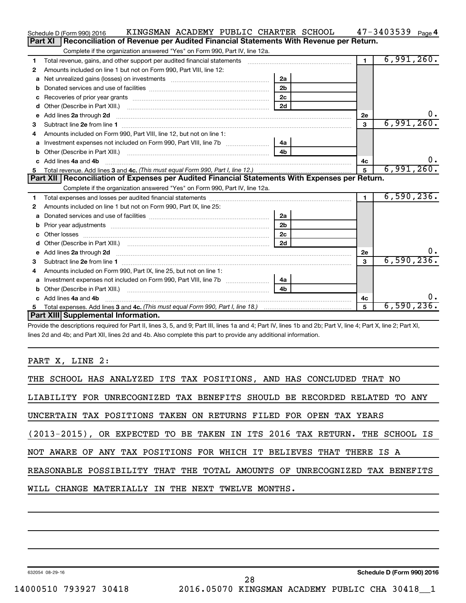|    | KINGSMAN ACADEMY PUBLIC CHARTER SCHOOL<br>Schedule D (Form 990) 2016                                                                                                                                                                |                |            |                | $47 - 3403539$ Page 4 |
|----|-------------------------------------------------------------------------------------------------------------------------------------------------------------------------------------------------------------------------------------|----------------|------------|----------------|-----------------------|
|    | Reconciliation of Revenue per Audited Financial Statements With Revenue per Return.<br><b>Part XI</b>                                                                                                                               |                |            |                |                       |
|    | Complete if the organization answered "Yes" on Form 990, Part IV, line 12a.                                                                                                                                                         |                |            |                |                       |
| 1  | Total revenue, gains, and other support per audited financial statements [111] [11] Total revenue, gains, and other support per audited financial statements                                                                        |                |            | $\overline{1}$ | 6,991,260.            |
| 2  | Amounts included on line 1 but not on Form 990, Part VIII, line 12:                                                                                                                                                                 |                |            |                |                       |
| a  | Net unrealized gains (losses) on investments [111] Net unrealized mains (losses) on investments [11] Morten mains and the unrealized mains and the unrealized mains and the unrealized mains and the unrealized mains and the       | 2a             |            |                |                       |
|    |                                                                                                                                                                                                                                     | 2 <sub>b</sub> |            |                |                       |
| c  |                                                                                                                                                                                                                                     | 2 <sub>c</sub> |            |                |                       |
| d  |                                                                                                                                                                                                                                     | 2d             |            |                |                       |
| е  | Add lines 2a through 2d <b>continuum continuum contracts</b> and an analysis of the contract of the contract of the contract of the contract of the contract of the contract of the contract of the contract of the contract of the |                |            | 2е             | 0.                    |
| 3  |                                                                                                                                                                                                                                     |                |            | 3              | 6,991,260.            |
| 4  | Amounts included on Form 990, Part VIII, line 12, but not on line 1:                                                                                                                                                                |                |            |                |                       |
|    |                                                                                                                                                                                                                                     | 4a             |            |                |                       |
| b  | Other (Describe in Part XIII.) (2000) (2000) (2000) (2010) (2010) (2010) (2010) (2010) (2010) (2010) (2010) (20                                                                                                                     | 4 <sub>b</sub> |            |                |                       |
| C. | Add lines 4a and 4b                                                                                                                                                                                                                 |                |            | 4c             | 0.                    |
|    |                                                                                                                                                                                                                                     | 5              | 6,991,260. |                |                       |
|    |                                                                                                                                                                                                                                     |                |            |                |                       |
|    | Part XII   Reconciliation of Expenses per Audited Financial Statements With Expenses per Return.                                                                                                                                    |                |            |                |                       |
|    | Complete if the organization answered "Yes" on Form 990, Part IV, line 12a.                                                                                                                                                         |                |            |                |                       |
| 1  |                                                                                                                                                                                                                                     |                |            | $\mathbf{1}$   | 6,590,236.            |
| 2  | Amounts included on line 1 but not on Form 990, Part IX, line 25:                                                                                                                                                                   |                |            |                |                       |
| a  |                                                                                                                                                                                                                                     | 2a             |            |                |                       |
| b  | Prior year adjustments [111] matter contracts and prior year adjustments [11] matter contracts and prior year adjustments and the contracts of the contracts and prior year and prior year.                                         | 2 <sub>b</sub> |            |                |                       |
| c  |                                                                                                                                                                                                                                     | 2 <sub>c</sub> |            |                |                       |
|    |                                                                                                                                                                                                                                     | 2d             |            |                |                       |
| е  | Add lines 2a through 2d <b>contained a contained a contained a contained a</b> contained a contact the set of the set of the set of the set of the set of the set of the set of the set of the set of the set of the set of the set |                |            | 2e             | 0.                    |
| З  |                                                                                                                                                                                                                                     |                |            | 3              | 6,590,236.            |
| 4  | Amounts included on Form 990, Part IX, line 25, but not on line 1:                                                                                                                                                                  |                |            |                |                       |
| а  |                                                                                                                                                                                                                                     | 4a             |            |                |                       |
| b  |                                                                                                                                                                                                                                     | 4b             |            |                |                       |
| c. | Add lines 4a and 4b                                                                                                                                                                                                                 |                |            | 4c             | 0.                    |
|    | Part XIII Supplemental Information.                                                                                                                                                                                                 |                |            | 5              | 6,590,236.            |

Provide the descriptions required for Part II, lines 3, 5, and 9; Part III, lines 1a and 4; Part IV, lines 1b and 2b; Part V, line 4; Part X, line 2; Part XI, lines 2d and 4b; and Part XII, lines 2d and 4b. Also complete this part to provide any additional information.

PART X, LINE 2:

632054 08-29-16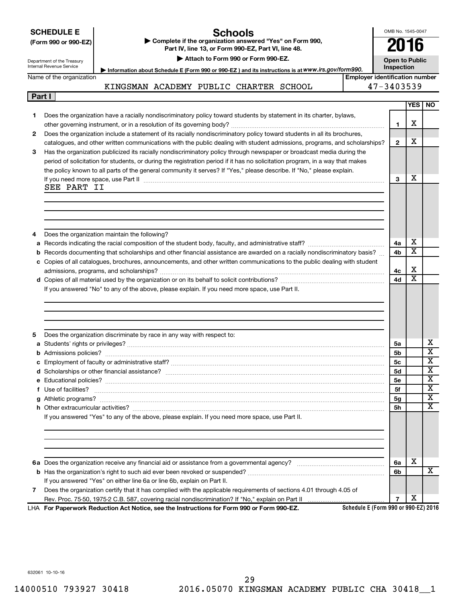| <b>SCHEDULE E</b> |  |
|-------------------|--|
|                   |  |

## **Schools**

**(Form 990 or 990-EZ) | Complete if the organization answered "Yes" on Form 990, Part IV, line 13, or Form 990-EZ, Part VI, line 48. | Attach to Form 990 or Form 990-EZ.**

OMB No. 1545-0047 **2016**

**Open to Public**

Department of the Treasury Internal Rev

**Part I**

| venue Service<br><b>Inspection</b><br>Information about Schedule E (Form 990 or 990-EZ) and its instructions is at WWW.irs.gov/form990. |
|-----------------------------------------------------------------------------------------------------------------------------------------|
|-----------------------------------------------------------------------------------------------------------------------------------------|

Name of the organization

|                                        |  | . The manufacture conclusion is the contracted on the conclusion of the conclusion of $\alpha$ . The conclusion of $\alpha$ |                                |
|----------------------------------------|--|-----------------------------------------------------------------------------------------------------------------------------|--------------------------------|
|                                        |  |                                                                                                                             | Emplover identification number |
| KINGSMAN ACADEMY PUBLIC CHARTER SCHOOL |  |                                                                                                                             | $47 - 3403539$                 |

|  | 47-3403539 |  |  |
|--|------------|--|--|
|  |            |  |  |

|    |                                                                                                                                                                                                                                    |                | YES   NO                     |                             |
|----|------------------------------------------------------------------------------------------------------------------------------------------------------------------------------------------------------------------------------------|----------------|------------------------------|-----------------------------|
| 1. | Does the organization have a racially nondiscriminatory policy toward students by statement in its charter, bylaws,                                                                                                                |                |                              |                             |
|    |                                                                                                                                                                                                                                    | 1              | х                            |                             |
| 2  | Does the organization include a statement of its racially nondiscriminatory policy toward students in all its brochures,                                                                                                           |                |                              |                             |
|    | catalogues, and other written communications with the public dealing with student admissions, programs, and scholarships?                                                                                                          | $\mathbf{2}$   | x                            |                             |
| 3  | Has the organization publicized its racially nondiscriminatory policy through newspaper or broadcast media during the                                                                                                              |                |                              |                             |
|    | period of solicitation for students, or during the registration period if it has no solicitation program, in a way that makes                                                                                                      |                |                              |                             |
|    | the policy known to all parts of the general community it serves? If "Yes," please describe. If "No," please explain.                                                                                                              |                |                              |                             |
|    | If you need more space, use Part II manufactured and continuum contract to the Part II manufactured and the manufactured and the manufactured and the space, use Part II                                                           | 3              | х                            |                             |
|    | SEE PART II                                                                                                                                                                                                                        |                |                              |                             |
|    |                                                                                                                                                                                                                                    |                |                              |                             |
|    |                                                                                                                                                                                                                                    |                |                              |                             |
|    |                                                                                                                                                                                                                                    |                |                              |                             |
|    |                                                                                                                                                                                                                                    |                |                              |                             |
| 4  | Does the organization maintain the following?                                                                                                                                                                                      |                |                              |                             |
| a  |                                                                                                                                                                                                                                    | 4a             | х                            |                             |
| b  | Records documenting that scholarships and other financial assistance are awarded on a racially nondiscriminatory basis?                                                                                                            | 4b             | $\overline{\textbf{x}}$      |                             |
|    | c Copies of all catalogues, brochures, announcements, and other written communications to the public dealing with student                                                                                                          |                |                              |                             |
|    |                                                                                                                                                                                                                                    | 4с             | х<br>$\overline{\textbf{x}}$ |                             |
|    |                                                                                                                                                                                                                                    | 4d             |                              |                             |
|    | If you answered "No" to any of the above, please explain. If you need more space, use Part II.                                                                                                                                     |                |                              |                             |
|    |                                                                                                                                                                                                                                    |                |                              |                             |
|    |                                                                                                                                                                                                                                    |                |                              |                             |
|    |                                                                                                                                                                                                                                    |                |                              |                             |
| 5  | Does the organization discriminate by race in any way with respect to:                                                                                                                                                             |                |                              |                             |
|    |                                                                                                                                                                                                                                    | 5a             |                              | х                           |
| b  |                                                                                                                                                                                                                                    | 5b             |                              | $\overline{\textnormal{x}}$ |
|    |                                                                                                                                                                                                                                    | 5с             |                              | $\overline{\textbf{x}}$     |
|    |                                                                                                                                                                                                                                    | <b>5d</b>      |                              | $\overline{\textbf{x}}$     |
|    |                                                                                                                                                                                                                                    | 5е             |                              | $\overline{\textbf{x}}$     |
|    | f Use of facilities? <b>www.communities.</b> We can be a series of the contract of the contract of the contract of the contract of the contract of the contract of the contract of the contract of the contract of the contract of | 5f             |                              | $\overline{\textbf{x}}$     |
|    |                                                                                                                                                                                                                                    | 5g             |                              | $\overline{\textbf{x}}$     |
|    |                                                                                                                                                                                                                                    | 5h             |                              | $\mathbf x$                 |
|    | If you answered "Yes" to any of the above, please explain. If you need more space, use Part II.                                                                                                                                    |                |                              |                             |
|    |                                                                                                                                                                                                                                    |                |                              |                             |
|    |                                                                                                                                                                                                                                    |                |                              |                             |
|    |                                                                                                                                                                                                                                    |                |                              |                             |
|    |                                                                                                                                                                                                                                    |                |                              |                             |
|    |                                                                                                                                                                                                                                    | 6a             | х                            |                             |
|    |                                                                                                                                                                                                                                    | 6b             |                              | X                           |
|    | If you answered "Yes" on either line 6a or line 6b, explain on Part II.                                                                                                                                                            |                |                              |                             |
| 7  | Does the organization certify that it has complied with the applicable requirements of sections 4.01 through 4.05 of                                                                                                               |                |                              |                             |
|    | Rev. Proc. 75-50, 1975-2 C.B. 587, covering racial nondiscrimination? If "No," explain on Part II                                                                                                                                  | $\overline{7}$ | х                            |                             |
|    | Schedule E (Form 990 or 990-EZ) 2016<br>LHA For Paperwork Reduction Act Notice, see the Instructions for Form 990 or Form 990-EZ.                                                                                                  |                |                              |                             |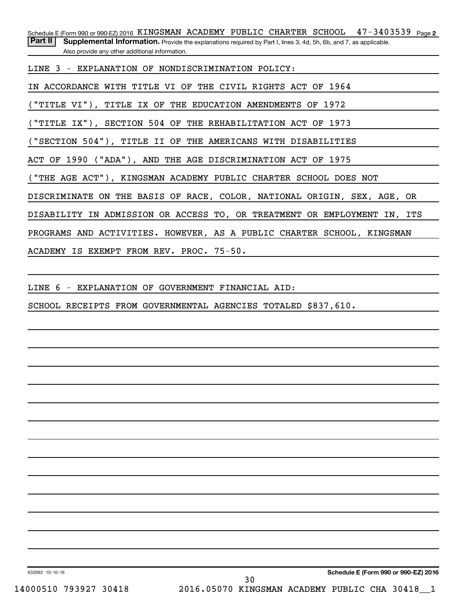Schedule E (Form 990 or 990-EZ) 2016 KINGSMAN ACADEMY PUBLIC CHARTER SCHOOL 47-3403539 <sub>Page 2</sub> Part II | Supplemental Information. Provide the explanations required by Part I, lines 3, 4d, 5h, 6b, and 7, as applicable.

Also provide any other additional information.

LINE 3 - EXPLANATION OF NONDISCRIMINATION POLICY:

IN ACCORDANCE WITH TITLE VI OF THE CIVIL RIGHTS ACT OF 1964

("TITLE VI"), TITLE IX OF THE EDUCATION AMENDMENTS OF 1972

("TITLE IX"), SECTION 504 OF THE REHABILITATION ACT OF 1973

("SECTION 504"), TITLE II OF THE AMERICANS WITH DISABILITIES

ACT OF 1990 ("ADA"), AND THE AGE DISCRIMINATION ACT OF 1975

("THE AGE ACT"), KINGSMAN ACADEMY PUBLIC CHARTER SCHOOL DOES NOT

DISCRIMINATE ON THE BASIS OF RACE, COLOR, NATIONAL ORIGIN, SEX, AGE, OR

DISABILITY IN ADMISSION OR ACCESS TO, OR TREATMENT OR EMPLOYMENT IN, ITS

PROGRAMS AND ACTIVITIES. HOWEVER, AS A PUBLIC CHARTER SCHOOL, KINGSMAN

ACADEMY IS EXEMPT FROM REV. PROC. 75-50.

LINE 6 - EXPLANATION OF GOVERNMENT FINANCIAL AID:

SCHOOL RECEIPTS FROM GOVERNMENTAL AGENCIES TOTALED \$837,610.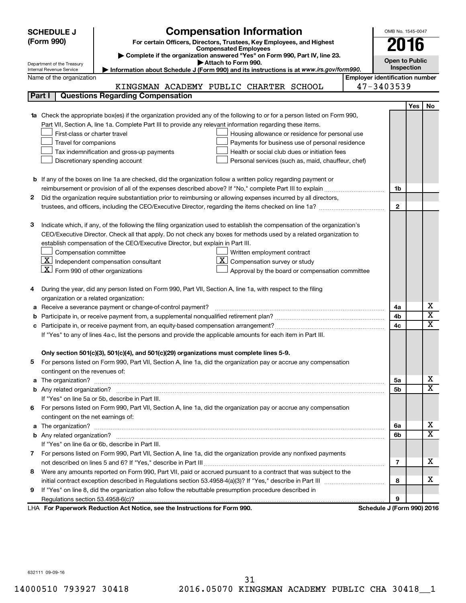| <b>SCHEDULE J</b> |                                                                                                               | <b>Compensation Information</b>                                                                                                     |  | OMB No. 1545-0047                     |     |                         |  |  |
|-------------------|---------------------------------------------------------------------------------------------------------------|-------------------------------------------------------------------------------------------------------------------------------------|--|---------------------------------------|-----|-------------------------|--|--|
|                   | (Form 990)                                                                                                    | For certain Officers, Directors, Trustees, Key Employees, and Highest                                                               |  |                                       |     |                         |  |  |
|                   |                                                                                                               | <b>Compensated Employees</b>                                                                                                        |  | 2016                                  |     |                         |  |  |
|                   |                                                                                                               | Complete if the organization answered "Yes" on Form 990, Part IV, line 23.<br>Attach to Form 990.                                   |  | <b>Open to Public</b>                 |     |                         |  |  |
|                   | Department of the Treasury<br>Internal Revenue Service                                                        | Information about Schedule J (Form 990) and its instructions is at www.irs.gov/form990.                                             |  | Inspection                            |     |                         |  |  |
|                   | Name of the organization                                                                                      |                                                                                                                                     |  | <b>Employer identification number</b> |     |                         |  |  |
|                   |                                                                                                               | KINGSMAN ACADEMY PUBLIC CHARTER SCHOOL                                                                                              |  | 47-3403539                            |     |                         |  |  |
|                   | Part I                                                                                                        | <b>Questions Regarding Compensation</b>                                                                                             |  |                                       |     |                         |  |  |
|                   |                                                                                                               |                                                                                                                                     |  |                                       | Yes | No                      |  |  |
|                   |                                                                                                               | Check the appropriate box(es) if the organization provided any of the following to or for a person listed on Form 990,              |  |                                       |     |                         |  |  |
|                   |                                                                                                               | Part VII, Section A, line 1a. Complete Part III to provide any relevant information regarding these items.                          |  |                                       |     |                         |  |  |
|                   | First-class or charter travel                                                                                 | Housing allowance or residence for personal use                                                                                     |  |                                       |     |                         |  |  |
|                   | Travel for companions<br>Payments for business use of personal residence                                      |                                                                                                                                     |  |                                       |     |                         |  |  |
|                   | Health or social club dues or initiation fees<br>Tax indemnification and gross-up payments                    |                                                                                                                                     |  |                                       |     |                         |  |  |
|                   |                                                                                                               | Discretionary spending account<br>Personal services (such as, maid, chauffeur, chef)                                                |  |                                       |     |                         |  |  |
|                   |                                                                                                               |                                                                                                                                     |  |                                       |     |                         |  |  |
|                   |                                                                                                               | <b>b</b> If any of the boxes on line 1a are checked, did the organization follow a written policy regarding payment or              |  |                                       |     |                         |  |  |
|                   |                                                                                                               |                                                                                                                                     |  | 1b                                    |     |                         |  |  |
| 2                 |                                                                                                               | Did the organization require substantiation prior to reimbursing or allowing expenses incurred by all directors,                    |  |                                       |     |                         |  |  |
|                   |                                                                                                               |                                                                                                                                     |  | $\mathbf{2}$                          |     |                         |  |  |
|                   |                                                                                                               |                                                                                                                                     |  |                                       |     |                         |  |  |
| з                 |                                                                                                               | Indicate which, if any, of the following the filing organization used to establish the compensation of the organization's           |  |                                       |     |                         |  |  |
|                   |                                                                                                               | CEO/Executive Director. Check all that apply. Do not check any boxes for methods used by a related organization to                  |  |                                       |     |                         |  |  |
|                   |                                                                                                               | establish compensation of the CEO/Executive Director, but explain in Part III.                                                      |  |                                       |     |                         |  |  |
|                   | Compensation committee                                                                                        | Written employment contract<br>$ \underline{\mathbf{X}} $ Independent compensation consultant<br>ΧI<br>Compensation survey or study |  |                                       |     |                         |  |  |
|                   | $ \mathbf{X} $ Form 990 of other organizations                                                                |                                                                                                                                     |  |                                       |     |                         |  |  |
|                   |                                                                                                               | Approval by the board or compensation committee                                                                                     |  |                                       |     |                         |  |  |
| 4                 |                                                                                                               | During the year, did any person listed on Form 990, Part VII, Section A, line 1a, with respect to the filing                        |  |                                       |     |                         |  |  |
|                   | organization or a related organization:                                                                       |                                                                                                                                     |  |                                       |     |                         |  |  |
| а                 |                                                                                                               |                                                                                                                                     |  | 4a                                    |     | х                       |  |  |
| b                 | Receive a severance payment or change-of-control payment?                                                     |                                                                                                                                     |  |                                       |     | $\overline{\textbf{x}}$ |  |  |
|                   |                                                                                                               |                                                                                                                                     |  | 4b<br>4c                              |     | $\mathbf x$             |  |  |
|                   | If "Yes" to any of lines 4a-c, list the persons and provide the applicable amounts for each item in Part III. |                                                                                                                                     |  |                                       |     |                         |  |  |
|                   |                                                                                                               |                                                                                                                                     |  |                                       |     |                         |  |  |
|                   |                                                                                                               | Only section 501(c)(3), 501(c)(4), and 501(c)(29) organizations must complete lines 5-9.                                            |  |                                       |     |                         |  |  |
|                   |                                                                                                               | For persons listed on Form 990, Part VII, Section A, line 1a, did the organization pay or accrue any compensation                   |  |                                       |     |                         |  |  |
|                   | contingent on the revenues of:                                                                                |                                                                                                                                     |  |                                       |     |                         |  |  |
| a                 |                                                                                                               |                                                                                                                                     |  | 5a                                    |     | x                       |  |  |
|                   |                                                                                                               |                                                                                                                                     |  | 5b                                    |     | X                       |  |  |
|                   |                                                                                                               | If "Yes" on line 5a or 5b, describe in Part III.                                                                                    |  |                                       |     |                         |  |  |
|                   |                                                                                                               | 6 For persons listed on Form 990, Part VII, Section A, line 1a, did the organization pay or accrue any compensation                 |  |                                       |     |                         |  |  |
|                   | contingent on the net earnings of:                                                                            |                                                                                                                                     |  |                                       |     |                         |  |  |
| a                 |                                                                                                               |                                                                                                                                     |  | 6a                                    |     | x                       |  |  |
|                   |                                                                                                               |                                                                                                                                     |  |                                       |     | $\overline{\mathbf{X}}$ |  |  |
|                   |                                                                                                               | If "Yes" on line 6a or 6b, describe in Part III.                                                                                    |  |                                       |     |                         |  |  |
|                   |                                                                                                               | 7 For persons listed on Form 990, Part VII, Section A, line 1a, did the organization provide any nonfixed payments                  |  |                                       |     |                         |  |  |
|                   |                                                                                                               |                                                                                                                                     |  | 7                                     |     | x                       |  |  |
| 8                 |                                                                                                               | Were any amounts reported on Form 990, Part VII, paid or accrued pursuant to a contract that was subject to the                     |  |                                       |     |                         |  |  |
|                   |                                                                                                               |                                                                                                                                     |  | 8                                     |     | x                       |  |  |
| 9                 |                                                                                                               | If "Yes" on line 8, did the organization also follow the rebuttable presumption procedure described in                              |  |                                       |     |                         |  |  |
|                   |                                                                                                               |                                                                                                                                     |  | 9                                     |     |                         |  |  |
|                   |                                                                                                               | LHA For Paperwork Reduction Act Notice, see the Instructions for Form 990.                                                          |  | Schedule J (Form 990) 2016            |     |                         |  |  |

632111 09-09-16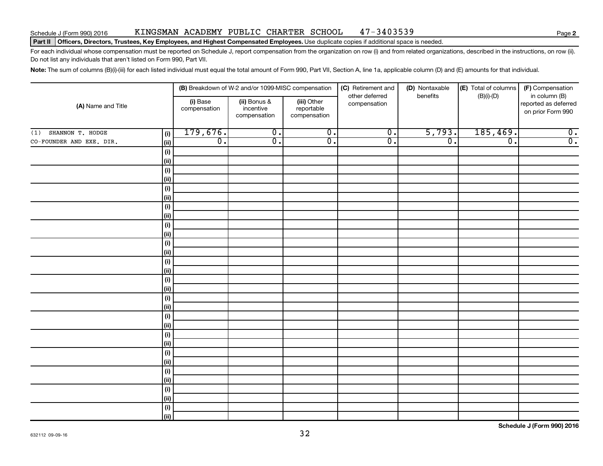## Schedule J (Form 990) 2016 KINGSMAN ACADEMY PUBLIC CHARTER SCHOOL 47-3403539

#### Part II | Officers, Directors, Trustees, Key Employees, and Highest Compensated Employees. Use duplicate copies if additional space is needed.

For each individual whose compensation must be reported on Schedule J, report compensation from the organization on row (i) and from related organizations, described in the instructions, on row (ii). Do not list any individuals that aren't listed on Form 990, Part VII.

Note: The sum of columns (B)(i)-(iii) for each listed individual must equal the total amount of Form 990, Part VII, Section A, line 1a, applicable column (D) and (E) amounts for that individual.

| (A) Name and Title       |              |                          | (B) Breakdown of W-2 and/or 1099-MISC compensation |                                           | (C) Retirement and<br>other deferred | (D) Nontaxable<br>benefits | (E) Total of columns<br>$(B)(i)-(D)$ | (F) Compensation<br>in column (B)         |  |
|--------------------------|--------------|--------------------------|----------------------------------------------------|-------------------------------------------|--------------------------------------|----------------------------|--------------------------------------|-------------------------------------------|--|
|                          |              | (i) Base<br>compensation | (ii) Bonus &<br>incentive<br>compensation          | (iii) Other<br>reportable<br>compensation | compensation                         |                            |                                      | reported as deferred<br>on prior Form 990 |  |
| SHANNON T. HODGE<br>(1)  | (i)          | 179,676.                 | $\overline{0}$ .                                   | $\overline{0}$ .                          | $\overline{0}$ .                     | 5,793.                     | 185,469.                             | $\overline{0}$ .                          |  |
| CO-FOUNDER AND EXE. DIR. | (ii)         | $\overline{0}$ .         | $\overline{0}$ .                                   | $\overline{0}$ .                          | $\overline{0}$ .                     | $\overline{0}$ .           | $\overline{0}$ .                     | $\overline{0}$ .                          |  |
|                          | (i)          |                          |                                                    |                                           |                                      |                            |                                      |                                           |  |
|                          | (ii)         |                          |                                                    |                                           |                                      |                            |                                      |                                           |  |
|                          | (i)          |                          |                                                    |                                           |                                      |                            |                                      |                                           |  |
|                          | (ii)         |                          |                                                    |                                           |                                      |                            |                                      |                                           |  |
|                          | (i)          |                          |                                                    |                                           |                                      |                            |                                      |                                           |  |
|                          | (ii)         |                          |                                                    |                                           |                                      |                            |                                      |                                           |  |
|                          | (i)          |                          |                                                    |                                           |                                      |                            |                                      |                                           |  |
|                          | (ii)         |                          |                                                    |                                           |                                      |                            |                                      |                                           |  |
|                          | (i)          |                          |                                                    |                                           |                                      |                            |                                      |                                           |  |
|                          | $\vert$ (ii) |                          |                                                    |                                           |                                      |                            |                                      |                                           |  |
|                          | (i)          |                          |                                                    |                                           |                                      |                            |                                      |                                           |  |
|                          | $\vert$ (ii) |                          |                                                    |                                           |                                      |                            |                                      |                                           |  |
|                          | (i)          |                          |                                                    |                                           |                                      |                            |                                      |                                           |  |
|                          | $\vert$ (ii) |                          |                                                    |                                           |                                      |                            |                                      |                                           |  |
|                          | (i)<br>(ii)  |                          |                                                    |                                           |                                      |                            |                                      |                                           |  |
|                          | (i)          |                          |                                                    |                                           |                                      |                            |                                      |                                           |  |
|                          | (ii)         |                          |                                                    |                                           |                                      |                            |                                      |                                           |  |
|                          | (i)          |                          |                                                    |                                           |                                      |                            |                                      |                                           |  |
|                          | (ii)         |                          |                                                    |                                           |                                      |                            |                                      |                                           |  |
|                          | (i)          |                          |                                                    |                                           |                                      |                            |                                      |                                           |  |
|                          | $\vert$ (ii) |                          |                                                    |                                           |                                      |                            |                                      |                                           |  |
|                          | (i)          |                          |                                                    |                                           |                                      |                            |                                      |                                           |  |
|                          | (ii)         |                          |                                                    |                                           |                                      |                            |                                      |                                           |  |
|                          | (i)          |                          |                                                    |                                           |                                      |                            |                                      |                                           |  |
|                          | (ii)         |                          |                                                    |                                           |                                      |                            |                                      |                                           |  |
|                          | (i)          |                          |                                                    |                                           |                                      |                            |                                      |                                           |  |
|                          | (ii)         |                          |                                                    |                                           |                                      |                            |                                      |                                           |  |
|                          | (i)          |                          |                                                    |                                           |                                      |                            |                                      |                                           |  |
|                          | (ii)         |                          |                                                    |                                           |                                      |                            |                                      |                                           |  |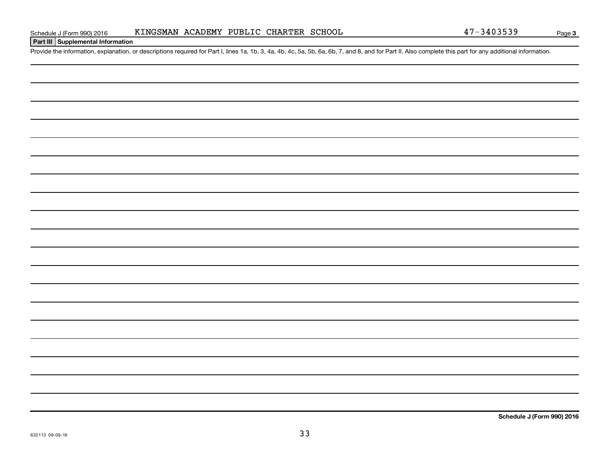## **Part III Supplemental Information**

Provide the information, explanation, or descriptions required for Part I, lines 1a, 1b, 3, 4a, 4b, 4c, 5a, 5b, 6a, 6b, 7, and 8, and for Part II. Also complete this part for any additional information.

**Schedule J (Form 990) 2016**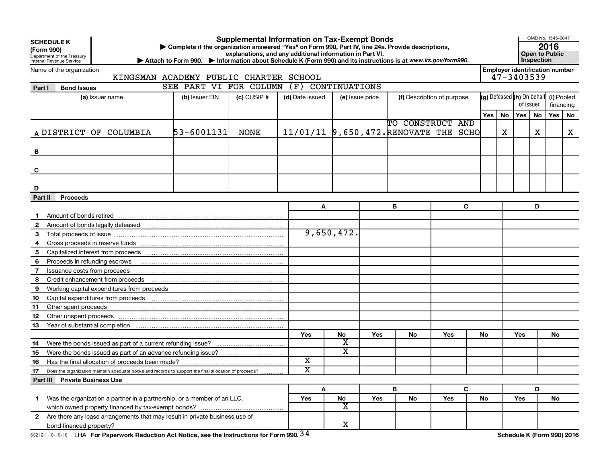| <b>SCHEDULE K</b><br>(Form 990)<br>Department of the Treasury<br>Internal Revenue Service |                                                                                                               | Complete if the organization answered "Yes" on Form 990, Part IV, line 24a. Provide descriptions,<br>Attach to Form 990. Information about Schedule K (Form 990) and its instructions is at www.irs.gov/form990. | <b>Supplemental Information on Tax-Exempt Bonds</b><br>explanations, and any additional information in Part VI. |                       |                         |                            |                                       |            |     |    |                            | OMB No. 1545-0047<br>Open to Public<br>Inspection       | 2016      |    |  |  |
|-------------------------------------------------------------------------------------------|---------------------------------------------------------------------------------------------------------------|------------------------------------------------------------------------------------------------------------------------------------------------------------------------------------------------------------------|-----------------------------------------------------------------------------------------------------------------|-----------------------|-------------------------|----------------------------|---------------------------------------|------------|-----|----|----------------------------|---------------------------------------------------------|-----------|----|--|--|
|                                                                                           | Name of the organization<br>KINGSMAN ACADEMY PUBLIC CHARTER SCHOOL                                            |                                                                                                                                                                                                                  |                                                                                                                 |                       |                         |                            |                                       |            |     |    |                            | <b>Employer identification number</b><br>$47 - 3403539$ |           |    |  |  |
| Part I                                                                                    | <b>Bond Issues</b>                                                                                            | SEE PART VI FOR COLUMN                                                                                                                                                                                           |                                                                                                                 | (F) CONTINUATIONS     |                         |                            |                                       |            |     |    |                            |                                                         |           |    |  |  |
|                                                                                           | (a) Issuer name                                                                                               | (d) Date issued                                                                                                                                                                                                  | (e) Issue price                                                                                                 |                       |                         | (f) Description of purpose | (g) Defeased (h) On behalf            | (i) Pooled |     |    |                            |                                                         |           |    |  |  |
|                                                                                           |                                                                                                               | (b) Issuer EIN                                                                                                                                                                                                   | $(c)$ CUSIP #                                                                                                   |                       |                         |                            |                                       |            |     |    | of issuer                  |                                                         | financing |    |  |  |
|                                                                                           |                                                                                                               |                                                                                                                                                                                                                  |                                                                                                                 |                       |                         |                            |                                       |            | Yes | No | Yes   No                   |                                                         | Yes       | No |  |  |
|                                                                                           |                                                                                                               |                                                                                                                                                                                                                  |                                                                                                                 |                       |                         |                            | TO CONSTRUCT AND                      |            |     |    |                            |                                                         |           |    |  |  |
|                                                                                           | A DISTRICT OF COLUMBIA                                                                                        | 53-6001131                                                                                                                                                                                                       | <b>NONE</b>                                                                                                     |                       |                         |                            | 11/01/11 9,650,472. RENOVATE THE SCHO |            |     | х  |                            | х                                                       |           | X  |  |  |
|                                                                                           |                                                                                                               |                                                                                                                                                                                                                  |                                                                                                                 |                       |                         |                            |                                       |            |     |    |                            |                                                         |           |    |  |  |
| B                                                                                         |                                                                                                               |                                                                                                                                                                                                                  |                                                                                                                 |                       |                         |                            |                                       |            |     |    |                            |                                                         |           |    |  |  |
|                                                                                           |                                                                                                               |                                                                                                                                                                                                                  |                                                                                                                 |                       |                         |                            |                                       |            |     |    |                            |                                                         |           |    |  |  |
| C                                                                                         |                                                                                                               |                                                                                                                                                                                                                  |                                                                                                                 |                       |                         |                            |                                       |            |     |    |                            |                                                         |           |    |  |  |
|                                                                                           |                                                                                                               |                                                                                                                                                                                                                  |                                                                                                                 |                       |                         |                            |                                       |            |     |    |                            |                                                         |           |    |  |  |
| D                                                                                         |                                                                                                               |                                                                                                                                                                                                                  |                                                                                                                 |                       |                         |                            |                                       |            |     |    |                            |                                                         |           |    |  |  |
| Part II                                                                                   | <b>Proceeds</b>                                                                                               |                                                                                                                                                                                                                  |                                                                                                                 |                       |                         |                            |                                       |            |     |    |                            |                                                         |           |    |  |  |
|                                                                                           |                                                                                                               |                                                                                                                                                                                                                  |                                                                                                                 | A                     |                         |                            | в                                     | C          |     |    |                            | D                                                       |           |    |  |  |
|                                                                                           |                                                                                                               |                                                                                                                                                                                                                  |                                                                                                                 |                       |                         |                            |                                       |            |     |    |                            |                                                         |           |    |  |  |
| $\mathbf{2}$                                                                              |                                                                                                               |                                                                                                                                                                                                                  |                                                                                                                 |                       |                         |                            |                                       |            |     |    |                            |                                                         |           |    |  |  |
| 3                                                                                         |                                                                                                               |                                                                                                                                                                                                                  |                                                                                                                 |                       | 9,650,472.              |                            |                                       |            |     |    |                            |                                                         |           |    |  |  |
| 4                                                                                         |                                                                                                               |                                                                                                                                                                                                                  |                                                                                                                 |                       |                         |                            |                                       |            |     |    |                            |                                                         |           |    |  |  |
| 5                                                                                         |                                                                                                               |                                                                                                                                                                                                                  |                                                                                                                 |                       |                         |                            |                                       |            |     |    |                            |                                                         |           |    |  |  |
| 6                                                                                         | Proceeds in refunding escrows material content of the content of the content of the content of the content of |                                                                                                                                                                                                                  |                                                                                                                 |                       |                         |                            |                                       |            |     |    |                            |                                                         |           |    |  |  |
| 7                                                                                         |                                                                                                               |                                                                                                                                                                                                                  |                                                                                                                 |                       |                         |                            |                                       |            |     |    |                            |                                                         |           |    |  |  |
| 8                                                                                         | Credit enhancement from proceeds                                                                              |                                                                                                                                                                                                                  |                                                                                                                 |                       |                         |                            |                                       |            |     |    |                            |                                                         |           |    |  |  |
| 9                                                                                         |                                                                                                               |                                                                                                                                                                                                                  |                                                                                                                 |                       |                         |                            |                                       |            |     |    |                            |                                                         |           |    |  |  |
| 10                                                                                        |                                                                                                               |                                                                                                                                                                                                                  |                                                                                                                 |                       |                         |                            |                                       |            |     |    |                            |                                                         |           |    |  |  |
| 11                                                                                        | Other spent proceeds                                                                                          |                                                                                                                                                                                                                  |                                                                                                                 |                       |                         |                            |                                       |            |     |    |                            |                                                         |           |    |  |  |
| 12                                                                                        |                                                                                                               |                                                                                                                                                                                                                  |                                                                                                                 |                       |                         |                            |                                       |            |     |    |                            |                                                         |           |    |  |  |
| 13                                                                                        |                                                                                                               |                                                                                                                                                                                                                  |                                                                                                                 |                       |                         |                            |                                       |            |     |    |                            |                                                         |           |    |  |  |
|                                                                                           |                                                                                                               |                                                                                                                                                                                                                  |                                                                                                                 | Yes                   | No<br>х                 | Yes                        | No                                    | Yes        | No  |    | Yes                        |                                                         | <b>No</b> |    |  |  |
| 14                                                                                        | Were the bonds issued as part of a current refunding issue?                                                   |                                                                                                                                                                                                                  |                                                                                                                 |                       | $\overline{\textbf{x}}$ |                            |                                       |            |     |    |                            |                                                         |           |    |  |  |
| 15                                                                                        |                                                                                                               |                                                                                                                                                                                                                  |                                                                                                                 | X                     |                         |                            |                                       |            |     |    |                            |                                                         |           |    |  |  |
| 16                                                                                        | Has the final allocation of proceeds been made?                                                               |                                                                                                                                                                                                                  |                                                                                                                 | $\overline{\text{x}}$ |                         |                            |                                       |            |     |    |                            |                                                         |           |    |  |  |
| 17                                                                                        | Does the organization maintain adequate books and records to support the final allocation of proceeds?        |                                                                                                                                                                                                                  |                                                                                                                 |                       |                         |                            |                                       |            |     |    |                            |                                                         |           |    |  |  |
|                                                                                           | <b>Part III Private Business Use</b>                                                                          |                                                                                                                                                                                                                  |                                                                                                                 |                       |                         |                            | В                                     | C          |     |    |                            | D                                                       |           |    |  |  |
| 1                                                                                         | Was the organization a partner in a partnership, or a member of an LLC,                                       |                                                                                                                                                                                                                  |                                                                                                                 | A<br>Yes              | No                      | Yes                        | No                                    | Yes        | No  |    | Yes                        |                                                         | No        |    |  |  |
|                                                                                           |                                                                                                               |                                                                                                                                                                                                                  |                                                                                                                 |                       | $\overline{\textbf{x}}$ |                            |                                       |            |     |    |                            |                                                         |           |    |  |  |
|                                                                                           | 2 Are there any lease arrangements that may result in private business use of                                 |                                                                                                                                                                                                                  |                                                                                                                 |                       |                         |                            |                                       |            |     |    |                            |                                                         |           |    |  |  |
|                                                                                           |                                                                                                               |                                                                                                                                                                                                                  |                                                                                                                 |                       | X                       |                            |                                       |            |     |    |                            |                                                         |           |    |  |  |
|                                                                                           | 632121 10-19-16 LHA For Paperwork Reduction Act Notice, see the Instructions for Form 990. $34$               |                                                                                                                                                                                                                  |                                                                                                                 |                       |                         |                            |                                       |            |     |    | Schedule K (Form 990) 2016 |                                                         |           |    |  |  |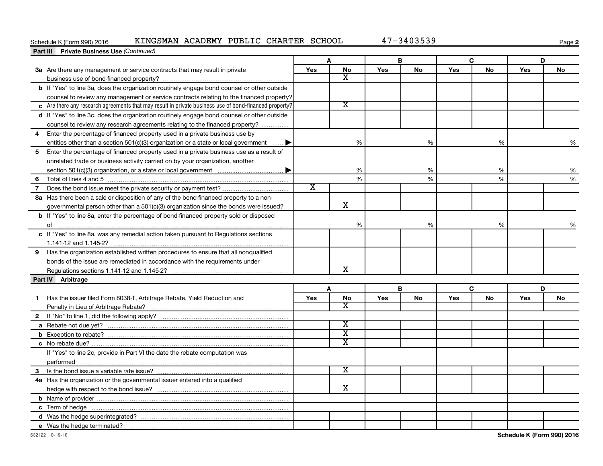## Schedule K (Form 990) 2016 KINGSMAN ACADEMY PUBLIC CHARTER SCHOOL 47-3403539

**2**

|                | <b>Part III</b> Private Business Use (Continued)                                                       |                       |                         |     |    |     |           |     |    |
|----------------|--------------------------------------------------------------------------------------------------------|-----------------------|-------------------------|-----|----|-----|-----------|-----|----|
|                |                                                                                                        |                       | A                       |     | В  | C   |           |     | D  |
|                | 3a Are there any management or service contracts that may result in private                            | Yes                   | <b>No</b>               | Yes | No | Yes | <b>No</b> | Yes | No |
|                |                                                                                                        |                       | X                       |     |    |     |           |     |    |
|                | b If "Yes" to line 3a, does the organization routinely engage bond counsel or other outside            |                       |                         |     |    |     |           |     |    |
|                | counsel to review any management or service contracts relating to the financed property?               |                       |                         |     |    |     |           |     |    |
|                | c Are there any research agreements that may result in private business use of bond-financed property? |                       | $\overline{\text{x}}$   |     |    |     |           |     |    |
|                | d If "Yes" to line 3c, does the organization routinely engage bond counsel or other outside            |                       |                         |     |    |     |           |     |    |
|                | counsel to review any research agreements relating to the financed property?                           |                       |                         |     |    |     |           |     |    |
| 4              | Enter the percentage of financed property used in a private business use by                            |                       |                         |     |    |     |           |     |    |
|                | entities other than a section 501(c)(3) organization or a state or local government $\ldots$           |                       | %                       |     | %  |     | %         |     | %  |
| 5              | Enter the percentage of financed property used in a private business use as a result of                |                       |                         |     |    |     |           |     |    |
|                | unrelated trade or business activity carried on by your organization, another                          |                       |                         |     |    |     |           |     |    |
|                |                                                                                                        |                       | %                       |     | %  |     | %         |     | %  |
| 6              |                                                                                                        |                       | %                       |     | %  |     | %         |     | %  |
| $\overline{7}$ |                                                                                                        | $\overline{\text{x}}$ |                         |     |    |     |           |     |    |
|                | 8a Has there been a sale or disposition of any of the bond-financed property to a non-                 |                       |                         |     |    |     |           |     |    |
|                | governmental person other than a 501(c)(3) organization since the bonds were issued?                   |                       | $\mathbf x$             |     |    |     |           |     |    |
|                | <b>b</b> If "Yes" to line 8a, enter the percentage of bond-financed property sold or disposed          |                       |                         |     |    |     |           |     |    |
|                |                                                                                                        |                       | %                       |     | %  |     | %         |     | %  |
|                | c If "Yes" to line 8a, was any remedial action taken pursuant to Regulations sections                  |                       |                         |     |    |     |           |     |    |
|                |                                                                                                        |                       |                         |     |    |     |           |     |    |
|                | 9 Has the organization established written procedures to ensure that all nonqualified                  |                       |                         |     |    |     |           |     |    |
|                | bonds of the issue are remediated in accordance with the requirements under                            |                       |                         |     |    |     |           |     |    |
|                |                                                                                                        |                       | x                       |     |    |     |           |     |    |
|                | Part IV Arbitrage                                                                                      |                       |                         |     |    |     |           |     |    |
|                |                                                                                                        |                       | A                       |     | В  |     | C         |     | D  |
| 1              | Has the issuer filed Form 8038-T, Arbitrage Rebate, Yield Reduction and                                | <b>Yes</b>            | No                      | Yes | No | Yes | No        | Yes | No |
|                |                                                                                                        |                       | x                       |     |    |     |           |     |    |
|                |                                                                                                        |                       |                         |     |    |     |           |     |    |
|                |                                                                                                        |                       | $\overline{\textbf{x}}$ |     |    |     |           |     |    |
|                |                                                                                                        |                       | $\overline{\text{x}}$   |     |    |     |           |     |    |
|                |                                                                                                        |                       | $\overline{\text{x}}$   |     |    |     |           |     |    |
|                | If "Yes" to line 2c, provide in Part VI the date the rebate computation was                            |                       |                         |     |    |     |           |     |    |
|                | performed                                                                                              |                       |                         |     |    |     |           |     |    |
|                |                                                                                                        |                       | $\overline{\textbf{x}}$ |     |    |     |           |     |    |
|                | 4a Has the organization or the governmental issuer entered into a qualified                            |                       |                         |     |    |     |           |     |    |
|                |                                                                                                        |                       | $\mathbf x$             |     |    |     |           |     |    |
|                |                                                                                                        |                       |                         |     |    |     |           |     |    |
|                |                                                                                                        |                       |                         |     |    |     |           |     |    |
|                |                                                                                                        |                       |                         |     |    |     |           |     |    |
|                | e Was the hedge terminated?                                                                            |                       |                         |     |    |     |           |     |    |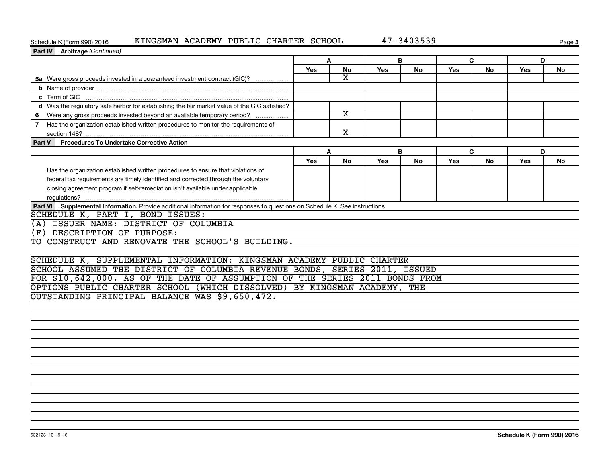#### **Schedule K (Form 990) 2016**<br>**Part IV Arbitrage** *(Continual* Schedule K (Form 990) 2016 KINGSMAN ACADEMY PUBLIC CHARTER SCHOOL 47-3403539

**Page 3** 

| Part IV Arbitrage (Continued)                                                                                               |            |                         |     |    |     |           |     |    |
|-----------------------------------------------------------------------------------------------------------------------------|------------|-------------------------|-----|----|-----|-----------|-----|----|
|                                                                                                                             | A          |                         |     | B  |     | C         | D   |    |
|                                                                                                                             | <b>Yes</b> | <b>No</b>               | Yes | No | Yes | <b>No</b> | Yes | No |
| 5a Were gross proceeds invested in a guaranteed investment contract (GIC)?                                                  |            | $\overline{\texttt{x}}$ |     |    |     |           |     |    |
|                                                                                                                             |            |                         |     |    |     |           |     |    |
|                                                                                                                             |            |                         |     |    |     |           |     |    |
| d Was the regulatory safe harbor for establishing the fair market value of the GIC satisfied?                               |            |                         |     |    |     |           |     |    |
| 6 Were any gross proceeds invested beyond an available temporary period?                                                    |            | $\overline{\texttt{x}}$ |     |    |     |           |     |    |
| 7 Has the organization established written procedures to monitor the requirements of                                        |            |                         |     |    |     |           |     |    |
| section 148?                                                                                                                |            | X                       |     |    |     |           |     |    |
| <b>Procedures To Undertake Corrective Action</b><br>Part V                                                                  |            |                         |     |    |     |           |     |    |
|                                                                                                                             | A          |                         |     | B  | C   |           | D   |    |
|                                                                                                                             | <b>Yes</b> | <b>No</b>               | Yes | No | Yes | <b>No</b> | Yes | No |
| Has the organization established written procedures to ensure that violations of                                            |            |                         |     |    |     |           |     |    |
| federal tax requirements are timely identified and corrected through the voluntary                                          |            |                         |     |    |     |           |     |    |
| closing agreement program if self-remediation isn't available under applicable                                              |            |                         |     |    |     |           |     |    |
|                                                                                                                             |            |                         |     |    |     |           |     |    |
| Part VI Supplemental Information. Provide additional information for responses to questions on Schedule K. See instructions |            |                         |     |    |     |           |     |    |
| SCHEDULE K, PART I, BOND ISSUES:                                                                                            |            |                         |     |    |     |           |     |    |
| (A) ISSUER NAME: DISTRICT OF COLUMBIA                                                                                       |            |                         |     |    |     |           |     |    |
| (F) DESCRIPTION OF PURPOSE:                                                                                                 |            |                         |     |    |     |           |     |    |
| TO CONSTRUCT AND RENOVATE THE SCHOOL'S BUILDING.                                                                            |            |                         |     |    |     |           |     |    |
|                                                                                                                             |            |                         |     |    |     |           |     |    |
| SCHEDULE K, SUPPLEMENTAL INFORMATION: KINGSMAN ACADEMY PUBLIC CHARTER                                                       |            |                         |     |    |     |           |     |    |
| SCHOOL ASSUMED THE DISTRICT OF COLUMBIA REVENUE BONDS, SERIES 2011, ISSUED                                                  |            |                         |     |    |     |           |     |    |
| FOR \$10,642,000. AS OF THE DATE OF ASSUMPTION OF THE SERIES 2011 BONDS FROM                                                |            |                         |     |    |     |           |     |    |
| OPTIONS PUBLIC CHARTER SCHOOL (WHICH DISSOLVED) BY KINGSMAN ACADEMY, THE                                                    |            |                         |     |    |     |           |     |    |
| OUTSTANDING PRINCIPAL BALANCE WAS \$9,650,472.                                                                              |            |                         |     |    |     |           |     |    |
|                                                                                                                             |            |                         |     |    |     |           |     |    |
|                                                                                                                             |            |                         |     |    |     |           |     |    |
|                                                                                                                             |            |                         |     |    |     |           |     |    |
|                                                                                                                             |            |                         |     |    |     |           |     |    |
|                                                                                                                             |            |                         |     |    |     |           |     |    |
|                                                                                                                             |            |                         |     |    |     |           |     |    |
|                                                                                                                             |            |                         |     |    |     |           |     |    |
|                                                                                                                             |            |                         |     |    |     |           |     |    |
|                                                                                                                             |            |                         |     |    |     |           |     |    |
|                                                                                                                             |            |                         |     |    |     |           |     |    |
|                                                                                                                             |            |                         |     |    |     |           |     |    |
|                                                                                                                             |            |                         |     |    |     |           |     |    |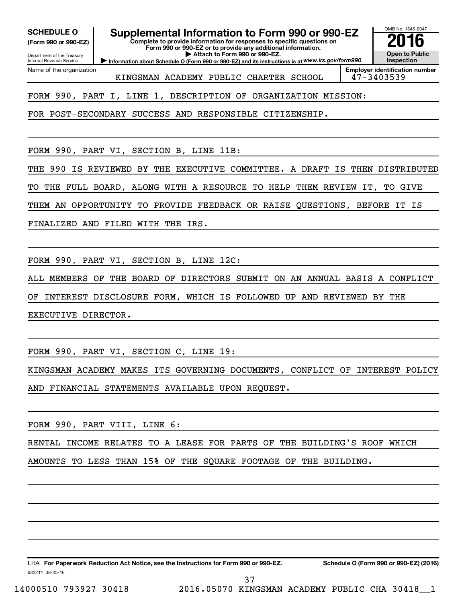**(Form 990 or 990-EZ)**

Department of the Treasury Internal Revenue Service

Name of the organization

## **SCHEDULE O Supplemental Information to Form 990 or 990-EZ 2016**

**Complete to provide information for responses to specific questions on Form 990 or 990-EZ or to provide any additional information. | Attach to Form 990 or 990-EZ.**

**Information about Schedule O (Form 990 or 990-EZ) and its instructions is at WWW.irs.gov/form990.** 

OMB No. 1545-0047 **Open to Public Inspection**

KINGSMAN ACADEMY PUBLIC CHARTER SCHOOL 47-3403539

**Employer identification number**

FORM 990, PART I, LINE 1, DESCRIPTION OF ORGANIZATION MISSION:

FOR POST-SECONDARY SUCCESS AND RESPONSIBLE CITIZENSHIP.

FORM 990, PART VI, SECTION B, LINE 11B:

THE 990 IS REVIEWED BY THE EXECUTIVE COMMITTEE. A DRAFT IS THEN DISTRIBUTED

TO THE FULL BOARD, ALONG WITH A RESOURCE TO HELP THEM REVIEW IT, TO GIVE

THEM AN OPPORTUNITY TO PROVIDE FEEDBACK OR RAISE QUESTIONS, BEFORE IT IS

FINALIZED AND FILED WITH THE IRS.

FORM 990, PART VI, SECTION B, LINE 12C:

ALL MEMBERS OF THE BOARD OF DIRECTORS SUBMIT ON AN ANNUAL BASIS A CONFLICT OF INTEREST DISCLOSURE FORM, WHICH IS FOLLOWED UP AND REVIEWED BY THE EXECUTIVE DIRECTOR.

FORM 990, PART VI, SECTION C, LINE 19:

KINGSMAN ACADEMY MAKES ITS GOVERNING DOCUMENTS, CONFLICT OF INTEREST POLICY AND FINANCIAL STATEMENTS AVAILABLE UPON REQUEST.

FORM 990, PART VIII, LINE 6:

RENTAL INCOME RELATES TO A LEASE FOR PARTS OF THE BUILDING'S ROOF WHICH

AMOUNTS TO LESS THAN 15% OF THE SQUARE FOOTAGE OF THE BUILDING.

632211 08-25-16 LHA For Paperwork Reduction Act Notice, see the Instructions for Form 990 or 990-EZ. Schedule O (Form 990 or 990-EZ) (2016)

14000510 793927 30418 2016.05070 KINGSMAN ACADEMY PUBLIC CHA 30418\_\_1